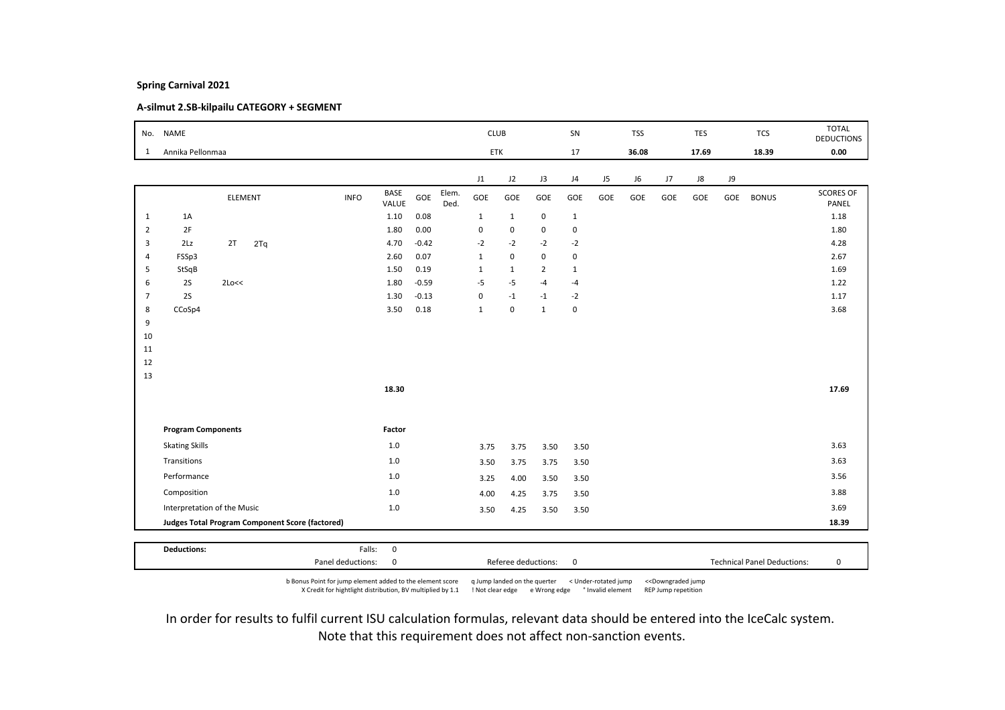# A-silmut 2.SB-kilpailu CATEGORY + SEGMENT

|                | No. NAME                    |         |     |                                                 |                      |         |               | <b>CLUB</b>  |                     |                | SN           |     | <b>TSS</b> |     | <b>TES</b> |     | <b>TCS</b>                         | <b>TOTAL</b><br><b>DEDUCTIONS</b> |
|----------------|-----------------------------|---------|-----|-------------------------------------------------|----------------------|---------|---------------|--------------|---------------------|----------------|--------------|-----|------------|-----|------------|-----|------------------------------------|-----------------------------------|
| 1              | Annika Pellonmaa            |         |     |                                                 |                      |         |               | ETK          |                     |                | 17           |     | 36.08      |     | 17.69      |     | 18.39                              | 0.00                              |
|                |                             |         |     |                                                 |                      |         |               | J1           | J2                  | J3             | J4           | J5  | J6         | J7  | J8         | J9  |                                    |                                   |
|                |                             | ELEMENT |     | <b>INFO</b>                                     | <b>BASE</b><br>VALUE | GOE     | Elem.<br>Ded. | GOE          | GOE                 | GOE            | GOE          | GOE | GOE        | GOE | GOE        | GOE | <b>BONUS</b>                       | <b>SCORES OF</b><br>PANEL         |
| $\mathbf{1}$   | 1A                          |         |     |                                                 | 1.10                 | 0.08    |               | $\mathbf{1}$ | $\mathbf{1}$        | $\mathbf 0$    | $\mathbf{1}$ |     |            |     |            |     |                                    | 1.18                              |
| $\overline{2}$ | 2F                          |         |     |                                                 | 1.80                 | 0.00    |               | $\pmb{0}$    | 0                   | 0              | $\mathbf 0$  |     |            |     |            |     |                                    | 1.80                              |
| 3              | 2Lz                         | 2T      | 2Tq |                                                 | 4.70                 | $-0.42$ |               | $-2$         | $-2$                | $-2$           | $-2$         |     |            |     |            |     |                                    | 4.28                              |
| $\overline{4}$ | FSSp3                       |         |     |                                                 | 2.60                 | 0.07    |               | $\mathbf{1}$ | $\mathbf 0$         | $\mathbf 0$    | $\mathsf 0$  |     |            |     |            |     |                                    | 2.67                              |
| 5              | StSqB                       |         |     |                                                 | 1.50                 | 0.19    |               | $\mathbf{1}$ | $\mathbf{1}$        | $\overline{2}$ | $\mathbf{1}$ |     |            |     |            |     |                                    | 1.69                              |
| 6              | 2S                          | 2Lo<<   |     |                                                 | 1.80                 | $-0.59$ |               | $-5$         | $-5$                | $-4$           | $-4$         |     |            |     |            |     |                                    | 1.22                              |
| $\overline{7}$ | 2S                          |         |     |                                                 | 1.30                 | $-0.13$ |               | $\pmb{0}$    | $-1$                | $-1$           | $-2$         |     |            |     |            |     |                                    | 1.17                              |
| 8              | CCoSp4                      |         |     |                                                 | 3.50                 | 0.18    |               | $\mathbf{1}$ | $\mathsf 0$         | $\mathbf{1}$   | $\mathbf 0$  |     |            |     |            |     |                                    | 3.68                              |
| 9              |                             |         |     |                                                 |                      |         |               |              |                     |                |              |     |            |     |            |     |                                    |                                   |
| 10             |                             |         |     |                                                 |                      |         |               |              |                     |                |              |     |            |     |            |     |                                    |                                   |
| 11             |                             |         |     |                                                 |                      |         |               |              |                     |                |              |     |            |     |            |     |                                    |                                   |
| 12             |                             |         |     |                                                 |                      |         |               |              |                     |                |              |     |            |     |            |     |                                    |                                   |
| 13             |                             |         |     |                                                 |                      |         |               |              |                     |                |              |     |            |     |            |     |                                    |                                   |
|                |                             |         |     |                                                 | 18.30                |         |               |              |                     |                |              |     |            |     |            |     |                                    | 17.69                             |
|                |                             |         |     |                                                 |                      |         |               |              |                     |                |              |     |            |     |            |     |                                    |                                   |
|                | <b>Program Components</b>   |         |     |                                                 | Factor               |         |               |              |                     |                |              |     |            |     |            |     |                                    |                                   |
|                | <b>Skating Skills</b>       |         |     |                                                 | 1.0                  |         |               | 3.75         | 3.75                | 3.50           | 3.50         |     |            |     |            |     |                                    | 3.63                              |
|                | Transitions                 |         |     |                                                 | 1.0                  |         |               | 3.50         | 3.75                | 3.75           | 3.50         |     |            |     |            |     |                                    | 3.63                              |
|                | Performance                 |         |     |                                                 | 1.0                  |         |               | 3.25         | 4.00                | 3.50           | 3.50         |     |            |     |            |     |                                    | 3.56                              |
|                | Composition                 |         |     |                                                 | $1.0$                |         |               | 4.00         | 4.25                | 3.75           | 3.50         |     |            |     |            |     |                                    | 3.88                              |
|                | Interpretation of the Music |         |     |                                                 | $1.0$                |         |               | 3.50         | 4.25                | 3.50           | 3.50         |     |            |     |            |     |                                    | 3.69                              |
|                |                             |         |     | Judges Total Program Component Score (factored) |                      |         |               |              |                     |                |              |     |            |     |            |     |                                    | 18.39                             |
|                |                             |         |     |                                                 |                      |         |               |              |                     |                |              |     |            |     |            |     |                                    |                                   |
|                | <b>Deductions:</b>          |         |     | Falls:                                          | $\mathbf 0$          |         |               |              |                     |                |              |     |            |     |            |     |                                    |                                   |
|                |                             |         |     | Panel deductions:                               | 0                    |         |               |              | Referee deductions: |                | $\mathbf 0$  |     |            |     |            |     | <b>Technical Panel Deductions:</b> | 0                                 |

b Bonus Point for jump element added to the element score q Jump landed on the querter < Under-rotated jump <<Downgraded jump X Credit for hightlight distribution, BV multiplied by 1.1 ! Not clear edge e Wrong edge ° Invalid element REP Jump repetition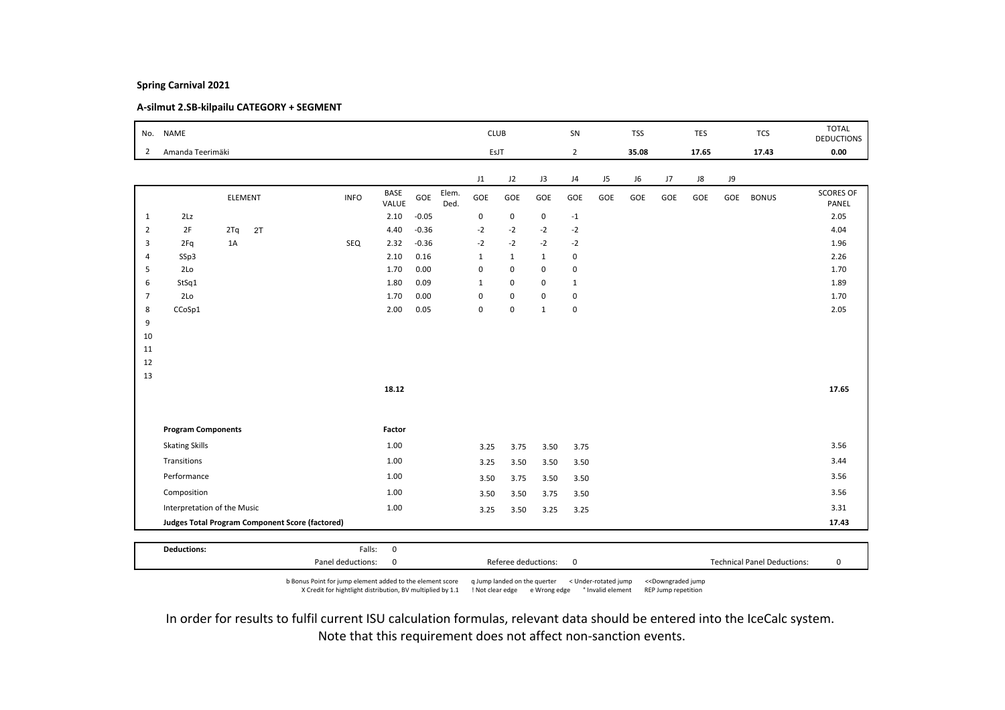# A-silmut 2.SB-kilpailu CATEGORY + SEGMENT

|                |                             |                |                                                        |             |               |         |               | <b>CLUB</b>  |              |              | SN             |     | <b>TSS</b> |     | <b>TES</b> |     | <b>TCS</b>   | <b>TOTAL</b><br><b>DEDUCTIONS</b> |
|----------------|-----------------------------|----------------|--------------------------------------------------------|-------------|---------------|---------|---------------|--------------|--------------|--------------|----------------|-----|------------|-----|------------|-----|--------------|-----------------------------------|
| 2              | Amanda Teerimäki            |                |                                                        |             |               |         |               | EsJT         |              |              | $\overline{2}$ |     | 35.08      |     | 17.65      |     | 17.43        | 0.00                              |
|                |                             |                |                                                        |             |               |         |               | J1           | J2           | J3           | J4             | J5  | J6         | J7  | J8         | J9  |              |                                   |
|                |                             | <b>ELEMENT</b> |                                                        | <b>INFO</b> | BASE<br>VALUE | GOE     | Elem.<br>Ded. | GOE          | GOE          | GOE          | GOE            | GOE | GOE        | GOE | GOE        | GOE | <b>BONUS</b> | <b>SCORES OF</b><br>PANEL         |
| $\mathbf{1}$   | 2Lz                         |                |                                                        |             | 2.10          | $-0.05$ |               | 0            | $\mathsf 0$  | 0            | $-1$           |     |            |     |            |     |              | 2.05                              |
| $\overline{2}$ | 2F                          | 2Tq            | 2T                                                     |             | 4.40          | $-0.36$ |               | $-2$         | $-2$         | $-2$         | $-2$           |     |            |     |            |     |              | 4.04                              |
| 3              | 2Fq                         | 1A             |                                                        | SEQ         | 2.32          | $-0.36$ |               | $-2$         | $-2$         | $-2$         | $-2$           |     |            |     |            |     |              | 1.96                              |
| $\overline{4}$ | SSp3                        |                |                                                        |             | 2.10          | 0.16    |               | $1\,$        | $\mathbf{1}$ | $\mathbf{1}$ | $\mathbf 0$    |     |            |     |            |     |              | 2.26                              |
| 5              | 2Lo                         |                |                                                        |             | 1.70          | 0.00    |               | $\mathbf 0$  | $\mathbf 0$  | $\mathsf 0$  | $\mathbf 0$    |     |            |     |            |     |              | 1.70                              |
| 6              | StSq1                       |                |                                                        |             | 1.80          | 0.09    |               | $\mathbf{1}$ | $\mathsf 0$  | $\mathsf 0$  | $\mathbf{1}$   |     |            |     |            |     |              | 1.89                              |
| $\overline{7}$ | 2 <sub>LO</sub>             |                |                                                        |             | 1.70          | 0.00    |               | $\mathbf 0$  | $\mathbf 0$  | $\mathsf 0$  | $\mathsf 0$    |     |            |     |            |     |              | 1.70                              |
| 8              | CCoSp1                      |                |                                                        |             | 2.00          | 0.05    |               | $\mathbf 0$  | $\mathbf 0$  | $\mathbf{1}$ | $\pmb{0}$      |     |            |     |            |     |              | 2.05                              |
| 9              |                             |                |                                                        |             |               |         |               |              |              |              |                |     |            |     |            |     |              |                                   |
| 10             |                             |                |                                                        |             |               |         |               |              |              |              |                |     |            |     |            |     |              |                                   |
| 11             |                             |                |                                                        |             |               |         |               |              |              |              |                |     |            |     |            |     |              |                                   |
| 12             |                             |                |                                                        |             |               |         |               |              |              |              |                |     |            |     |            |     |              |                                   |
| 13             |                             |                |                                                        |             |               |         |               |              |              |              |                |     |            |     |            |     |              |                                   |
|                |                             |                |                                                        |             | 18.12         |         |               |              |              |              |                |     |            |     |            |     |              | 17.65                             |
|                |                             |                |                                                        |             |               |         |               |              |              |              |                |     |            |     |            |     |              |                                   |
|                | <b>Program Components</b>   |                |                                                        |             | Factor        |         |               |              |              |              |                |     |            |     |            |     |              |                                   |
|                | <b>Skating Skills</b>       |                |                                                        |             | 1.00          |         |               | 3.25         | 3.75         | 3.50         | 3.75           |     |            |     |            |     |              | 3.56                              |
|                | Transitions                 |                |                                                        |             | 1.00          |         |               | 3.25         | 3.50         | 3.50         | 3.50           |     |            |     |            |     |              | 3.44                              |
|                | Performance                 |                |                                                        |             | 1.00          |         |               | 3.50         | 3.75         | 3.50         | 3.50           |     |            |     |            |     |              | 3.56                              |
|                | Composition                 |                |                                                        |             | 1.00          |         |               | 3.50         | 3.50         | 3.75         | 3.50           |     |            |     |            |     |              | 3.56                              |
|                | Interpretation of the Music |                |                                                        |             | 1.00          |         |               | 3.25         | 3.50         | 3.25         | 3.25           |     |            |     |            |     |              | 3.31                              |
|                |                             |                | <b>Judges Total Program Component Score (factored)</b> |             |               |         |               |              |              |              |                |     |            |     |            |     |              | 17.43                             |

b Bonus Point for jump element added to the element score q Jump landed on the querter < Under-rotated jump <<Downgraded jump X Credit for hightlight distribution, BV multiplied by 1.1 ! Not clear edge e Wrong edge ° Invalid element REP Jump repetition

Panel deductions: 0 Referee deductions: 0 Technical Panel Deductions: 0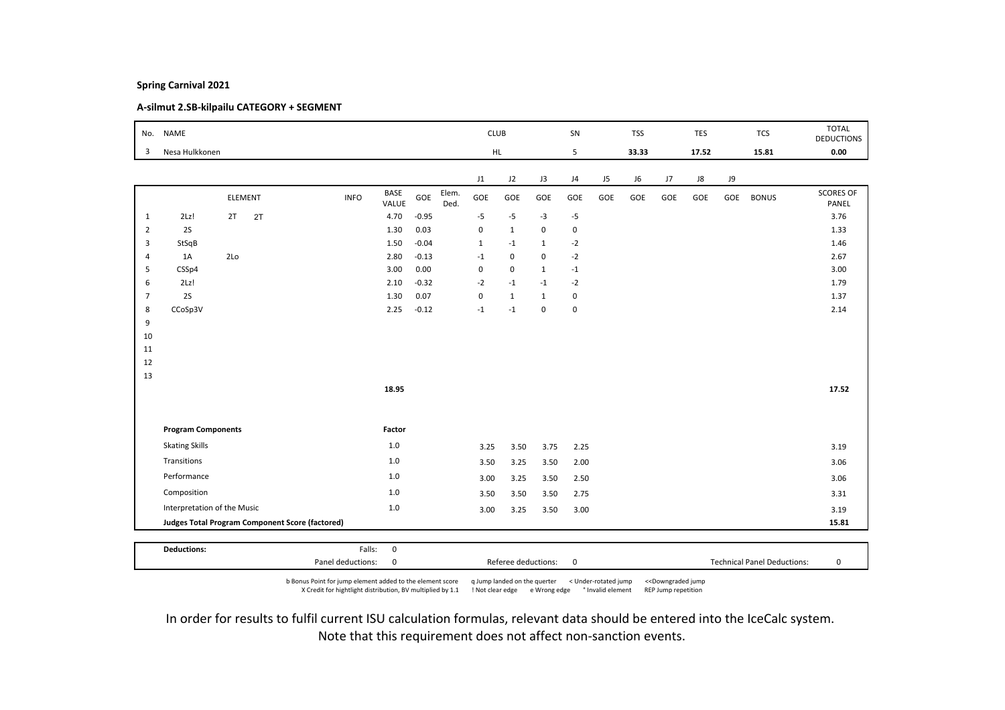# A-silmut 2.SB-kilpailu CATEGORY + SEGMENT

| No.            | <b>NAME</b>                 |     |         |                                                 |             |                      |         |               | <b>CLUB</b>  |              |              | SN             |     | <b>TSS</b> |     | TES   |           | <b>TCS</b>   | <b>TOTAL</b><br><b>DEDUCTIONS</b> |
|----------------|-----------------------------|-----|---------|-------------------------------------------------|-------------|----------------------|---------|---------------|--------------|--------------|--------------|----------------|-----|------------|-----|-------|-----------|--------------|-----------------------------------|
| 3              | Nesa Hulkkonen              |     |         |                                                 |             |                      |         |               | HL.          |              |              | 5              |     | 33.33      |     | 17.52 |           | 15.81        | 0.00                              |
|                |                             |     |         |                                                 |             |                      |         |               | J1           | J2           | J3           | J <sub>4</sub> | J5  | J6         | J7  | J8    | <b>J9</b> |              |                                   |
|                |                             |     | ELEMENT |                                                 | <b>INFO</b> | <b>BASE</b><br>VALUE | GOE     | Elem.<br>Ded. | GOE          | GOE          | GOE          | GOE            | GOE | GOE        | GOE | GOE   | GOE       | <b>BONUS</b> | <b>SCORES OF</b><br>PANEL         |
| $\mathbf{1}$   | 2Lz!                        | 2T  | 2T      |                                                 |             | 4.70                 | $-0.95$ |               | $-5$         | $-5$         | $-3$         | $-5$           |     |            |     |       |           |              | 3.76                              |
| $\overline{2}$ | 2S                          |     |         |                                                 |             | 1.30                 | 0.03    |               | $\pmb{0}$    | $\mathbf{1}$ | $\mathbf 0$  | $\mathsf 0$    |     |            |     |       |           |              | 1.33                              |
| 3              | StSqB                       |     |         |                                                 |             | 1.50                 | $-0.04$ |               | $\mathbf{1}$ | $-1$         | $\mathbf{1}$ | $-2$           |     |            |     |       |           |              | 1.46                              |
| $\overline{4}$ | 1A                          | 2Lo |         |                                                 |             | 2.80                 | $-0.13$ |               | $-1$         | 0            | 0            | $-2$           |     |            |     |       |           |              | 2.67                              |
| 5              | CSSp4                       |     |         |                                                 |             | 3.00                 | 0.00    |               | $\pmb{0}$    | 0            | $\mathbf{1}$ | $^{\rm -1}$    |     |            |     |       |           |              | 3.00                              |
| 6              | 2Lz!                        |     |         |                                                 |             | 2.10                 | $-0.32$ |               | $-2$         | $-1$         | $-1$         | $-2$           |     |            |     |       |           |              | 1.79                              |
| $\overline{7}$ | 2S                          |     |         |                                                 |             | 1.30                 | 0.07    |               | 0            | 1            | $\mathbf{1}$ | $\pmb{0}$      |     |            |     |       |           |              | 1.37                              |
| 8              | CCoSp3V                     |     |         |                                                 |             | 2.25                 | $-0.12$ |               | $-1$         | $-1$         | $\mathbf 0$  | $\pmb{0}$      |     |            |     |       |           |              | 2.14                              |
| 9<br>10        |                             |     |         |                                                 |             |                      |         |               |              |              |              |                |     |            |     |       |           |              |                                   |
| 11             |                             |     |         |                                                 |             |                      |         |               |              |              |              |                |     |            |     |       |           |              |                                   |
| 12             |                             |     |         |                                                 |             |                      |         |               |              |              |              |                |     |            |     |       |           |              |                                   |
| 13             |                             |     |         |                                                 |             |                      |         |               |              |              |              |                |     |            |     |       |           |              |                                   |
|                |                             |     |         |                                                 |             | 18.95                |         |               |              |              |              |                |     |            |     |       |           |              | 17.52                             |
|                |                             |     |         |                                                 |             |                      |         |               |              |              |              |                |     |            |     |       |           |              |                                   |
|                | <b>Program Components</b>   |     |         |                                                 |             | Factor               |         |               |              |              |              |                |     |            |     |       |           |              |                                   |
|                | <b>Skating Skills</b>       |     |         |                                                 |             | 1.0                  |         |               | 3.25         | 3.50         | 3.75         | 2.25           |     |            |     |       |           |              | 3.19                              |
|                | Transitions                 |     |         |                                                 |             | $1.0$                |         |               | 3.50         | 3.25         | 3.50         | 2.00           |     |            |     |       |           |              | 3.06                              |
|                | Performance                 |     |         |                                                 |             | 1.0                  |         |               | 3.00         | 3.25         | 3.50         | 2.50           |     |            |     |       |           |              | 3.06                              |
|                | Composition                 |     |         |                                                 |             | 1.0                  |         |               | 3.50         | 3.50         | 3.50         | 2.75           |     |            |     |       |           |              | 3.31                              |
|                | Interpretation of the Music |     |         |                                                 |             | 1.0                  |         |               | 3.00         | 3.25         | 3.50         | 3.00           |     |            |     |       |           |              | 3.19                              |
|                |                             |     |         | Judges Total Program Component Score (factored) |             |                      |         |               |              |              |              |                |     |            |     |       |           |              | 15.81                             |
|                |                             |     |         |                                                 |             |                      |         |               |              |              |              |                |     |            |     |       |           |              |                                   |
|                | <b>Deductions:</b>          |     |         |                                                 | Falls:      | $\mathbf 0$          |         |               |              |              |              |                |     |            |     |       |           |              |                                   |

b Bonus Point for jump element added to the element score q Jump landed on the querter < Under-rotated jump <<Downgraded jump X Credit for hightlight distribution, BV multiplied by 1.1 ! Not clear edge e Wrong edge ° Invalid element REP Jump repetition

Panel deductions: 0 Referee deductions: 0 Technical Panel Deductions: 0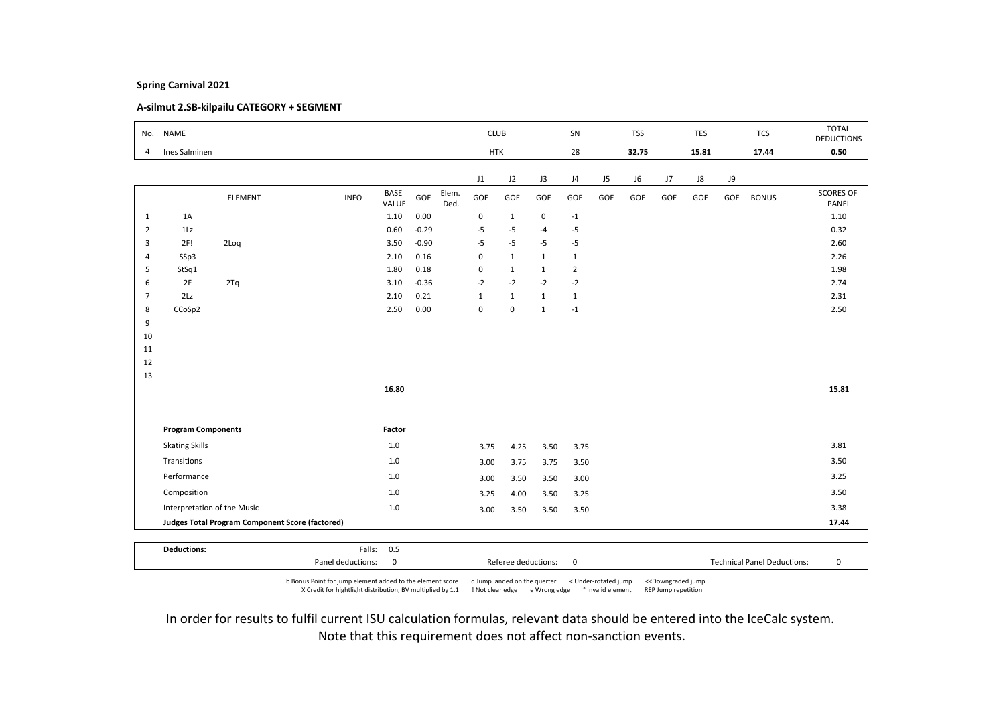# A-silmut 2.SB-kilpailu CATEGORY + SEGMENT

|                | No. NAME                    |                                                 |             |                      |         |               | <b>CLUB</b>  |              |              | SN             |     | <b>TSS</b> |     | <b>TES</b> |     | <b>TCS</b>   | <b>TOTAL</b><br><b>DEDUCTIONS</b> |
|----------------|-----------------------------|-------------------------------------------------|-------------|----------------------|---------|---------------|--------------|--------------|--------------|----------------|-----|------------|-----|------------|-----|--------------|-----------------------------------|
| $\overline{4}$ | Ines Salminen               |                                                 |             |                      |         |               | <b>HTK</b>   |              |              | 28             |     | 32.75      |     | 15.81      |     | 17.44        | 0.50                              |
|                |                             |                                                 |             |                      |         |               | J1           | J2           | J3           | J <sub>4</sub> | J5  | J6         | J7  | ${\sf J}8$ | J9  |              |                                   |
|                |                             | ELEMENT                                         | <b>INFO</b> | <b>BASE</b><br>VALUE | GOE     | Elem.<br>Ded. | GOE          | GOE          | GOE          | GOE            | GOE | GOE        | GOE | GOE        | GOE | <b>BONUS</b> | <b>SCORES OF</b><br>PANEL         |
| $\mathbf{1}$   | 1A                          |                                                 |             | 1.10                 | 0.00    |               | $\mathbf 0$  | $\mathbf{1}$ | 0            | $-1$           |     |            |     |            |     |              | 1.10                              |
| $\overline{2}$ | 1Lz                         |                                                 |             | 0.60                 | $-0.29$ |               | $-5$         | $-5$         | $-4$         | $-5$           |     |            |     |            |     |              | 0.32                              |
| 3              | 2F!                         | 2Loq                                            |             | 3.50                 | $-0.90$ |               | $-5$         | $-5$         | $-5$         | -5             |     |            |     |            |     |              | 2.60                              |
| $\overline{4}$ | SSp3                        |                                                 |             | 2.10                 | 0.16    |               | $\pmb{0}$    | $\mathbf{1}$ | $\mathbf{1}$ | $\mathbf{1}$   |     |            |     |            |     |              | 2.26                              |
| 5              | StSq1                       |                                                 |             | 1.80                 | 0.18    |               | $\pmb{0}$    | $\mathbf{1}$ | $\mathbf{1}$ | $\overline{2}$ |     |            |     |            |     |              | 1.98                              |
| 6              | 2F                          | 2Tq                                             |             | 3.10                 | $-0.36$ |               | $-2$         | $-2$         | $-2$         | $-2$           |     |            |     |            |     |              | 2.74                              |
| $\overline{7}$ | 2Lz                         |                                                 |             | 2.10                 | 0.21    |               | $\mathbf{1}$ | $\mathbf{1}$ | $\mathbf{1}$ | $\mathbf{1}$   |     |            |     |            |     |              | 2.31                              |
| 8              | CCoSp2                      |                                                 |             | 2.50                 | 0.00    |               | $\pmb{0}$    | 0            | $\mathbf{1}$ | $-1$           |     |            |     |            |     |              | 2.50                              |
| 9<br>10        |                             |                                                 |             |                      |         |               |              |              |              |                |     |            |     |            |     |              |                                   |
| 11             |                             |                                                 |             |                      |         |               |              |              |              |                |     |            |     |            |     |              |                                   |
| 12             |                             |                                                 |             |                      |         |               |              |              |              |                |     |            |     |            |     |              |                                   |
| 13             |                             |                                                 |             |                      |         |               |              |              |              |                |     |            |     |            |     |              |                                   |
|                |                             |                                                 |             | 16.80                |         |               |              |              |              |                |     |            |     |            |     |              | 15.81                             |
|                |                             |                                                 |             |                      |         |               |              |              |              |                |     |            |     |            |     |              |                                   |
|                | <b>Program Components</b>   |                                                 |             | Factor               |         |               |              |              |              |                |     |            |     |            |     |              |                                   |
|                | <b>Skating Skills</b>       |                                                 |             | 1.0                  |         |               | 3.75         | 4.25         | 3.50         | 3.75           |     |            |     |            |     |              | 3.81                              |
|                | Transitions                 |                                                 |             | $1.0$                |         |               | 3.00         | 3.75         | 3.75         | 3.50           |     |            |     |            |     |              | 3.50                              |
|                | Performance                 |                                                 |             | 1.0                  |         |               | 3.00         | 3.50         | 3.50         | 3.00           |     |            |     |            |     |              | 3.25                              |
|                | Composition                 |                                                 |             | 1.0                  |         |               | 3.25         | 4.00         | 3.50         | 3.25           |     |            |     |            |     |              | 3.50                              |
|                | Interpretation of the Music |                                                 |             | 1.0                  |         |               | 3.00         | 3.50         | 3.50         | 3.50           |     |            |     |            |     |              | 3.38                              |
|                |                             | Judges Total Program Component Score (factored) |             |                      |         |               |              |              |              |                |     |            |     |            |     |              | 17.44                             |
|                |                             |                                                 |             |                      |         |               |              |              |              |                |     |            |     |            |     |              |                                   |
|                | <b>Deductions:</b>          |                                                 |             | Falls: 0.5           |         |               |              |              |              |                |     |            |     |            |     |              |                                   |

b Bonus Point for jump element added to the element score q Jump landed on the querter < Under-rotated jump <<Downgraded jump X Credit for hightlight distribution, BV multiplied by 1.1 ! Not clear edge e Wrong edge ° Invalid element REP Jump repetition

Panel deductions: 0 Referee deductions: 0 Technical Panel Deductions: 0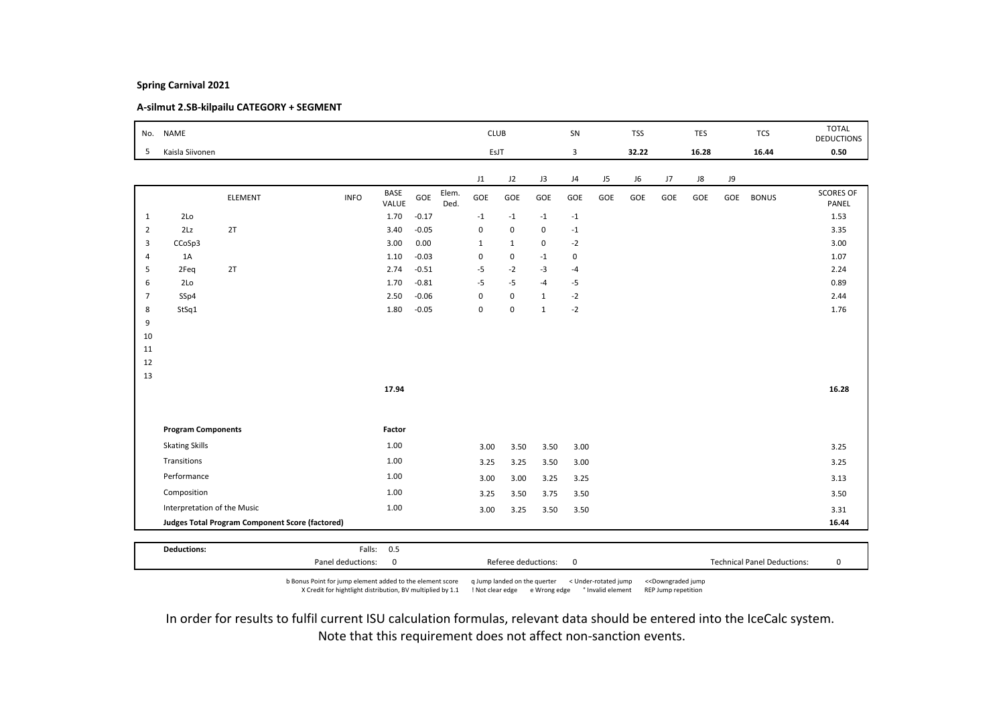# A-silmut 2.SB-kilpailu CATEGORY + SEGMENT

|                | No. NAME                    |                                                 |             |                      |         |               | <b>CLUB</b>  |              |              | SN             |     | <b>TSS</b> |     | <b>TES</b> |     | <b>TCS</b>   | <b>TOTAL</b><br><b>DEDUCTIONS</b> |
|----------------|-----------------------------|-------------------------------------------------|-------------|----------------------|---------|---------------|--------------|--------------|--------------|----------------|-----|------------|-----|------------|-----|--------------|-----------------------------------|
| 5              | Kaisla Siivonen             |                                                 |             |                      |         |               | EsJT         |              |              | 3              |     | 32.22      |     | 16.28      |     | 16.44        | 0.50                              |
|                |                             |                                                 |             |                      |         |               | J1           | J2           | J3           | J <sub>4</sub> | J5  | J6         | J7  | ${\sf J}8$ | J9  |              |                                   |
|                |                             | ELEMENT                                         | <b>INFO</b> | <b>BASE</b><br>VALUE | GOE     | Elem.<br>Ded. | GOE          | GOE          | GOE          | GOE            | GOE | GOE        | GOE | GOE        | GOE | <b>BONUS</b> | <b>SCORES OF</b><br>PANEL         |
| 1              | 2Lo                         |                                                 |             | 1.70                 | $-0.17$ |               | $-1$         | $-1$         | $-1$         | $-1$           |     |            |     |            |     |              | 1.53                              |
| $\overline{2}$ | 2Lz                         | 2T                                              |             | 3.40                 | $-0.05$ |               | $\pmb{0}$    | 0            | 0            | $-1$           |     |            |     |            |     |              | 3.35                              |
| 3              | CCoSp3                      |                                                 |             | 3.00                 | 0.00    |               | $\mathbf{1}$ | $\mathbf{1}$ | 0            | $-2$           |     |            |     |            |     |              | 3.00                              |
| $\overline{4}$ | 1A                          |                                                 |             | 1.10                 | $-0.03$ |               | $\pmb{0}$    | 0            | $-1$         | $\mathbf 0$    |     |            |     |            |     |              | 1.07                              |
| 5              | 2Feq                        | 2T                                              |             | 2.74                 | $-0.51$ |               | $-5$         | $-2$         | $-3$         | $-4$           |     |            |     |            |     |              | 2.24                              |
| 6              | 2Lo                         |                                                 |             | 1.70                 | $-0.81$ |               | $-5$         | $-5$         | $-4$         | -5             |     |            |     |            |     |              | 0.89                              |
| $\overline{7}$ | SSp4                        |                                                 |             | 2.50                 | $-0.06$ |               | $\pmb{0}$    | $\mathbf 0$  | $\mathbf{1}$ | $-2$           |     |            |     |            |     |              | 2.44                              |
| 8              | StSq1                       |                                                 |             | 1.80                 | $-0.05$ |               | $\pmb{0}$    | 0            | $\mathbf{1}$ | $-2$           |     |            |     |            |     |              | 1.76                              |
| 9              |                             |                                                 |             |                      |         |               |              |              |              |                |     |            |     |            |     |              |                                   |
| 10<br>11       |                             |                                                 |             |                      |         |               |              |              |              |                |     |            |     |            |     |              |                                   |
| 12             |                             |                                                 |             |                      |         |               |              |              |              |                |     |            |     |            |     |              |                                   |
| 13             |                             |                                                 |             |                      |         |               |              |              |              |                |     |            |     |            |     |              |                                   |
|                |                             |                                                 |             | 17.94                |         |               |              |              |              |                |     |            |     |            |     |              | 16.28                             |
|                |                             |                                                 |             |                      |         |               |              |              |              |                |     |            |     |            |     |              |                                   |
|                | <b>Program Components</b>   |                                                 |             | Factor               |         |               |              |              |              |                |     |            |     |            |     |              |                                   |
|                | <b>Skating Skills</b>       |                                                 |             | 1.00                 |         |               | 3.00         | 3.50         | 3.50         | 3.00           |     |            |     |            |     |              | 3.25                              |
|                | Transitions                 |                                                 |             | 1.00                 |         |               | 3.25         | 3.25         | 3.50         | 3.00           |     |            |     |            |     |              | 3.25                              |
|                | Performance                 |                                                 |             | 1.00                 |         |               | 3.00         | 3.00         | 3.25         | 3.25           |     |            |     |            |     |              | 3.13                              |
|                | Composition                 |                                                 |             | 1.00                 |         |               | 3.25         | 3.50         | 3.75         | 3.50           |     |            |     |            |     |              | 3.50                              |
|                | Interpretation of the Music |                                                 |             | 1.00                 |         |               | 3.00         | 3.25         | 3.50         | 3.50           |     |            |     |            |     |              | 3.31                              |
|                |                             | Judges Total Program Component Score (factored) |             |                      |         |               |              |              |              |                |     |            |     |            |     |              | 16.44                             |
|                |                             |                                                 |             |                      |         |               |              |              |              |                |     |            |     |            |     |              |                                   |
|                | <b>Deductions:</b>          |                                                 |             | Falls: 0.5           |         |               |              |              |              |                |     |            |     |            |     |              |                                   |

b Bonus Point for jump element added to the element score q Jump landed on the querter < Under-rotated jump <<Downgraded jump X Credit for hightlight distribution, BV multiplied by 1.1 ! Not clear edge e Wrong edge ° Invalid element REP Jump repetition

Panel deductions: 0 Referee deductions: 0 Technical Panel Deductions: 0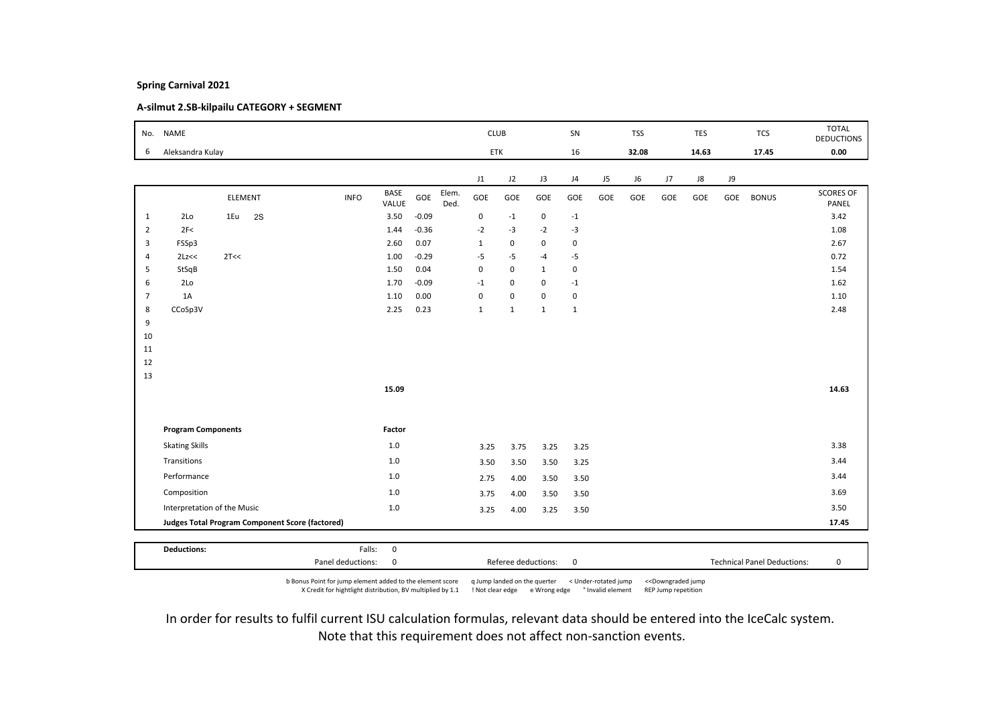# A-silmut 2.SB-kilpailu CATEGORY + SEGMENT

| No.            | <b>NAME</b>                 |         |    |                                                        |             |                      |         |               | <b>CLUB</b>             |              |              | SN           |     | <b>TSS</b> |     | <b>TES</b> |     | <b>TCS</b>   | <b>TOTAL</b><br><b>DEDUCTIONS</b> |
|----------------|-----------------------------|---------|----|--------------------------------------------------------|-------------|----------------------|---------|---------------|-------------------------|--------------|--------------|--------------|-----|------------|-----|------------|-----|--------------|-----------------------------------|
| 6              | Aleksandra Kulay            |         |    |                                                        |             |                      |         |               | ETK                     |              |              | 16           |     | 32.08      |     | 14.63      |     | 17.45        | 0.00                              |
|                |                             |         |    |                                                        |             |                      |         |               | J1                      | J2           | J3           | J4           | J5  | J6         | J7  | J8         | J9  |              |                                   |
|                |                             | ELEMENT |    |                                                        | <b>INFO</b> | <b>BASE</b><br>VALUE | GOE     | Elem.<br>Ded. | GOE                     | GOE          | GOE          | GOE          | GOE | GOE        | GOE | GOE        | GOE | <b>BONUS</b> | <b>SCORES OF</b><br>PANEL         |
| $\mathbf{1}$   | 2Lo                         | 1Eu     | 2S |                                                        |             | 3.50                 | $-0.09$ |               | 0                       | $-1$         | 0            | $-1$         |     |            |     |            |     |              | 3.42                              |
| $\overline{2}$ | 2F<                         |         |    |                                                        |             | 1.44                 | $-0.36$ |               | $-2$                    | $-3$         | $-2$         | $-3$         |     |            |     |            |     |              | 1.08                              |
| 3              | FSSp3                       |         |    |                                                        |             | 2.60                 | 0.07    |               | $\mathbf{1}$            | $\mathsf 0$  | $\mathbf 0$  | $\mathbf 0$  |     |            |     |            |     |              | 2.67                              |
| $\overline{4}$ | 2Lz<<                       | 2T<<    |    |                                                        |             | 1.00                 | $-0.29$ |               | $-5$                    | $-5$         | $-4$         | $-5$         |     |            |     |            |     |              | 0.72                              |
| 5              | StSqB                       |         |    |                                                        |             | 1.50                 | 0.04    |               | $\mathbf 0$             | $\mathbf 0$  | $\mathbf{1}$ | $\mathsf 0$  |     |            |     |            |     |              | 1.54                              |
| 6              | 2 <sub>LO</sub>             |         |    |                                                        |             | 1.70                 | $-0.09$ |               | $^{\text{{\small -1}}}$ | $\mathsf 0$  | $\mathsf 0$  | $-1$         |     |            |     |            |     |              | 1.62                              |
| $\overline{7}$ | 1A                          |         |    |                                                        |             | 1.10                 | 0.00    |               | $\mathbf 0$             | $\mathbf 0$  | $\mathsf 0$  | $\mathsf 0$  |     |            |     |            |     |              | 1.10                              |
| 8              | CCoSp3V                     |         |    |                                                        |             | 2.25                 | 0.23    |               | $\mathbf{1}$            | $\mathbf{1}$ | $\mathbf{1}$ | $\mathbf{1}$ |     |            |     |            |     |              | 2.48                              |
| 9              |                             |         |    |                                                        |             |                      |         |               |                         |              |              |              |     |            |     |            |     |              |                                   |
| 10             |                             |         |    |                                                        |             |                      |         |               |                         |              |              |              |     |            |     |            |     |              |                                   |
| 11             |                             |         |    |                                                        |             |                      |         |               |                         |              |              |              |     |            |     |            |     |              |                                   |
| 12<br>13       |                             |         |    |                                                        |             |                      |         |               |                         |              |              |              |     |            |     |            |     |              |                                   |
|                |                             |         |    |                                                        |             | 15.09                |         |               |                         |              |              |              |     |            |     |            |     |              | 14.63                             |
|                |                             |         |    |                                                        |             |                      |         |               |                         |              |              |              |     |            |     |            |     |              |                                   |
|                | <b>Program Components</b>   |         |    |                                                        |             | Factor               |         |               |                         |              |              |              |     |            |     |            |     |              |                                   |
|                | <b>Skating Skills</b>       |         |    |                                                        |             | $1.0$                |         |               | 3.25                    | 3.75         | 3.25         | 3.25         |     |            |     |            |     |              | 3.38                              |
|                | Transitions                 |         |    |                                                        |             | $1.0$                |         |               | 3.50                    | 3.50         | 3.50         | 3.25         |     |            |     |            |     |              | 3.44                              |
|                | Performance                 |         |    |                                                        |             | 1.0                  |         |               | 2.75                    | 4.00         | 3.50         | 3.50         |     |            |     |            |     |              | 3.44                              |
|                | Composition                 |         |    |                                                        |             | 1.0                  |         |               | 3.75                    | 4.00         | 3.50         | 3.50         |     |            |     |            |     |              | 3.69                              |
|                | Interpretation of the Music |         |    |                                                        |             | $1.0\,$              |         |               | 3.25                    | 4.00         | 3.25         | 3.50         |     |            |     |            |     |              | 3.50                              |
|                |                             |         |    | <b>Judges Total Program Component Score (factored)</b> |             |                      |         |               |                         |              |              |              |     |            |     |            |     |              | 17.45                             |
|                |                             |         |    |                                                        |             |                      |         |               |                         |              |              |              |     |            |     |            |     |              |                                   |
|                | <b>Deductions:</b>          |         |    |                                                        | Falls:      | $\mathbf 0$          |         |               |                         |              |              |              |     |            |     |            |     |              |                                   |

b Bonus Point for jump element added to the element score q Jump landed on the querter < Under-rotated jump <<Downgraded jump X Credit for hightlight distribution, BV multiplied by 1.1 ! Not clear edge e Wrong edge ° Invalid element REP Jump repetition

Panel deductions: 0 Referee deductions: 0 Technical Panel Deductions: 0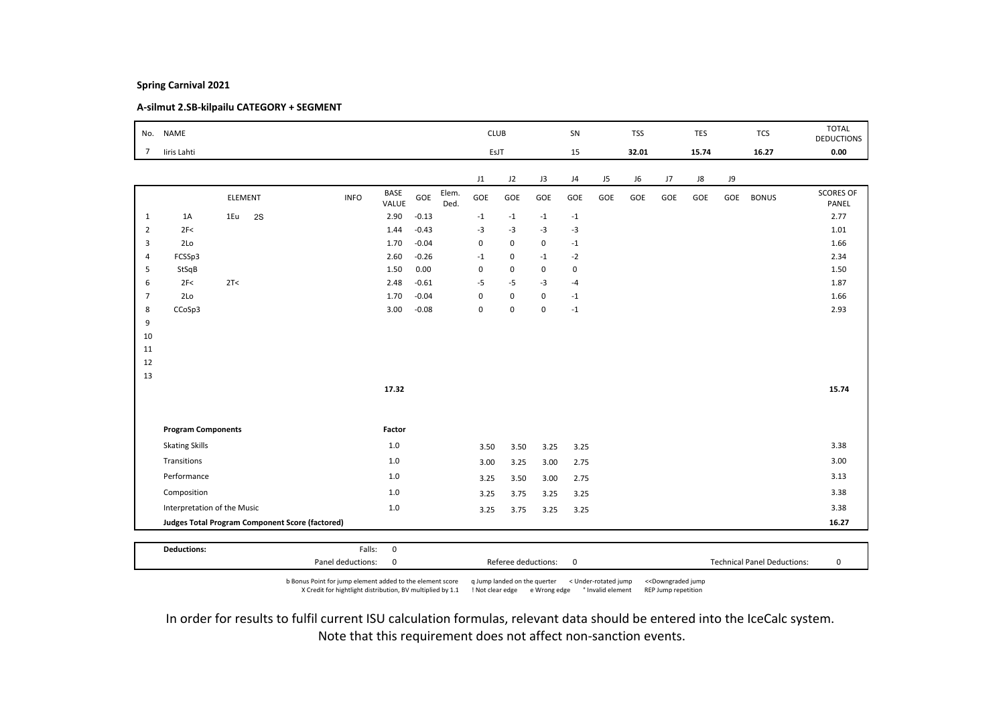# A-silmut 2.SB-kilpailu CATEGORY + SEGMENT

| No.            | <b>NAME</b>                 |         |    |                                                 |             |               |         |               | <b>CLUB</b>    |             |             | SN          |                | <b>TSS</b> |     | <b>TES</b> |     | <b>TCS</b>   | <b>TOTAL</b><br><b>DEDUCTIONS</b> |
|----------------|-----------------------------|---------|----|-------------------------------------------------|-------------|---------------|---------|---------------|----------------|-------------|-------------|-------------|----------------|------------|-----|------------|-----|--------------|-----------------------------------|
| $\overline{7}$ | liris Lahti                 |         |    |                                                 |             |               |         |               | EsJT           |             |             | 15          |                | 32.01      |     | 15.74      |     | 16.27        | 0.00                              |
|                |                             |         |    |                                                 |             |               |         |               | J1             | J2          | J3          | J4          | J <sub>5</sub> | J6         | J7  | J8         | J9  |              |                                   |
|                |                             | ELEMENT |    |                                                 | <b>INFO</b> | BASE<br>VALUE | GOE     | Elem.<br>Ded. | GOE            | GOE         | GOE         | GOE         | GOE            | GOE        | GOE | GOE        | GOE | <b>BONUS</b> | <b>SCORES OF</b><br>PANEL         |
| $\mathbf{1}$   | 1A                          | 1Eu     | 2S |                                                 |             | 2.90          | $-0.13$ |               | $^{\mbox{-}1}$ | $-1$        | $-1$        | $-1$        |                |            |     |            |     |              | 2.77                              |
| $\overline{2}$ | 2F<                         |         |    |                                                 |             | 1.44          | $-0.43$ |               | $-3$           | $-3$        | $-3$        | $-3$        |                |            |     |            |     |              | 1.01                              |
| 3              | 2 <sub>Lo</sub>             |         |    |                                                 |             | 1.70          | $-0.04$ |               | $\mathbf 0$    | 0           | $\mathbf 0$ | $-1$        |                |            |     |            |     |              | 1.66                              |
| $\overline{4}$ | FCSSp3                      |         |    |                                                 |             | 2.60          | $-0.26$ |               | $-1$           | $\pmb{0}$   | $-1$        | $-2$        |                |            |     |            |     |              | 2.34                              |
| 5              | StSqB                       |         |    |                                                 |             | 1.50          | 0.00    |               | $\mathbf 0$    | 0           | 0           | $\mathbf 0$ |                |            |     |            |     |              | 1.50                              |
| 6              | 2F<                         | 2T<     |    |                                                 |             | 2.48          | $-0.61$ |               | $-5$           | $-5$        | $-3$        | $-4$        |                |            |     |            |     |              | 1.87                              |
| $\overline{7}$ | 2Lo                         |         |    |                                                 |             | 1.70          | $-0.04$ |               | $\mathbf 0$    | $\mathbf 0$ | $\mathbf 0$ | $-1$        |                |            |     |            |     |              | 1.66                              |
| 8              | CCoSp3                      |         |    |                                                 |             | 3.00          | $-0.08$ |               | $\mathbf 0$    | $\mathbf 0$ | $\mathbf 0$ | $-1$        |                |            |     |            |     |              | 2.93                              |
| 9              |                             |         |    |                                                 |             |               |         |               |                |             |             |             |                |            |     |            |     |              |                                   |
| 10             |                             |         |    |                                                 |             |               |         |               |                |             |             |             |                |            |     |            |     |              |                                   |
| 11<br>12       |                             |         |    |                                                 |             |               |         |               |                |             |             |             |                |            |     |            |     |              |                                   |
| 13             |                             |         |    |                                                 |             |               |         |               |                |             |             |             |                |            |     |            |     |              |                                   |
|                |                             |         |    |                                                 |             | 17.32         |         |               |                |             |             |             |                |            |     |            |     |              | 15.74                             |
|                |                             |         |    |                                                 |             |               |         |               |                |             |             |             |                |            |     |            |     |              |                                   |
|                | <b>Program Components</b>   |         |    |                                                 |             | Factor        |         |               |                |             |             |             |                |            |     |            |     |              |                                   |
|                | <b>Skating Skills</b>       |         |    |                                                 |             | 1.0           |         |               | 3.50           | 3.50        | 3.25        | 3.25        |                |            |     |            |     |              | 3.38                              |
|                | Transitions                 |         |    |                                                 |             | $1.0\,$       |         |               | 3.00           | 3.25        | 3.00        | 2.75        |                |            |     |            |     |              | 3.00                              |
|                | Performance                 |         |    |                                                 |             | 1.0           |         |               | 3.25           | 3.50        | 3.00        | 2.75        |                |            |     |            |     |              | 3.13                              |
|                | Composition                 |         |    |                                                 |             | $1.0\,$       |         |               | 3.25           | 3.75        | 3.25        | 3.25        |                |            |     |            |     |              | 3.38                              |
|                | Interpretation of the Music |         |    |                                                 |             | $1.0\,$       |         |               | 3.25           | 3.75        | 3.25        | 3.25        |                |            |     |            |     |              | 3.38                              |
|                |                             |         |    | Judges Total Program Component Score (factored) |             |               |         |               |                |             |             |             |                |            |     |            |     |              | 16.27                             |

b Bonus Point for jump element added to the element score q Jump landed on the querter < Under-rotated jump <<Downgraded jump X Credit for hightlight distribution, BV multiplied by 1.1 ! Not clear edge e Wrong edge ° Invalid element REP Jump repetition

Panel deductions: 0 Referee deductions: 0 Technical Panel Deductions: 0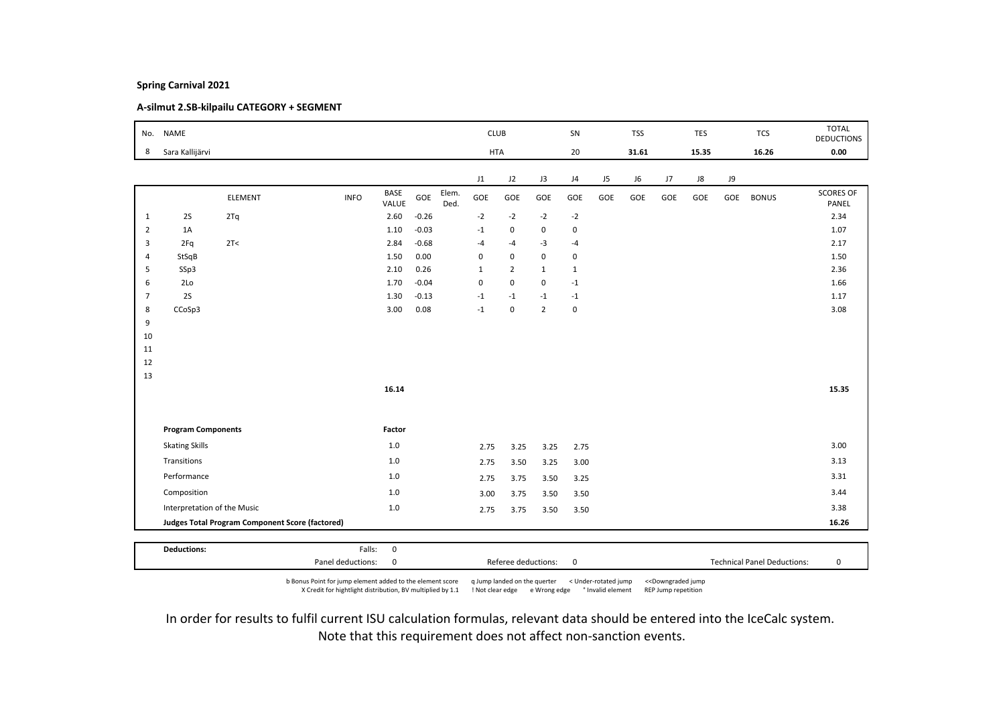# A-silmut 2.SB-kilpailu CATEGORY + SEGMENT

|                | No. NAME                    |                                                 |                   |                      |         |               | <b>CLUB</b>  |                     |                | SN           |     | <b>TSS</b> |     | <b>TES</b> |     | <b>TCS</b>                         | <b>TOTAL</b><br><b>DEDUCTIONS</b> |
|----------------|-----------------------------|-------------------------------------------------|-------------------|----------------------|---------|---------------|--------------|---------------------|----------------|--------------|-----|------------|-----|------------|-----|------------------------------------|-----------------------------------|
| 8              | Sara Kallijärvi             |                                                 |                   |                      |         |               | <b>HTA</b>   |                     |                | 20           |     | 31.61      |     | 15.35      |     | 16.26                              | 0.00                              |
|                |                             |                                                 |                   |                      |         |               | J1           | J2                  | J3             | J4           | J5  | J6         | J7  | J8         | J9  |                                    |                                   |
|                |                             | ELEMENT                                         | <b>INFO</b>       | <b>BASE</b><br>VALUE | GOE     | Elem.<br>Ded. | GOE          | GOE                 | GOE            | GOE          | GOE | GOE        | GOE | GOE        | GOE | <b>BONUS</b>                       | <b>SCORES OF</b><br>PANEL         |
| $\mathbf{1}$   | 2S                          | 2Tq                                             |                   | 2.60                 | $-0.26$ |               | $-2$         | $-2$                | $-2$           | $-2$         |     |            |     |            |     |                                    | 2.34                              |
| $\overline{2}$ | 1A                          |                                                 |                   | 1.10                 | $-0.03$ |               | $-1$         | 0                   | 0              | $\mathbf 0$  |     |            |     |            |     |                                    | 1.07                              |
| 3              | 2Fq                         | 2T <                                            |                   | 2.84                 | $-0.68$ |               | $-4$         | $-4$                | $-3$           | $-4$         |     |            |     |            |     |                                    | 2.17                              |
| $\overline{4}$ | StSqB                       |                                                 |                   | 1.50                 | 0.00    |               | $\mathbf 0$  | $\mathbf 0$         | $\mathbf 0$    | $\mathsf 0$  |     |            |     |            |     |                                    | 1.50                              |
| 5              | SSp3                        |                                                 |                   | 2.10                 | 0.26    |               | $\mathbf{1}$ | $\overline{2}$      | $\mathbf{1}$   | $\mathbf{1}$ |     |            |     |            |     |                                    | 2.36                              |
| 6              | 2Lo                         |                                                 |                   | 1.70                 | $-0.04$ |               | $\pmb{0}$    | 0                   | 0              | $-1$         |     |            |     |            |     |                                    | 1.66                              |
| $\overline{7}$ | 2S                          |                                                 |                   | 1.30                 | $-0.13$ |               | $-1$         | $-1$                | $-1$           | $-1$         |     |            |     |            |     |                                    | 1.17                              |
| 8              | CCoSp3                      |                                                 |                   | 3.00                 | 0.08    |               | $-1$         | $\mathsf 0$         | $\overline{2}$ | $\mathbf 0$  |     |            |     |            |     |                                    | 3.08                              |
| 9              |                             |                                                 |                   |                      |         |               |              |                     |                |              |     |            |     |            |     |                                    |                                   |
| 10             |                             |                                                 |                   |                      |         |               |              |                     |                |              |     |            |     |            |     |                                    |                                   |
| 11             |                             |                                                 |                   |                      |         |               |              |                     |                |              |     |            |     |            |     |                                    |                                   |
| 12             |                             |                                                 |                   |                      |         |               |              |                     |                |              |     |            |     |            |     |                                    |                                   |
| 13             |                             |                                                 |                   |                      |         |               |              |                     |                |              |     |            |     |            |     |                                    |                                   |
|                |                             |                                                 |                   | 16.14                |         |               |              |                     |                |              |     |            |     |            |     |                                    | 15.35                             |
|                |                             |                                                 |                   |                      |         |               |              |                     |                |              |     |            |     |            |     |                                    |                                   |
|                | <b>Program Components</b>   |                                                 |                   | Factor               |         |               |              |                     |                |              |     |            |     |            |     |                                    |                                   |
|                | <b>Skating Skills</b>       |                                                 |                   | 1.0                  |         |               | 2.75         | 3.25                | 3.25           | 2.75         |     |            |     |            |     |                                    | 3.00                              |
|                | Transitions                 |                                                 |                   | 1.0                  |         |               | 2.75         | 3.50                | 3.25           | 3.00         |     |            |     |            |     |                                    | 3.13                              |
|                | Performance                 |                                                 |                   | 1.0                  |         |               | 2.75         | 3.75                | 3.50           | 3.25         |     |            |     |            |     |                                    | 3.31                              |
|                | Composition                 |                                                 |                   | $1.0$                |         |               | 3.00         | 3.75                | 3.50           | 3.50         |     |            |     |            |     |                                    | 3.44                              |
|                | Interpretation of the Music |                                                 |                   | $1.0$                |         |               | 2.75         | 3.75                | 3.50           | 3.50         |     |            |     |            |     |                                    | 3.38                              |
|                |                             | Judges Total Program Component Score (factored) |                   |                      |         |               |              |                     |                |              |     |            |     |            |     |                                    | 16.26                             |
|                |                             |                                                 |                   |                      |         |               |              |                     |                |              |     |            |     |            |     |                                    |                                   |
|                | <b>Deductions:</b>          |                                                 | Falls:            | $\mathbf 0$          |         |               |              |                     |                |              |     |            |     |            |     |                                    |                                   |
|                |                             |                                                 | Panel deductions: | 0                    |         |               |              | Referee deductions: |                | $\mathbf 0$  |     |            |     |            |     | <b>Technical Panel Deductions:</b> | 0                                 |

b Bonus Point for jump element added to the element score q Jump landed on the querter < Under-rotated jump <<Downgraded jump X Credit for hightlight distribution, BV multiplied by 1.1 ! Not clear edge e Wrong edge ° Invalid element REP Jump repetition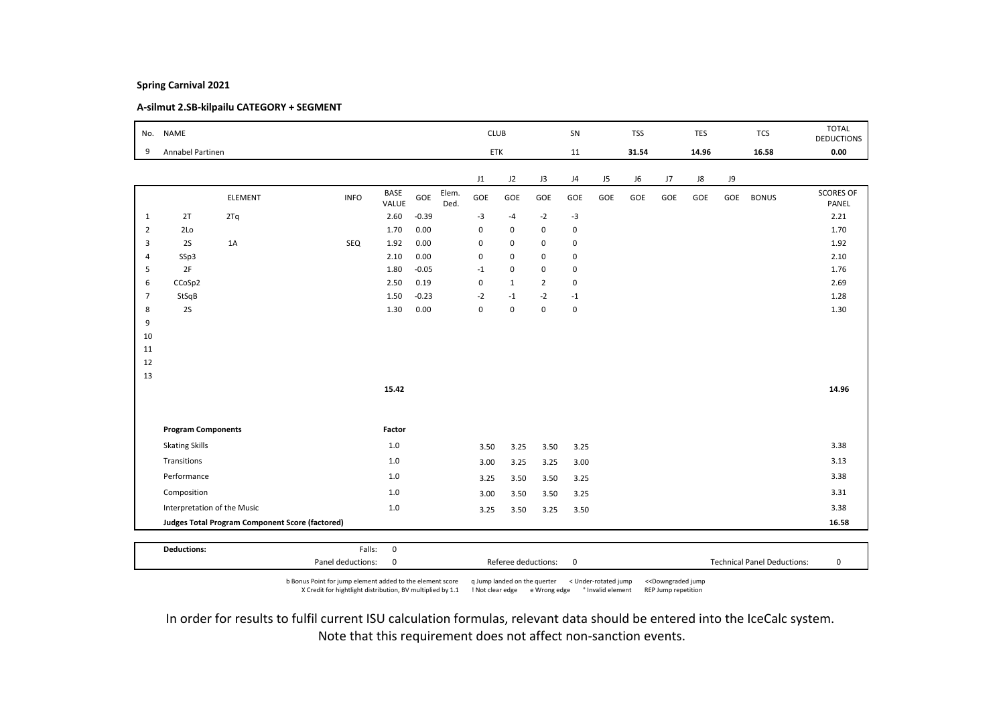# A-silmut 2.SB-kilpailu CATEGORY + SEGMENT

| No.            | <b>NAME</b>                 |                                                 |             |                      |         |               | <b>CLUB</b> |              |                | SN             |     | <b>TSS</b> |     | <b>TES</b> |     | <b>TCS</b>   | <b>TOTAL</b>              |
|----------------|-----------------------------|-------------------------------------------------|-------------|----------------------|---------|---------------|-------------|--------------|----------------|----------------|-----|------------|-----|------------|-----|--------------|---------------------------|
|                | Annabel Partinen            |                                                 |             |                      |         |               | ETK         |              |                |                |     | 31.54      |     | 14.96      |     | 16.58        | <b>DEDUCTIONS</b><br>0.00 |
| 9              |                             |                                                 |             |                      |         |               |             |              |                | 11             |     |            |     |            |     |              |                           |
|                |                             |                                                 |             |                      |         |               | J1          | J2           | J3             | J <sub>4</sub> | J5  | J6         | J7  | J8         | J9  |              |                           |
|                |                             | <b>ELEMENT</b>                                  | <b>INFO</b> | <b>BASE</b><br>VALUE | GOE     | Elem.<br>Ded. | GOE         | GOE          | GOE            | GOE            | GOE | GOE        | GOE | GOE        | GOE | <b>BONUS</b> | <b>SCORES OF</b><br>PANEL |
| $\mathbf{1}$   | 2T                          | 2Tq                                             |             | 2.60                 | $-0.39$ |               | $-3$        | $-4$         | $-2$           | $-3$           |     |            |     |            |     |              | 2.21                      |
| $\overline{2}$ | 2Lo                         |                                                 |             | 1.70                 | 0.00    |               | $\mathbf 0$ | $\mathbf 0$  | $\mathbf 0$    | $\mathbf 0$    |     |            |     |            |     |              | 1.70                      |
| 3              | 2S                          | 1A                                              | SEQ         | 1.92                 | 0.00    |               | $\pmb{0}$   | $\mathsf 0$  | $\mathsf 0$    | $\mathsf 0$    |     |            |     |            |     |              | 1.92                      |
| 4              | SSp3                        |                                                 |             | 2.10                 | 0.00    |               | $\pmb{0}$   | $\mathsf 0$  | $\mathbf 0$    | $\mathbf 0$    |     |            |     |            |     |              | 2.10                      |
| 5              | 2F                          |                                                 |             | 1.80                 | $-0.05$ |               | $-1$        | $\mathsf 0$  | $\mathbf 0$    | $\mathbf 0$    |     |            |     |            |     |              | 1.76                      |
| 6              | CCoSp2                      |                                                 |             | 2.50                 | 0.19    |               | $\mathbf 0$ | $\mathbf{1}$ | $\overline{2}$ | $\mathbf 0$    |     |            |     |            |     |              | 2.69                      |
| $\overline{7}$ | StSqB                       |                                                 |             | 1.50                 | $-0.23$ |               | $-2$        | $-1$         | $-2$           | $-1$           |     |            |     |            |     |              | 1.28                      |
| 8              | 2S                          |                                                 |             | 1.30                 | 0.00    |               | $\mathbf 0$ | $\mathbf 0$  | $\mathsf 0$    | $\mathsf 0$    |     |            |     |            |     |              | 1.30                      |
| 9              |                             |                                                 |             |                      |         |               |             |              |                |                |     |            |     |            |     |              |                           |
| 10<br>11       |                             |                                                 |             |                      |         |               |             |              |                |                |     |            |     |            |     |              |                           |
| 12             |                             |                                                 |             |                      |         |               |             |              |                |                |     |            |     |            |     |              |                           |
| 13             |                             |                                                 |             |                      |         |               |             |              |                |                |     |            |     |            |     |              |                           |
|                |                             |                                                 |             | 15.42                |         |               |             |              |                |                |     |            |     |            |     |              | 14.96                     |
|                |                             |                                                 |             |                      |         |               |             |              |                |                |     |            |     |            |     |              |                           |
|                | <b>Program Components</b>   |                                                 |             | Factor               |         |               |             |              |                |                |     |            |     |            |     |              |                           |
|                | <b>Skating Skills</b>       |                                                 |             | $1.0$                |         |               | 3.50        | 3.25         | 3.50           | 3.25           |     |            |     |            |     |              | 3.38                      |
|                | Transitions                 |                                                 |             | $1.0$                |         |               | 3.00        | 3.25         | 3.25           | 3.00           |     |            |     |            |     |              | 3.13                      |
|                | Performance                 |                                                 |             | 1.0                  |         |               | 3.25        | 3.50         | 3.50           | 3.25           |     |            |     |            |     |              | 3.38                      |
|                | Composition                 |                                                 |             | $1.0$                |         |               |             | 3.50         |                |                |     |            |     |            |     |              | 3.31                      |
|                |                             |                                                 |             |                      |         |               | 3.00        |              | 3.50           | 3.25           |     |            |     |            |     |              | 3.38                      |
|                | Interpretation of the Music |                                                 |             | $1.0$                |         |               | 3.25        | 3.50         | 3.25           | 3.50           |     |            |     |            |     |              |                           |
|                |                             | Judges Total Program Component Score (factored) |             |                      |         |               |             |              |                |                |     |            |     |            |     |              | 16.58                     |
|                | <b>Deductions:</b>          |                                                 | Falls:      | $\mathsf 0$          |         |               |             |              |                |                |     |            |     |            |     |              |                           |
|                |                             |                                                 |             |                      |         |               |             |              |                |                |     |            |     |            |     |              |                           |

b Bonus Point for jump element added to the element score q Jump landed on the querter < Under-rotated jump <<Downgraded jump X Credit for hightlight distribution, BV multiplied by 1.1 ! Not clear edge e Wrong edge ° Invalid element REP Jump repetition

Panel deductions: 0 Referee deductions: 0 Technical Panel Deductions: 0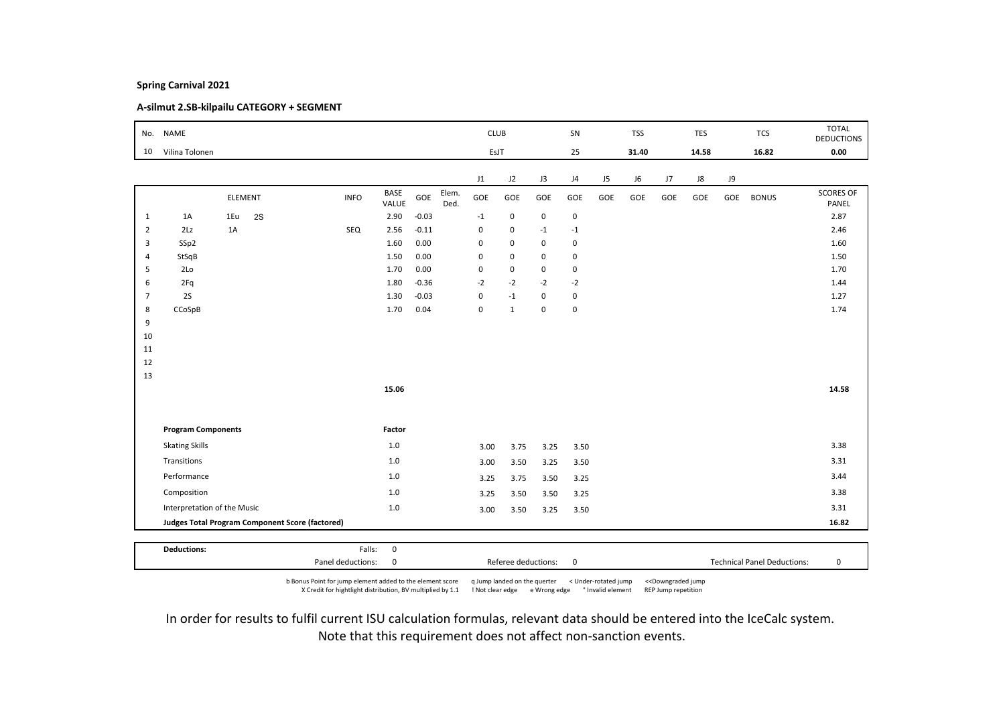# A-silmut 2.SB-kilpailu CATEGORY + SEGMENT

|                | No. NAME                    |     |         |                                                 |                      |         |               | <b>CLUB</b> |              |                     | SN          |     | <b>TSS</b> |     | <b>TES</b> |     | <b>TCS</b>                         | <b>TOTAL</b><br><b>DEDUCTIONS</b> |
|----------------|-----------------------------|-----|---------|-------------------------------------------------|----------------------|---------|---------------|-------------|--------------|---------------------|-------------|-----|------------|-----|------------|-----|------------------------------------|-----------------------------------|
| 10             | Vilina Tolonen              |     |         |                                                 |                      |         |               | EsJT        |              |                     | 25          |     | 31.40      |     | 14.58      |     | 16.82                              | 0.00                              |
|                |                             |     |         |                                                 |                      |         |               | J1          | J2           | J3                  | J4          | J5  | J6         | J7  | J8         | J9  |                                    |                                   |
|                |                             |     | ELEMENT | <b>INFO</b>                                     | <b>BASE</b><br>VALUE | GOE     | Elem.<br>Ded. | GOE         | GOE          | GOE                 | GOE         | GOE | GOE        | GOE | GOE        | GOE | <b>BONUS</b>                       | <b>SCORES OF</b><br>PANEL         |
| $\mathbf{1}$   | 1A                          | 1Eu | 2S      |                                                 | 2.90                 | $-0.03$ |               | $-1$        | $\mathsf 0$  | $\mathbf 0$         | $\mathbf 0$ |     |            |     |            |     |                                    | 2.87                              |
| $\overline{2}$ | 2Lz                         | 1A  |         | SEQ                                             | 2.56                 | $-0.11$ |               | $\pmb{0}$   | 0            | $-1$                | $-1$        |     |            |     |            |     |                                    | 2.46                              |
| 3              | SSp2                        |     |         |                                                 | 1.60                 | 0.00    |               | $\mathbf 0$ | 0            | $\mathbf 0$         | $\mathbf 0$ |     |            |     |            |     |                                    | 1.60                              |
| $\overline{4}$ | StSqB                       |     |         |                                                 | 1.50                 | 0.00    |               | $\mathbf 0$ | $\mathbf 0$  | 0                   | $\mathsf 0$ |     |            |     |            |     |                                    | 1.50                              |
| 5              | 2Lo                         |     |         |                                                 | 1.70                 | 0.00    |               | $\mathbf 0$ | 0            | 0                   | $\mathsf 0$ |     |            |     |            |     |                                    | 1.70                              |
| 6              | 2Fq                         |     |         |                                                 | 1.80                 | $-0.36$ |               | $-2$        | $-2$         | $-2$                | $-2$        |     |            |     |            |     |                                    | 1.44                              |
| $\overline{7}$ | 2S                          |     |         |                                                 | 1.30                 | $-0.03$ |               | $\pmb{0}$   | $-1$         | 0                   | $\mathbf 0$ |     |            |     |            |     |                                    | 1.27                              |
| 8              | CCoSpB                      |     |         |                                                 | 1.70                 | 0.04    |               | $\pmb{0}$   | $\mathbf{1}$ | $\mathbf 0$         | $\pmb{0}$   |     |            |     |            |     |                                    | 1.74                              |
| 9              |                             |     |         |                                                 |                      |         |               |             |              |                     |             |     |            |     |            |     |                                    |                                   |
| 10             |                             |     |         |                                                 |                      |         |               |             |              |                     |             |     |            |     |            |     |                                    |                                   |
| 11             |                             |     |         |                                                 |                      |         |               |             |              |                     |             |     |            |     |            |     |                                    |                                   |
| 12             |                             |     |         |                                                 |                      |         |               |             |              |                     |             |     |            |     |            |     |                                    |                                   |
| 13             |                             |     |         |                                                 |                      |         |               |             |              |                     |             |     |            |     |            |     |                                    |                                   |
|                |                             |     |         |                                                 | 15.06                |         |               |             |              |                     |             |     |            |     |            |     |                                    | 14.58                             |
|                | <b>Program Components</b>   |     |         |                                                 | Factor               |         |               |             |              |                     |             |     |            |     |            |     |                                    |                                   |
|                | <b>Skating Skills</b>       |     |         |                                                 | 1.0                  |         |               | 3.00        | 3.75         | 3.25                | 3.50        |     |            |     |            |     |                                    | 3.38                              |
|                | Transitions                 |     |         |                                                 | 1.0                  |         |               |             |              |                     |             |     |            |     |            |     |                                    | 3.31                              |
|                |                             |     |         |                                                 |                      |         |               | 3.00        | 3.50         | 3.25                | 3.50        |     |            |     |            |     |                                    |                                   |
|                | Performance                 |     |         |                                                 | 1.0                  |         |               | 3.25        | 3.75         | 3.50                | 3.25        |     |            |     |            |     |                                    | 3.44                              |
|                | Composition                 |     |         |                                                 | $1.0$                |         |               | 3.25        | 3.50         | 3.50                | 3.25        |     |            |     |            |     |                                    | 3.38                              |
|                | Interpretation of the Music |     |         |                                                 | $1.0$                |         |               | 3.00        | 3.50         | 3.25                | 3.50        |     |            |     |            |     |                                    | 3.31                              |
|                |                             |     |         | Judges Total Program Component Score (factored) |                      |         |               |             |              |                     |             |     |            |     |            |     |                                    | 16.82                             |
|                | <b>Deductions:</b>          |     |         | Falls:                                          | $\mathbf 0$          |         |               |             |              |                     |             |     |            |     |            |     |                                    |                                   |
|                |                             |     |         | Panel deductions:                               | 0                    |         |               |             |              | Referee deductions: | $\mathbf 0$ |     |            |     |            |     | <b>Technical Panel Deductions:</b> | 0                                 |

b Bonus Point for jump element added to the element score q Jump landed on the querter < Under-rotated jump <<Downgraded jump X Credit for hightlight distribution, BV multiplied by 1.1 ! Not clear edge e Wrong edge ° Invalid element REP Jump repetition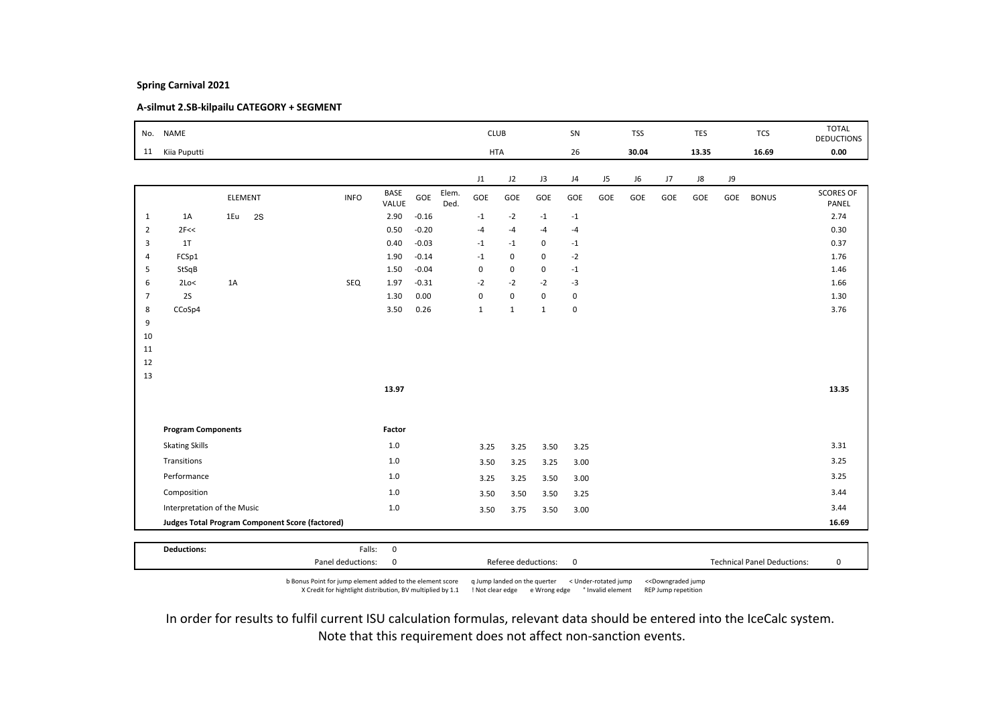# A-silmut 2.SB-kilpailu CATEGORY + SEGMENT

|                | No. NAME                    |     |         |                                                        |             |                      |         |               | <b>CLUB</b>  |              |              | SN          |     | <b>TSS</b> |     | TES   |     | <b>TCS</b>   | <b>TOTAL</b><br><b>DEDUCTIONS</b> |
|----------------|-----------------------------|-----|---------|--------------------------------------------------------|-------------|----------------------|---------|---------------|--------------|--------------|--------------|-------------|-----|------------|-----|-------|-----|--------------|-----------------------------------|
| 11             | Kiia Puputti                |     |         |                                                        |             |                      |         |               | <b>HTA</b>   |              |              | 26          |     | 30.04      |     | 13.35 |     | 16.69        | 0.00                              |
|                |                             |     |         |                                                        |             |                      |         |               | J1           | J2           | J3           | J4          | J5  | J6         | J7  | J8    | J9  |              |                                   |
|                |                             |     | ELEMENT |                                                        | <b>INFO</b> | <b>BASE</b><br>VALUE | GOE     | Elem.<br>Ded. | GOE          | GOE          | GOE          | GOE         | GOE | GOE        | GOE | GOE   | GOE | <b>BONUS</b> | <b>SCORES OF</b><br>PANEL         |
| $\mathbf{1}$   | 1A                          | 1Eu | 2S      |                                                        |             | 2.90                 | $-0.16$ |               | $-1$         | $-2$         | $-1$         | $-1$        |     |            |     |       |     |              | 2.74                              |
| $\overline{2}$ | 2F<<                        |     |         |                                                        |             | 0.50                 | $-0.20$ |               | $-4$         | $-4$         | $-4$         | $-4$        |     |            |     |       |     |              | 0.30                              |
| 3              | 1T                          |     |         |                                                        |             | 0.40                 | $-0.03$ |               | $-1$         | $-1$         | $\mathbf 0$  | $-1$        |     |            |     |       |     |              | 0.37                              |
| $\overline{4}$ | FCSp1                       |     |         |                                                        |             | 1.90                 | $-0.14$ |               | $-1$         | $\mathbf 0$  | 0            | $-2$        |     |            |     |       |     |              | 1.76                              |
| 5              | StSqB                       |     |         |                                                        |             | 1.50                 | $-0.04$ |               | $\pmb{0}$    | 0            | 0            | $-1$        |     |            |     |       |     |              | 1.46                              |
| 6              | 2Lo<                        | 1A  |         |                                                        | SEQ         | 1.97                 | $-0.31$ |               | $-2$         | $-2$         | $-2$         | $-3$        |     |            |     |       |     |              | 1.66                              |
| $\overline{7}$ | 2S                          |     |         |                                                        |             | 1.30                 | 0.00    |               | 0            | $\mathbf 0$  | 0            | $\mathbf 0$ |     |            |     |       |     |              | 1.30                              |
| 8              | CCoSp4                      |     |         |                                                        |             | 3.50                 | 0.26    |               | $\mathbf{1}$ | $\mathbf{1}$ | $\mathbf{1}$ | $\mathbf 0$ |     |            |     |       |     |              | 3.76                              |
| 9<br>10        |                             |     |         |                                                        |             |                      |         |               |              |              |              |             |     |            |     |       |     |              |                                   |
| 11             |                             |     |         |                                                        |             |                      |         |               |              |              |              |             |     |            |     |       |     |              |                                   |
| 12             |                             |     |         |                                                        |             |                      |         |               |              |              |              |             |     |            |     |       |     |              |                                   |
| 13             |                             |     |         |                                                        |             |                      |         |               |              |              |              |             |     |            |     |       |     |              |                                   |
|                |                             |     |         |                                                        |             | 13.97                |         |               |              |              |              |             |     |            |     |       |     |              | 13.35                             |
|                |                             |     |         |                                                        |             |                      |         |               |              |              |              |             |     |            |     |       |     |              |                                   |
|                | <b>Program Components</b>   |     |         |                                                        |             | Factor               |         |               |              |              |              |             |     |            |     |       |     |              |                                   |
|                | <b>Skating Skills</b>       |     |         |                                                        |             | 1.0                  |         |               | 3.25         | 3.25         | 3.50         | 3.25        |     |            |     |       |     |              | 3.31                              |
|                | Transitions                 |     |         |                                                        |             | 1.0                  |         |               | 3.50         | 3.25         | 3.25         | 3.00        |     |            |     |       |     |              | 3.25                              |
|                | Performance                 |     |         |                                                        |             | 1.0                  |         |               | 3.25         | 3.25         | 3.50         | 3.00        |     |            |     |       |     |              | 3.25                              |
|                | Composition                 |     |         |                                                        |             | $1.0\,$              |         |               | 3.50         | 3.50         | 3.50         | 3.25        |     |            |     |       |     |              | 3.44                              |
|                | Interpretation of the Music |     |         |                                                        |             | 1.0                  |         |               | 3.50         | 3.75         | 3.50         | 3.00        |     |            |     |       |     |              | 3.44                              |
|                |                             |     |         | <b>Judges Total Program Component Score (factored)</b> |             |                      |         |               |              |              |              |             |     |            |     |       |     |              | 16.69                             |
|                |                             |     |         |                                                        |             |                      |         |               |              |              |              |             |     |            |     |       |     |              |                                   |
|                | <b>Deductions:</b>          |     |         |                                                        | Falls:      | $\mathbf 0$          |         |               |              |              |              |             |     |            |     |       |     |              |                                   |

b Bonus Point for jump element added to the element score q Jump landed on the querter < Under-rotated jump <<Downgraded jump X Credit for hightlight distribution, BV multiplied by 1.1 ! Not clear edge e Wrong edge ° Invalid element REP Jump repetition

Panel deductions: 0 Referee deductions: 0 Technical Panel Deductions: 0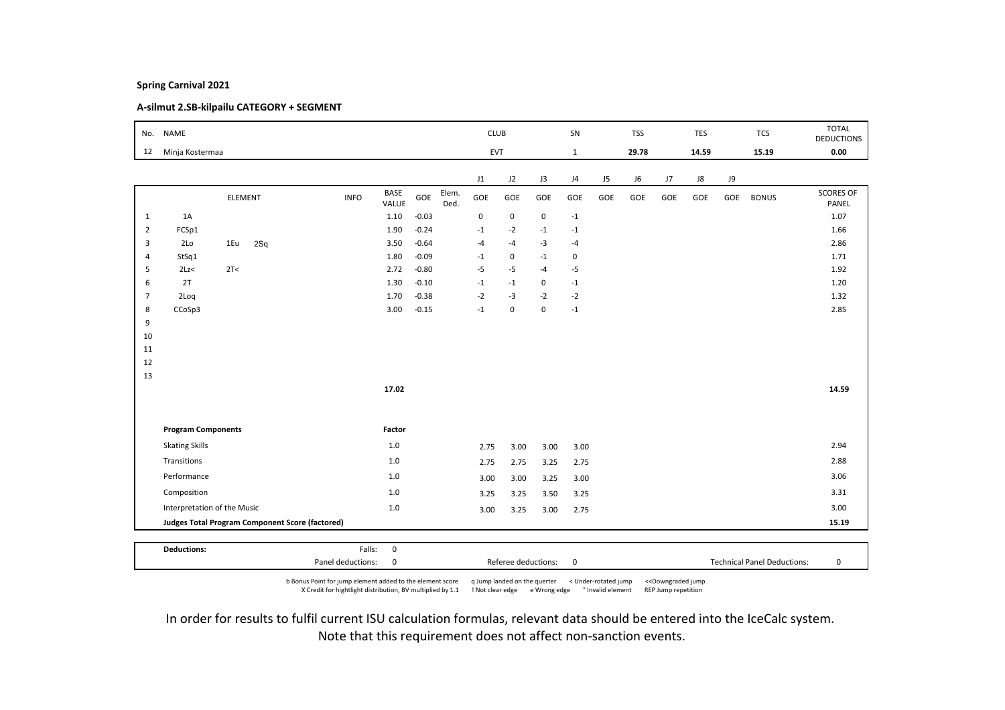# A-silmut 2.SB-kilpailu CATEGORY + SEGMENT

| No.            | <b>NAME</b>               |                                                        |             |                      |         |               | <b>CLUB</b> |             |             | SN             |     | <b>TSS</b> |     | <b>TES</b> |     | <b>TCS</b>   | <b>TOTAL</b><br><b>DEDUCTIONS</b> |
|----------------|---------------------------|--------------------------------------------------------|-------------|----------------------|---------|---------------|-------------|-------------|-------------|----------------|-----|------------|-----|------------|-----|--------------|-----------------------------------|
| 12             | Minja Kostermaa           |                                                        |             |                      |         |               | EVT         |             |             | $\mathbf{1}$   |     | 29.78      |     | 14.59      |     | 15.19        | 0.00                              |
|                |                           |                                                        |             |                      |         |               | J1          | J2          | J3          | J <sub>4</sub> | J5  | J6         | J7  | J8         | J9  |              |                                   |
|                |                           | ELEMENT                                                | <b>INFO</b> | <b>BASE</b><br>VALUE | GOE     | Elem.<br>Ded. | GOE         | GOE         | GOE         | GOE            | GOE | GOE        | GOE | GOE        | GOE | <b>BONUS</b> | <b>SCORES OF</b><br>PANEL         |
| 1              | 1A                        |                                                        |             | 1.10                 | $-0.03$ |               | 0           | $\mathsf 0$ | $\mathbf 0$ | $-1$           |     |            |     |            |     |              | 1.07                              |
| $\overline{2}$ | FCSp1                     |                                                        |             | 1.90                 | $-0.24$ |               | $-1$        | $-2$        | $-1$        | $-1$           |     |            |     |            |     |              | 1.66                              |
| 3              | 2 <sub>LO</sub>           | 1Eu<br>2Sq                                             |             | 3.50                 | $-0.64$ |               | $-4$        | $-4$        | $-3$        | $-4$           |     |            |     |            |     |              | 2.86                              |
| $\overline{4}$ | StSq1                     |                                                        |             | 1.80                 | $-0.09$ |               | $-1$        | $\mathsf 0$ | $-1$        | $\mathsf 0$    |     |            |     |            |     |              | 1.71                              |
| 5              | 2Lz<                      | 2T<                                                    |             | 2.72                 | $-0.80$ |               | $-5$        | $-5$        | $-4$        | $-5$           |     |            |     |            |     |              | 1.92                              |
| 6              | 2T                        |                                                        |             | 1.30                 | $-0.10$ |               | $-1$        | $-1$        | 0           | $-1$           |     |            |     |            |     |              | 1.20                              |
| $\overline{7}$ | 2Loq                      |                                                        |             | 1.70                 | $-0.38$ |               | $-2$        | $-3$        | $-2$        | $-2$           |     |            |     |            |     |              | 1.32                              |
| 8              | CCoSp3                    |                                                        |             | 3.00                 | $-0.15$ |               | $-1$        | $\mathbf 0$ | $\mathsf 0$ | $-1$           |     |            |     |            |     |              | 2.85                              |
| 9              |                           |                                                        |             |                      |         |               |             |             |             |                |     |            |     |            |     |              |                                   |
| 10<br>11       |                           |                                                        |             |                      |         |               |             |             |             |                |     |            |     |            |     |              |                                   |
| 12             |                           |                                                        |             |                      |         |               |             |             |             |                |     |            |     |            |     |              |                                   |
| 13             |                           |                                                        |             |                      |         |               |             |             |             |                |     |            |     |            |     |              |                                   |
|                |                           |                                                        |             | 17.02                |         |               |             |             |             |                |     |            |     |            |     |              | 14.59                             |
|                |                           |                                                        |             |                      |         |               |             |             |             |                |     |            |     |            |     |              |                                   |
|                | <b>Program Components</b> |                                                        |             | Factor               |         |               |             |             |             |                |     |            |     |            |     |              |                                   |
|                | <b>Skating Skills</b>     |                                                        |             | $1.0$                |         |               | 2.75        | 3.00        | 3.00        | 3.00           |     |            |     |            |     |              | 2.94                              |
|                | Transitions               |                                                        |             | $1.0$                |         |               | 2.75        | 2.75        | 3.25        | 2.75           |     |            |     |            |     |              | 2.88                              |
|                | Performance               |                                                        |             | 1.0                  |         |               | 3.00        | 3.00        | 3.25        | 3.00           |     |            |     |            |     |              | 3.06                              |
|                | Composition               |                                                        |             | 1.0                  |         |               | 3.25        | 3.25        | 3.50        | 3.25           |     |            |     |            |     |              | 3.31                              |
|                |                           | Interpretation of the Music                            |             | $1.0$                |         |               | 3.00        | 3.25        | 3.00        | 2.75           |     |            |     |            |     |              | 3.00                              |
|                |                           | <b>Judges Total Program Component Score (factored)</b> |             |                      |         |               |             |             |             |                |     |            |     |            |     |              | 15.19                             |
|                |                           |                                                        |             |                      |         |               |             |             |             |                |     |            |     |            |     |              |                                   |
|                | <b>Deductions:</b>        |                                                        | Falls:      | $\mathsf 0$          |         |               |             |             |             |                |     |            |     |            |     |              |                                   |

b Bonus Point for jump element added to the element score q Jump landed on the querter < Under-rotated jump <<Downgraded jump X Credit for hightlight distribution, BV multiplied by 1.1 ! Not clear edge e Wrong edge ° Invalid element REP Jump repetition

Panel deductions: 0 Referee deductions: 0 Technical Panel Deductions: 0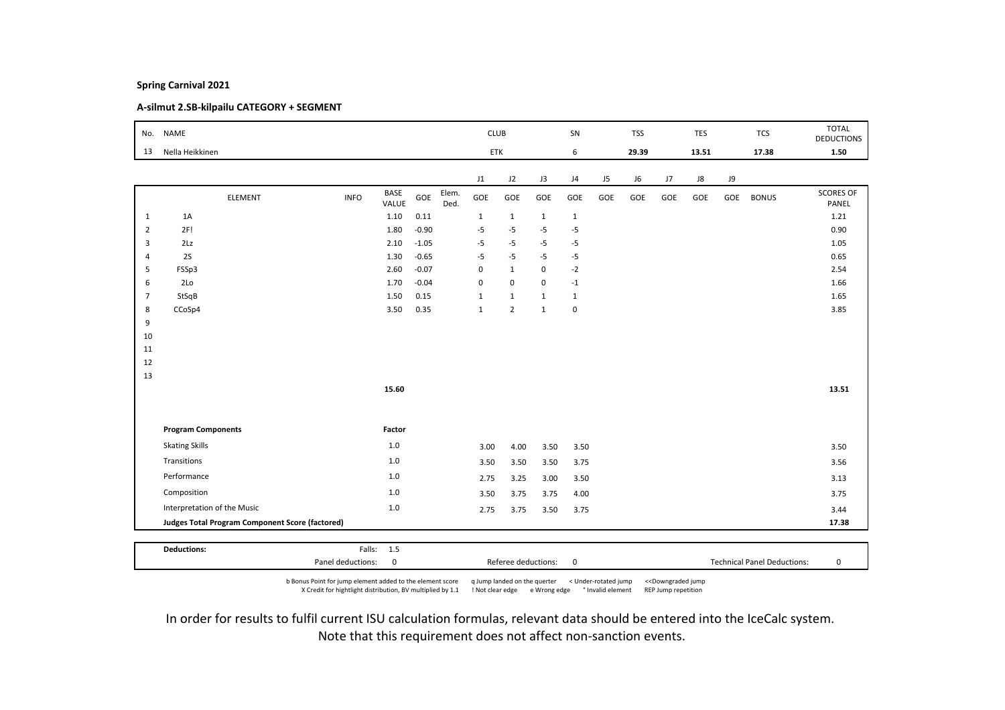# A-silmut 2.SB-kilpailu CATEGORY + SEGMENT

|                | No. NAME                                               |                              |         |               | <b>CLUB</b>  |                |              | SN           |     | <b>TSS</b> |     | <b>TES</b> |     | <b>TCS</b>   | <b>TOTAL</b><br><b>DEDUCTIONS</b> |
|----------------|--------------------------------------------------------|------------------------------|---------|---------------|--------------|----------------|--------------|--------------|-----|------------|-----|------------|-----|--------------|-----------------------------------|
| 13             | Nella Heikkinen                                        |                              |         |               | ETK          |                |              | 6            |     | 29.39      |     | 13.51      |     | 17.38        | 1.50                              |
|                |                                                        |                              |         |               | J1           | J2             | J3           | J4           | J5  | J6         | J7  | ${\sf J}8$ | J9  |              |                                   |
|                | ELEMENT                                                | BASE<br><b>INFO</b><br>VALUE | GOE     | Elem.<br>Ded. | GOE          | GOE            | GOE          | GOE          | GOE | GOE        | GOE | GOE        | GOE | <b>BONUS</b> | <b>SCORES OF</b><br>PANEL         |
| $\mathbf{1}$   | 1A                                                     | 1.10                         | 0.11    |               | $\mathbf{1}$ | $\mathbf{1}$   | $\mathbf{1}$ | $\mathbf{1}$ |     |            |     |            |     |              | 1.21                              |
| $\overline{2}$ | 2F!                                                    | 1.80                         | $-0.90$ |               | $-5$         | $-5$           | $-5$         | $-5$         |     |            |     |            |     |              | 0.90                              |
| 3              | 2Lz                                                    | 2.10                         | $-1.05$ |               | $-5$         | $-5$           | $-5$         | $-5$         |     |            |     |            |     |              | 1.05                              |
| $\overline{4}$ | 2S                                                     | 1.30                         | $-0.65$ |               | $-5$         | $-5$           | $-5$         | $-5$         |     |            |     |            |     |              | 0.65                              |
| 5              | FSSp3                                                  | 2.60                         | $-0.07$ |               | $\mathbf 0$  | $\mathbf{1}$   | $\mathbf 0$  | $-2$         |     |            |     |            |     |              | 2.54                              |
| 6              | 2Lo                                                    | 1.70                         | $-0.04$ |               | $\pmb{0}$    | $\mathsf 0$    | $\mathbf 0$  | $-1$         |     |            |     |            |     |              | 1.66                              |
| $\overline{7}$ | StSqB                                                  | 1.50                         | 0.15    |               | $\mathbf{1}$ | $\mathbf{1}$   | $\mathbf{1}$ | $\mathbf{1}$ |     |            |     |            |     |              | 1.65                              |
| 8              | CCoSp4                                                 | 3.50                         | 0.35    |               | $\mathbf{1}$ | $\overline{2}$ | $\mathbf{1}$ | $\mathbf 0$  |     |            |     |            |     |              | 3.85                              |
| 9              |                                                        |                              |         |               |              |                |              |              |     |            |     |            |     |              |                                   |
| 10             |                                                        |                              |         |               |              |                |              |              |     |            |     |            |     |              |                                   |
| 11<br>12       |                                                        |                              |         |               |              |                |              |              |     |            |     |            |     |              |                                   |
| 13             |                                                        |                              |         |               |              |                |              |              |     |            |     |            |     |              |                                   |
|                |                                                        | 15.60                        |         |               |              |                |              |              |     |            |     |            |     |              | 13.51                             |
|                |                                                        |                              |         |               |              |                |              |              |     |            |     |            |     |              |                                   |
|                | <b>Program Components</b>                              | Factor                       |         |               |              |                |              |              |     |            |     |            |     |              |                                   |
|                | <b>Skating Skills</b>                                  | 1.0                          |         |               | 3.00         | 4.00           | 3.50         | 3.50         |     |            |     |            |     |              | 3.50                              |
|                | Transitions                                            | $1.0$                        |         |               | 3.50         | 3.50           | 3.50         | 3.75         |     |            |     |            |     |              | 3.56                              |
|                | Performance                                            | 1.0                          |         |               | 2.75         | 3.25           | 3.00         | 3.50         |     |            |     |            |     |              | 3.13                              |
|                | Composition                                            | 1.0                          |         |               | 3.50         | 3.75           | 3.75         | 4.00         |     |            |     |            |     |              | 3.75                              |
|                | Interpretation of the Music                            | $1.0\,$                      |         |               | 2.75         | 3.75           | 3.50         | 3.75         |     |            |     |            |     |              | 3.44                              |
|                | <b>Judges Total Program Component Score (factored)</b> |                              |         |               |              |                |              |              |     |            |     |            |     |              | 17.38                             |
|                |                                                        |                              |         |               |              |                |              |              |     |            |     |            |     |              |                                   |
|                | <b>Deductions:</b>                                     | Falls: 1.5                   |         |               |              |                |              |              |     |            |     |            |     |              |                                   |

b Bonus Point for jump element added to the element score q Jump landed on the querter < Under-rotated jump <<Downgraded jump X Credit for hightlight distribution, BV multiplied by 1.1 ! Not clear edge e Wrong edge ° Invalid element REP Jump repetition

Panel deductions: 0 Referee deductions: 0 Technical Panel Deductions: 0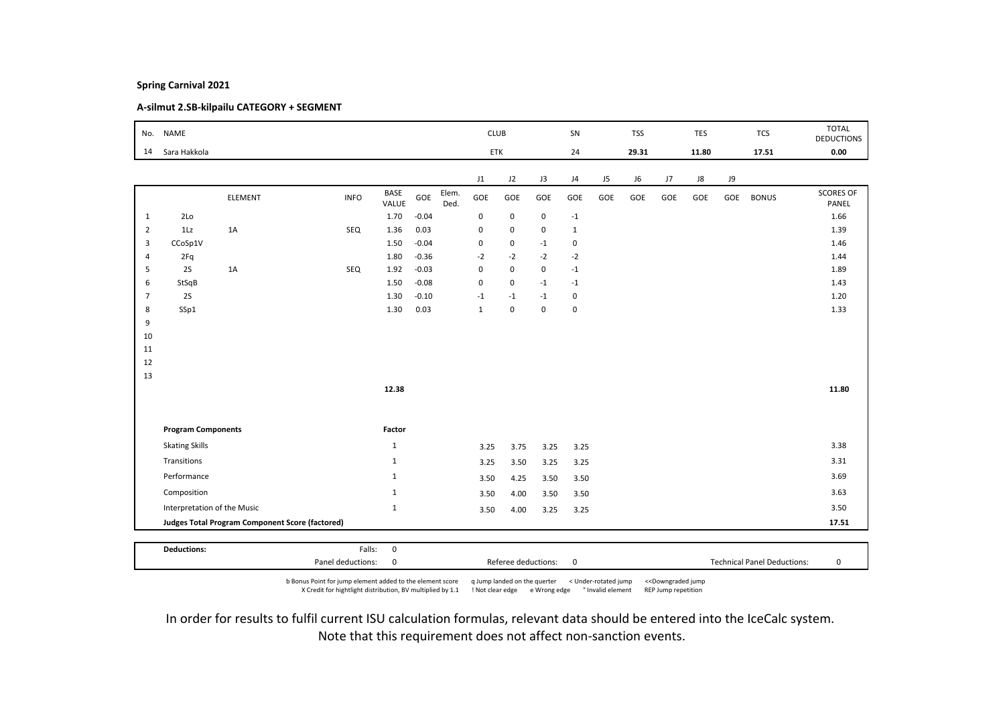# A-silmut 2.SB-kilpailu CATEGORY + SEGMENT

|                | No. NAME                    |                                                 |                   |                      |         |               | <b>CLUB</b>  |             |                     | SN           |     | <b>TSS</b> |     | <b>TES</b> |     | <b>TCS</b>                         | <b>TOTAL</b><br><b>DEDUCTIONS</b> |
|----------------|-----------------------------|-------------------------------------------------|-------------------|----------------------|---------|---------------|--------------|-------------|---------------------|--------------|-----|------------|-----|------------|-----|------------------------------------|-----------------------------------|
| 14             | Sara Hakkola                |                                                 |                   |                      |         |               | ETK          |             |                     | 24           |     | 29.31      |     | 11.80      |     | 17.51                              | 0.00                              |
|                |                             |                                                 |                   |                      |         |               | J1           | J2          | J3                  | J4           | J5  | J6         | J7  | J8         | J9  |                                    |                                   |
|                |                             | ELEMENT                                         | <b>INFO</b>       | <b>BASE</b><br>VALUE | GOE     | Elem.<br>Ded. | GOE          | GOE         | GOE                 | GOE          | GOE | GOE        | GOE | GOE        | GOE | <b>BONUS</b>                       | <b>SCORES OF</b><br>PANEL         |
| $\mathbf{1}$   | 2Lo                         |                                                 |                   | 1.70                 | $-0.04$ |               | $\mathbf 0$  | $\mathsf 0$ | $\mathbf 0$         | $-1$         |     |            |     |            |     |                                    | 1.66                              |
| $\overline{2}$ | 1Lz                         | 1A                                              | SEQ               | 1.36                 | 0.03    |               | $\pmb{0}$    | 0           | 0                   | $\mathbf{1}$ |     |            |     |            |     |                                    | 1.39                              |
| 3              | CCoSp1V                     |                                                 |                   | 1.50                 | $-0.04$ |               | $\mathbf 0$  | 0           | $-1$                | $\pmb{0}$    |     |            |     |            |     |                                    | 1.46                              |
| $\overline{4}$ | 2Fq                         |                                                 |                   | 1.80                 | $-0.36$ |               | $-2$         | $-2$        | $-2$                | $-2$         |     |            |     |            |     |                                    | 1.44                              |
| 5              | 2S                          | 1A                                              | SEQ               | 1.92                 | $-0.03$ |               | $\mathbf 0$  | 0           | $\mathbf 0$         | $-1$         |     |            |     |            |     |                                    | 1.89                              |
| 6              | StSqB                       |                                                 |                   | 1.50                 | $-0.08$ |               | $\pmb{0}$    | $\mathsf 0$ | $-1$                | $-1$         |     |            |     |            |     |                                    | 1.43                              |
| $\overline{7}$ | 2S                          |                                                 |                   | 1.30                 | $-0.10$ |               | $-1$         | $-1$        | $-1$                | $\mathsf 0$  |     |            |     |            |     |                                    | 1.20                              |
| 8              | SSp1                        |                                                 |                   | 1.30                 | 0.03    |               | $\mathbf{1}$ | $\mathsf 0$ | $\mathbf 0$         | $\mathbf 0$  |     |            |     |            |     |                                    | 1.33                              |
| 9              |                             |                                                 |                   |                      |         |               |              |             |                     |              |     |            |     |            |     |                                    |                                   |
| 10             |                             |                                                 |                   |                      |         |               |              |             |                     |              |     |            |     |            |     |                                    |                                   |
| 11             |                             |                                                 |                   |                      |         |               |              |             |                     |              |     |            |     |            |     |                                    |                                   |
| 12             |                             |                                                 |                   |                      |         |               |              |             |                     |              |     |            |     |            |     |                                    |                                   |
| 13             |                             |                                                 |                   |                      |         |               |              |             |                     |              |     |            |     |            |     |                                    |                                   |
|                |                             |                                                 |                   | 12.38                |         |               |              |             |                     |              |     |            |     |            |     |                                    | 11.80                             |
|                |                             |                                                 |                   |                      |         |               |              |             |                     |              |     |            |     |            |     |                                    |                                   |
|                | <b>Program Components</b>   |                                                 |                   | Factor               |         |               |              |             |                     |              |     |            |     |            |     |                                    |                                   |
|                | <b>Skating Skills</b>       |                                                 |                   | $\mathbf{1}$         |         |               | 3.25         | 3.75        | 3.25                | 3.25         |     |            |     |            |     |                                    | 3.38                              |
|                | Transitions                 |                                                 |                   | $\mathbf{1}$         |         |               | 3.25         | 3.50        | 3.25                | 3.25         |     |            |     |            |     |                                    | 3.31                              |
|                | Performance                 |                                                 |                   | $\mathbf{1}$         |         |               | 3.50         | 4.25        | 3.50                | 3.50         |     |            |     |            |     |                                    | 3.69                              |
|                | Composition                 |                                                 |                   | $\mathbf{1}$         |         |               | 3.50         | 4.00        | 3.50                | 3.50         |     |            |     |            |     |                                    | 3.63                              |
|                | Interpretation of the Music |                                                 |                   | $\mathbf{1}$         |         |               | 3.50         | 4.00        | 3.25                | 3.25         |     |            |     |            |     |                                    | 3.50                              |
|                |                             | Judges Total Program Component Score (factored) |                   |                      |         |               |              |             |                     |              |     |            |     |            |     |                                    | 17.51                             |
|                |                             |                                                 |                   |                      |         |               |              |             |                     |              |     |            |     |            |     |                                    |                                   |
|                | <b>Deductions:</b>          |                                                 | Falls:            | $\mathbf 0$          |         |               |              |             |                     |              |     |            |     |            |     |                                    |                                   |
|                |                             |                                                 | Panel deductions: | 0                    |         |               |              |             | Referee deductions: | $\mathbf 0$  |     |            |     |            |     | <b>Technical Panel Deductions:</b> | 0                                 |

b Bonus Point for jump element added to the element score q Jump landed on the querter < Under-rotated jump <<Downgraded jump X Credit for hightlight distribution, BV multiplied by 1.1 ! Not clear edge e Wrong edge ° Invalid element REP Jump repetition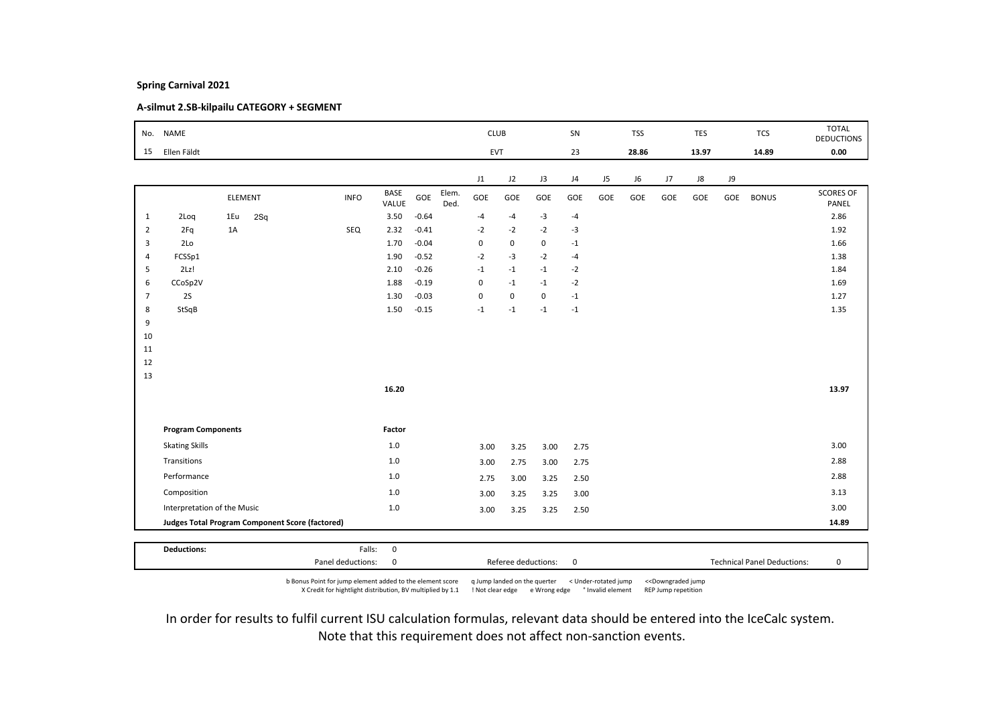# A-silmut 2.SB-kilpailu CATEGORY + SEGMENT

|                | No. NAME                                        |         |     |             |                      |         |               | <b>CLUB</b> |             |             | SN             |     | <b>TSS</b> |     | <b>TES</b> |     | <b>TCS</b>   | <b>TOTAL</b><br><b>DEDUCTIONS</b> |
|----------------|-------------------------------------------------|---------|-----|-------------|----------------------|---------|---------------|-------------|-------------|-------------|----------------|-----|------------|-----|------------|-----|--------------|-----------------------------------|
| 15             | Ellen Fäldt                                     |         |     |             |                      |         |               | <b>EVT</b>  |             |             | 23             |     | 28.86      |     | 13.97      |     | 14.89        | 0.00                              |
|                |                                                 |         |     |             |                      |         |               | J1          | J2          | J3          | J <sub>4</sub> | J5  | J6         | J7  | ${\sf J}8$ | J9  |              |                                   |
|                |                                                 | ELEMENT |     | <b>INFO</b> | <b>BASE</b><br>VALUE | GOE     | Elem.<br>Ded. | GOE         | GOE         | GOE         | GOE            | GOE | GOE        | GOE | GOE        | GOE | <b>BONUS</b> | <b>SCORES OF</b><br>PANEL         |
| $\mathbf{1}$   | 2Loq                                            | 1Eu     | 2Sq |             | 3.50                 | $-0.64$ |               | $-4$        | $-4$        | $-3$        | $-4$           |     |            |     |            |     |              | 2.86                              |
| $\overline{2}$ | 2Fq                                             | 1A      |     | SEQ         | 2.32                 | $-0.41$ |               | $-2$        | $-2$        | $-2$        | $-3$           |     |            |     |            |     |              | 1.92                              |
| 3              | 2Lo                                             |         |     |             | 1.70                 | $-0.04$ |               | $\mathbf 0$ | $\mathbf 0$ | 0           | $-1$           |     |            |     |            |     |              | 1.66                              |
| $\overline{4}$ | FCSSp1                                          |         |     |             | 1.90                 | $-0.52$ |               | $-2$        | $-3$        | $-2$        | $-4$           |     |            |     |            |     |              | 1.38                              |
| 5              | 2Lz!                                            |         |     |             | 2.10                 | $-0.26$ |               | $-1$        | $-1$        | $-1$        | $-2$           |     |            |     |            |     |              | 1.84                              |
| 6              | CCoSp2V                                         |         |     |             | 1.88                 | $-0.19$ |               | $\pmb{0}$   | $-1$        | $-1$        | $-2$           |     |            |     |            |     |              | 1.69                              |
| $\overline{7}$ | <b>2S</b>                                       |         |     |             | 1.30                 | $-0.03$ |               | $\pmb{0}$   | $\mathbf 0$ | $\mathbf 0$ | $-1$           |     |            |     |            |     |              | 1.27                              |
| 8              | StSqB                                           |         |     |             | 1.50                 | $-0.15$ |               | $-1$        | $-1$        | $-1$        | $-1$           |     |            |     |            |     |              | 1.35                              |
| 9<br>10        |                                                 |         |     |             |                      |         |               |             |             |             |                |     |            |     |            |     |              |                                   |
| 11             |                                                 |         |     |             |                      |         |               |             |             |             |                |     |            |     |            |     |              |                                   |
| 12             |                                                 |         |     |             |                      |         |               |             |             |             |                |     |            |     |            |     |              |                                   |
| 13             |                                                 |         |     |             |                      |         |               |             |             |             |                |     |            |     |            |     |              |                                   |
|                |                                                 |         |     |             | 16.20                |         |               |             |             |             |                |     |            |     |            |     |              | 13.97                             |
|                |                                                 |         |     |             |                      |         |               |             |             |             |                |     |            |     |            |     |              |                                   |
|                | <b>Program Components</b>                       |         |     |             | Factor               |         |               |             |             |             |                |     |            |     |            |     |              |                                   |
|                | <b>Skating Skills</b>                           |         |     |             | 1.0                  |         |               | 3.00        | 3.25        | 3.00        | 2.75           |     |            |     |            |     |              | 3.00                              |
|                | Transitions                                     |         |     |             | $1.0$                |         |               | 3.00        | 2.75        | 3.00        | 2.75           |     |            |     |            |     |              | 2.88                              |
|                | Performance                                     |         |     |             | 1.0                  |         |               | 2.75        | 3.00        | 3.25        | 2.50           |     |            |     |            |     |              | 2.88                              |
|                | Composition                                     |         |     |             | 1.0                  |         |               | 3.00        | 3.25        | 3.25        | 3.00           |     |            |     |            |     |              | 3.13                              |
|                | Interpretation of the Music                     |         |     |             | 1.0                  |         |               | 3.00        | 3.25        | 3.25        | 2.50           |     |            |     |            |     |              | 3.00                              |
|                | Judges Total Program Component Score (factored) |         |     |             |                      |         |               |             |             |             |                |     |            |     |            |     |              | 14.89                             |
|                |                                                 |         |     |             |                      |         |               |             |             |             |                |     |            |     |            |     |              |                                   |
|                | <b>Deductions:</b>                              |         |     | Falls:      | $\mathbf 0$          |         |               |             |             |             |                |     |            |     |            |     |              |                                   |

b Bonus Point for jump element added to the element score q Jump landed on the querter < Under-rotated jump <<Downgraded jump X Credit for hightlight distribution, BV multiplied by 1.1 ! Not clear edge e Wrong edge ° Invalid element REP Jump repetition

Panel deductions: 0 Referee deductions: 0 Technical Panel Deductions: 0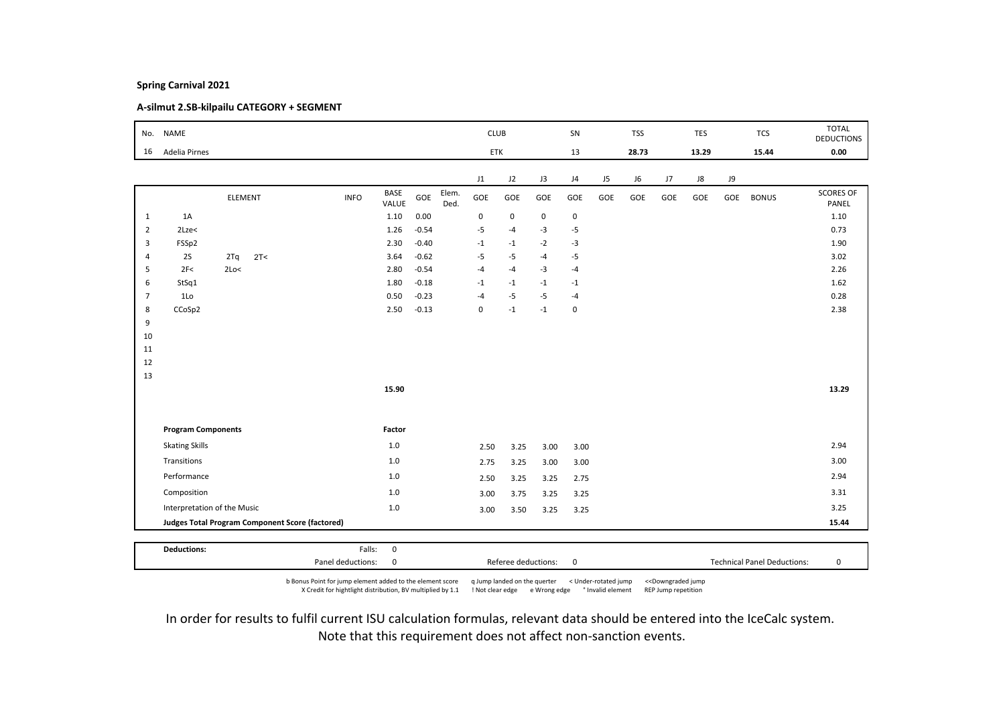# A-silmut 2.SB-kilpailu CATEGORY + SEGMENT

| No.            | <b>NAME</b>                 |                                                        |             |                      |         |               | <b>CLUB</b>             |             |      | SN          |     | <b>TSS</b> |     | <b>TES</b> |     | <b>TCS</b>   | <b>TOTAL</b><br><b>DEDUCTIONS</b> |
|----------------|-----------------------------|--------------------------------------------------------|-------------|----------------------|---------|---------------|-------------------------|-------------|------|-------------|-----|------------|-----|------------|-----|--------------|-----------------------------------|
| 16             | Adelia Pirnes               |                                                        |             |                      |         |               | ETK                     |             |      | 13          |     | 28.73      |     | 13.29      |     | 15.44        | 0.00                              |
|                |                             |                                                        |             |                      |         |               | J1                      | J2          | J3   | J4          | J5  | J6         | J7  | J8         | J9  |              |                                   |
|                |                             | <b>ELEMENT</b>                                         | <b>INFO</b> | <b>BASE</b><br>VALUE | GOE     | Elem.<br>Ded. | GOE                     | GOE         | GOE  | GOE         | GOE | GOE        | GOE | GOE        | GOE | <b>BONUS</b> | <b>SCORES OF</b><br>PANEL         |
| $\mathbf{1}$   | 1A                          |                                                        |             | 1.10                 | 0.00    |               | 0                       | $\mathsf 0$ | 0    | $\mathbf 0$ |     |            |     |            |     |              | 1.10                              |
| $\overline{2}$ | 2Lze<                       |                                                        |             | 1.26                 | $-0.54$ |               | $-5$                    | $-4$        | $-3$ | $-5$        |     |            |     |            |     |              | 0.73                              |
| 3              | FSSp2                       |                                                        |             | 2.30                 | $-0.40$ |               | $^{\circ}1$             | $-1$        | $-2$ | $-3$        |     |            |     |            |     |              | 1.90                              |
| $\overline{4}$ | 2S                          | 2T<<br>2Tq                                             |             | 3.64                 | $-0.62$ |               | $-5$                    | $-5$        | $-4$ | $-5$        |     |            |     |            |     |              | 3.02                              |
| 5              | 2F<                         | 2Lo<                                                   |             | 2.80                 | $-0.54$ |               | $-4$                    | $-4$        | $-3$ | $-4$        |     |            |     |            |     |              | 2.26                              |
| 6              | StSq1                       |                                                        |             | 1.80                 | $-0.18$ |               | $^{\text{{\small -1}}}$ | $-1$        | $-1$ | $-1$        |     |            |     |            |     |              | 1.62                              |
| $\overline{7}$ | 1 <sub>0</sub>              |                                                        |             | 0.50                 | $-0.23$ |               | $-4$                    | $-5$        | $-5$ | $-4$        |     |            |     |            |     |              | 0.28                              |
| 8              | CCoSp2                      |                                                        |             | 2.50                 | $-0.13$ |               | $\mathbf 0$             | $-1$        | $-1$ | $\mathsf 0$ |     |            |     |            |     |              | 2.38                              |
| 9              |                             |                                                        |             |                      |         |               |                         |             |      |             |     |            |     |            |     |              |                                   |
| 10             |                             |                                                        |             |                      |         |               |                         |             |      |             |     |            |     |            |     |              |                                   |
| 11<br>12       |                             |                                                        |             |                      |         |               |                         |             |      |             |     |            |     |            |     |              |                                   |
| 13             |                             |                                                        |             |                      |         |               |                         |             |      |             |     |            |     |            |     |              |                                   |
|                |                             |                                                        |             | 15.90                |         |               |                         |             |      |             |     |            |     |            |     |              | 13.29                             |
|                |                             |                                                        |             |                      |         |               |                         |             |      |             |     |            |     |            |     |              |                                   |
|                | <b>Program Components</b>   |                                                        |             | Factor               |         |               |                         |             |      |             |     |            |     |            |     |              |                                   |
|                | <b>Skating Skills</b>       |                                                        |             | $1.0$                |         |               | 2.50                    | 3.25        | 3.00 | 3.00        |     |            |     |            |     |              | 2.94                              |
|                | Transitions                 |                                                        |             | $1.0$                |         |               | 2.75                    | 3.25        | 3.00 | 3.00        |     |            |     |            |     |              | 3.00                              |
|                | Performance                 |                                                        |             | 1.0                  |         |               | 2.50                    | 3.25        | 3.25 | 2.75        |     |            |     |            |     |              | 2.94                              |
|                | Composition                 |                                                        |             | 1.0                  |         |               | 3.00                    | 3.75        | 3.25 | 3.25        |     |            |     |            |     |              | 3.31                              |
|                | Interpretation of the Music |                                                        |             | $1.0\,$              |         |               | 3.00                    | 3.50        | 3.25 | 3.25        |     |            |     |            |     |              | 3.25                              |
|                |                             | <b>Judges Total Program Component Score (factored)</b> |             |                      |         |               |                         |             |      |             |     |            |     |            |     |              | 15.44                             |
|                |                             |                                                        |             |                      |         |               |                         |             |      |             |     |            |     |            |     |              |                                   |
|                | <b>Deductions:</b>          |                                                        | Falls:      | $\mathbf 0$          |         |               |                         |             |      |             |     |            |     |            |     |              |                                   |

b Bonus Point for jump element added to the element score q Jump landed on the querter < Under-rotated jump <<Downgraded jump X Credit for hightlight distribution, BV multiplied by 1.1 ! Not clear edge e Wrong edge ° Invalid element REP Jump repetition

Panel deductions: 0 Referee deductions: 0 Technical Panel Deductions: 0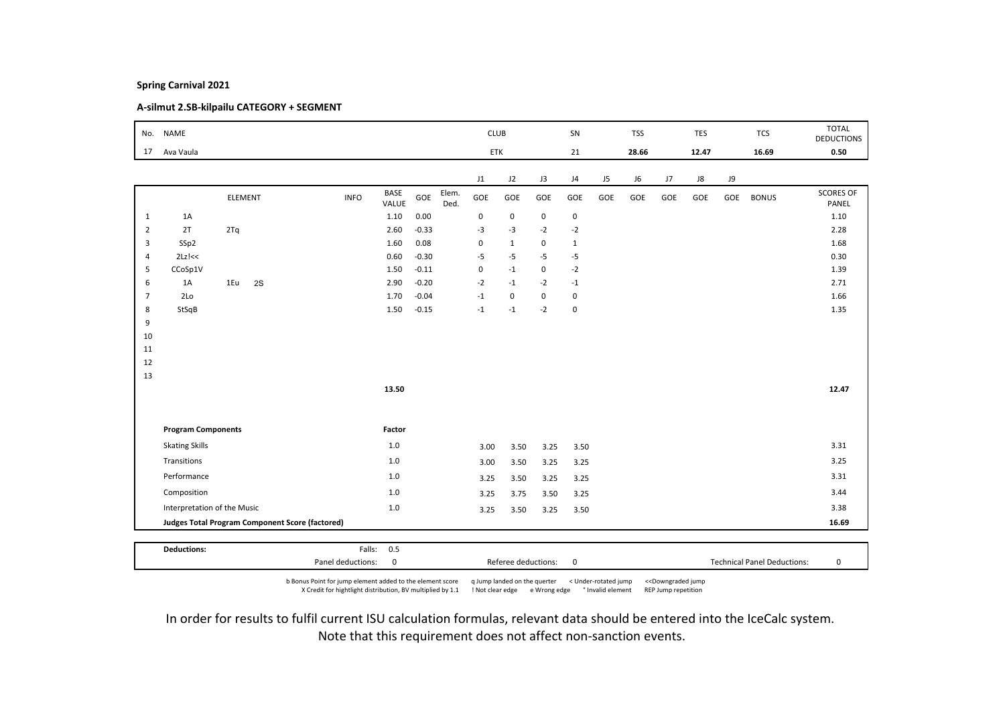# A-silmut 2.SB-kilpailu CATEGORY + SEGMENT

|                | No. NAME                    |                                                        |             |               |         |               | <b>CLUB</b> |              |             | SN           |     | <b>TSS</b> |     | <b>TES</b> |     | <b>TCS</b>   | <b>TOTAL</b><br><b>DEDUCTIONS</b> |
|----------------|-----------------------------|--------------------------------------------------------|-------------|---------------|---------|---------------|-------------|--------------|-------------|--------------|-----|------------|-----|------------|-----|--------------|-----------------------------------|
| 17             | Ava Vaula                   |                                                        |             |               |         |               | ETK         |              |             | 21           |     | 28.66      |     | 12.47      |     | 16.69        | 0.50                              |
|                |                             |                                                        |             |               |         |               |             |              |             |              |     |            |     |            |     |              |                                   |
|                |                             |                                                        |             |               |         |               | J1          | J2           | J3          | J4           | J5  | J6         | J7  | ${\sf J}8$ | J9  |              |                                   |
|                |                             | ELEMENT                                                | <b>INFO</b> | BASE<br>VALUE | GOE     | Elem.<br>Ded. | GOE         | GOE          | GOE         | GOE          | GOE | GOE        | GOE | GOE        | GOE | <b>BONUS</b> | <b>SCORES OF</b><br>PANEL         |
| $\mathbf{1}$   | 1A                          |                                                        |             | 1.10          | 0.00    |               | $\mathbf 0$ | $\mathsf 0$  | 0           | $\mathbf 0$  |     |            |     |            |     |              | 1.10                              |
| $\overline{2}$ | 2T                          | 2Tq                                                    |             | 2.60          | $-0.33$ |               | $-3$        | $-3$         | $-2$        | $-2$         |     |            |     |            |     |              | 2.28                              |
| 3              | SSp2                        |                                                        |             | 1.60          | 0.08    |               | $\pmb{0}$   | $\mathbf{1}$ | 0           | $\mathbf{1}$ |     |            |     |            |     |              | 1.68                              |
| $\overline{4}$ | $2Lz$ $<<$                  |                                                        |             | 0.60          | $-0.30$ |               | $-5$        | $-5$         | $-5$        | $-5$         |     |            |     |            |     |              | 0.30                              |
| 5              | CCoSp1V                     |                                                        |             | 1.50          | $-0.11$ |               | $\pmb{0}$   | $-1$         | $\mathbf 0$ | $-2$         |     |            |     |            |     |              | 1.39                              |
| 6              | 1A                          | 1Eu<br>2S                                              |             | 2.90          | $-0.20$ |               | $-2$        | $-1$         | $-2$        | $-1$         |     |            |     |            |     |              | 2.71                              |
| $\overline{7}$ | 2Lo                         |                                                        |             | 1.70          | $-0.04$ |               | $-1$        | $\mathbf 0$  | $\mathbf 0$ | $\mathbf 0$  |     |            |     |            |     |              | 1.66                              |
| 8              | StSqB                       |                                                        |             | 1.50          | $-0.15$ |               | $-1$        | $-1$         | $-2$        | $\mathbf 0$  |     |            |     |            |     |              | 1.35                              |
| 9              |                             |                                                        |             |               |         |               |             |              |             |              |     |            |     |            |     |              |                                   |
| 10             |                             |                                                        |             |               |         |               |             |              |             |              |     |            |     |            |     |              |                                   |
| 11             |                             |                                                        |             |               |         |               |             |              |             |              |     |            |     |            |     |              |                                   |
| 12             |                             |                                                        |             |               |         |               |             |              |             |              |     |            |     |            |     |              |                                   |
| 13             |                             |                                                        |             | 13.50         |         |               |             |              |             |              |     |            |     |            |     |              | 12.47                             |
|                |                             |                                                        |             |               |         |               |             |              |             |              |     |            |     |            |     |              |                                   |
|                |                             |                                                        |             |               |         |               |             |              |             |              |     |            |     |            |     |              |                                   |
|                | <b>Program Components</b>   |                                                        |             | Factor        |         |               |             |              |             |              |     |            |     |            |     |              |                                   |
|                | <b>Skating Skills</b>       |                                                        |             | 1.0           |         |               | 3.00        | 3.50         | 3.25        | 3.50         |     |            |     |            |     |              | 3.31                              |
|                | Transitions                 |                                                        |             | $1.0$         |         |               | 3.00        | 3.50         | 3.25        | 3.25         |     |            |     |            |     |              | 3.25                              |
|                | Performance                 |                                                        |             | 1.0           |         |               | 3.25        | 3.50         | 3.25        | 3.25         |     |            |     |            |     |              | 3.31                              |
|                | Composition                 |                                                        |             | 1.0           |         |               | 3.25        | 3.75         | 3.50        | 3.25         |     |            |     |            |     |              | 3.44                              |
|                | Interpretation of the Music |                                                        |             | $1.0\,$       |         |               | 3.25        | 3.50         | 3.25        | 3.50         |     |            |     |            |     |              | 3.38                              |
|                |                             | <b>Judges Total Program Component Score (factored)</b> |             |               |         |               |             |              |             |              |     |            |     |            |     |              | 16.69                             |
|                |                             |                                                        |             |               |         |               |             |              |             |              |     |            |     |            |     |              |                                   |
|                | <b>Deductions:</b>          |                                                        | Falls:      | 0.5           |         |               |             |              |             |              |     |            |     |            |     |              |                                   |

b Bonus Point for jump element added to the element score q Jump landed on the querter < Under-rotated jump <<Downgraded jump X Credit for hightlight distribution, BV multiplied by 1.1 ! Not clear edge e Wrong edge ° Invalid element REP Jump repetition

Panel deductions: 0 Referee deductions: 0 Technical Panel Deductions: 0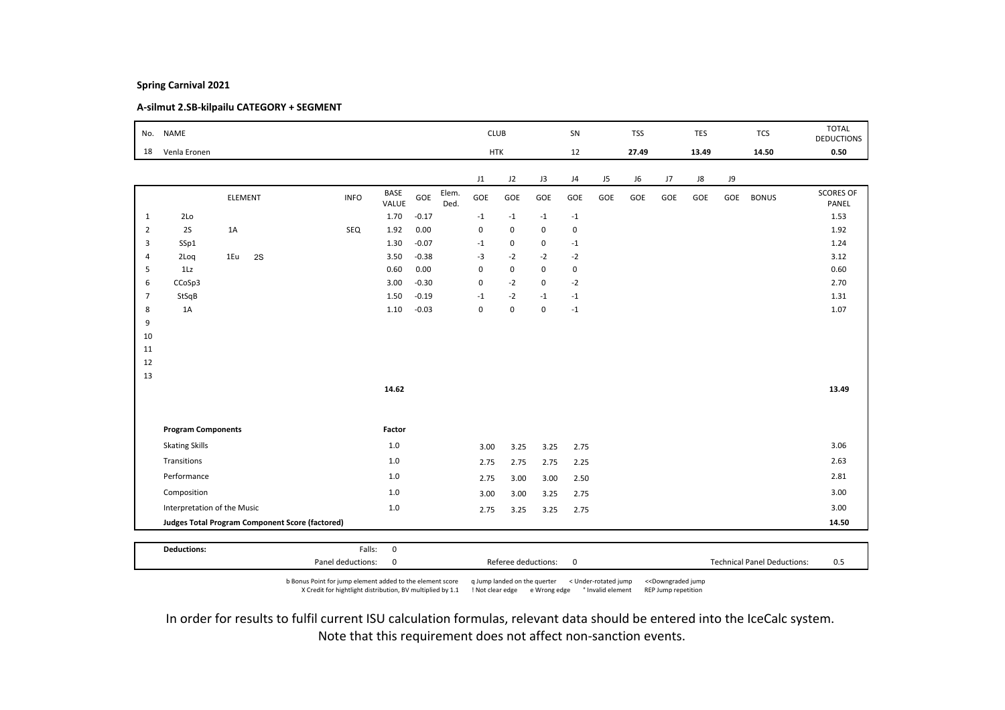# A-silmut 2.SB-kilpailu CATEGORY + SEGMENT

|                | No. NAME                                        |         |    |             |                      |         |               | <b>CLUB</b> |             |             | SN             |     | <b>TSS</b> |             | TES   |           | <b>TCS</b>   | <b>TOTAL</b><br><b>DEDUCTIONS</b> |
|----------------|-------------------------------------------------|---------|----|-------------|----------------------|---------|---------------|-------------|-------------|-------------|----------------|-----|------------|-------------|-------|-----------|--------------|-----------------------------------|
| 18             | Venla Eronen                                    |         |    |             |                      |         |               | <b>HTK</b>  |             |             | 12             |     | 27.49      |             | 13.49 |           | 14.50        | 0.50                              |
|                |                                                 |         |    |             |                      |         |               | J1          | J2          | J3          | J <sub>4</sub> | J5  | J6         | $_{\rm J7}$ | J8    | <b>J9</b> |              |                                   |
|                |                                                 | ELEMENT |    | <b>INFO</b> | <b>BASE</b><br>VALUE | GOE     | Elem.<br>Ded. | GOE         | GOE         | GOE         | GOE            | GOE | GOE        | GOE         | GOE   | GOE       | <b>BONUS</b> | <b>SCORES OF</b><br>PANEL         |
| $\mathbf{1}$   | 2Lo                                             |         |    |             | 1.70                 | $-0.17$ |               | $-1$        | $-1$        | $-1$        | $-1$           |     |            |             |       |           |              | 1.53                              |
| $\overline{2}$ | 2S                                              | 1A      |    | SEQ         | 1.92                 | 0.00    |               | $\mathbf 0$ | $\mathbf 0$ | $\mathbf 0$ | $\mathbf 0$    |     |            |             |       |           |              | 1.92                              |
| 3              | SSp1                                            |         |    |             | 1.30                 | $-0.07$ |               | $-1$        | 0           | 0           | $-1$           |     |            |             |       |           |              | 1.24                              |
| $\overline{4}$ | 2Loq                                            | 1Eu     | 2S |             | 3.50                 | $-0.38$ |               | $-3$        | $-2$        | $-2$        | $-2$           |     |            |             |       |           |              | 3.12                              |
| 5              | 1Lz                                             |         |    |             | 0.60                 | 0.00    |               | $\pmb{0}$   | $\mathsf 0$ | $\mathbf 0$ | $\mathbf 0$    |     |            |             |       |           |              | 0.60                              |
| 6              | CCoSp3                                          |         |    |             | 3.00                 | $-0.30$ |               | $\pmb{0}$   | $-2$        | 0           | $-2$           |     |            |             |       |           |              | 2.70                              |
| $\overline{7}$ | StSqB                                           |         |    |             | 1.50                 | $-0.19$ |               | $-1$        | $-2$        | $-1$        | $-1$           |     |            |             |       |           |              | 1.31                              |
| 8<br>9         | 1A                                              |         |    |             | 1.10                 | $-0.03$ |               | $\pmb{0}$   | 0           | $\mathbf 0$ | $-1$           |     |            |             |       |           |              | 1.07                              |
| 10             |                                                 |         |    |             |                      |         |               |             |             |             |                |     |            |             |       |           |              |                                   |
| 11             |                                                 |         |    |             |                      |         |               |             |             |             |                |     |            |             |       |           |              |                                   |
| 12             |                                                 |         |    |             |                      |         |               |             |             |             |                |     |            |             |       |           |              |                                   |
| 13             |                                                 |         |    |             |                      |         |               |             |             |             |                |     |            |             |       |           |              |                                   |
|                |                                                 |         |    |             | 14.62                |         |               |             |             |             |                |     |            |             |       |           |              | 13.49                             |
|                |                                                 |         |    |             |                      |         |               |             |             |             |                |     |            |             |       |           |              |                                   |
|                | <b>Program Components</b>                       |         |    |             | Factor               |         |               |             |             |             |                |     |            |             |       |           |              |                                   |
|                | <b>Skating Skills</b>                           |         |    |             | 1.0                  |         |               | 3.00        | 3.25        | 3.25        | 2.75           |     |            |             |       |           |              | 3.06                              |
|                | Transitions                                     |         |    |             | $1.0$                |         |               | 2.75        | 2.75        | 2.75        | 2.25           |     |            |             |       |           |              | 2.63                              |
|                | Performance                                     |         |    |             | 1.0                  |         |               | 2.75        | 3.00        | 3.00        | 2.50           |     |            |             |       |           |              | 2.81                              |
|                | Composition                                     |         |    |             | 1.0                  |         |               | 3.00        | 3.00        | 3.25        | 2.75           |     |            |             |       |           |              | 3.00                              |
|                | Interpretation of the Music                     |         |    |             | $1.0$                |         |               | 2.75        | 3.25        | 3.25        | 2.75           |     |            |             |       |           |              | 3.00                              |
|                | Judges Total Program Component Score (factored) |         |    |             |                      |         |               |             |             |             |                |     |            |             |       |           |              | 14.50                             |
|                |                                                 |         |    |             |                      |         |               |             |             |             |                |     |            |             |       |           |              |                                   |
|                | <b>Deductions:</b>                              |         |    | Falls:      | $\pmb{0}$            |         |               |             |             |             |                |     |            |             |       |           |              |                                   |

b Bonus Point for jump element added to the element score q Jump landed on the querter < Under-rotated jump <<Downgraded jump X Credit for hightlight distribution, BV multiplied by 1.1 ! Not clear edge e Wrong edge ° Invalid element REP Jump repetition

Panel deductions: 0 0 0 0 Referee deductions: 0 0 0 1 Technical Panel Deductions: 0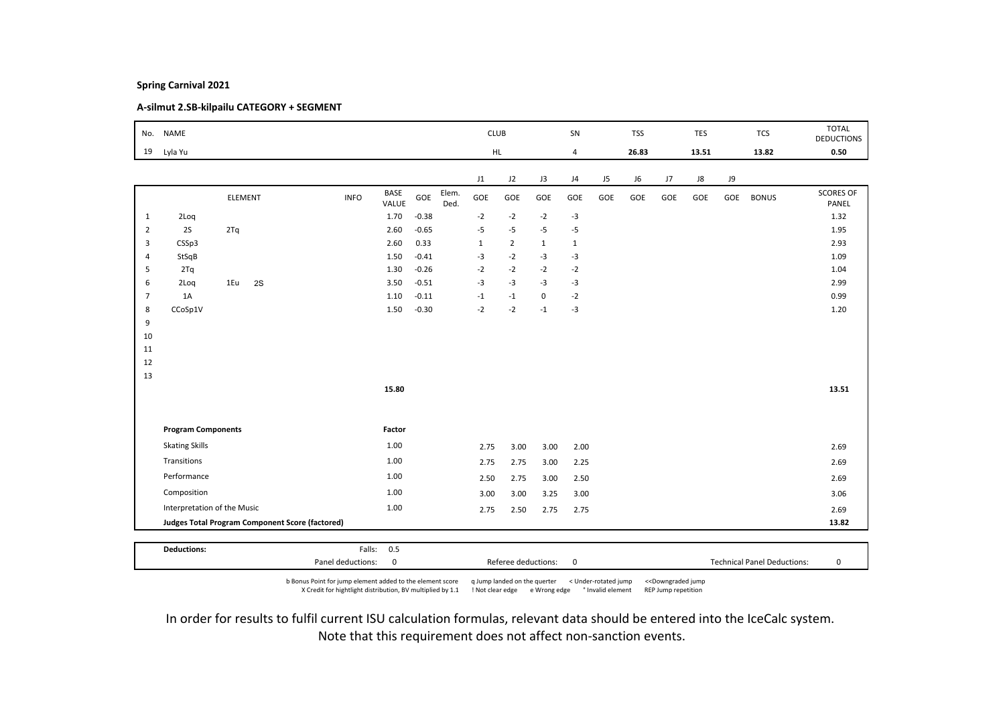# A-silmut 2.SB-kilpailu CATEGORY + SEGMENT

| No.            | <b>NAME</b>                 |                                                 |             |                      |         |               | <b>CLUB</b>  |                |              | SN             |     | <b>TSS</b> |     | <b>TES</b> |     | <b>TCS</b>   | <b>TOTAL</b><br><b>DEDUCTIONS</b> |
|----------------|-----------------------------|-------------------------------------------------|-------------|----------------------|---------|---------------|--------------|----------------|--------------|----------------|-----|------------|-----|------------|-----|--------------|-----------------------------------|
| 19             | Lyla Yu                     |                                                 |             |                      |         |               |              | HL.            |              | $\overline{4}$ |     | 26.83      |     | 13.51      |     | 13.82        | 0.50                              |
|                |                             |                                                 |             |                      |         |               | J1           | J2             | J3           | J4             | J5  | J6         | J7  | ${\sf J}8$ | J9  |              |                                   |
|                |                             | ELEMENT                                         | <b>INFO</b> | <b>BASE</b><br>VALUE | GOE     | Elem.<br>Ded. | GOE          | GOE            | GOE          | GOE            | GOE | GOE        | GOE | GOE        | GOE | <b>BONUS</b> | <b>SCORES OF</b><br>PANEL         |
| 1              | 2Loq                        |                                                 |             | 1.70                 | $-0.38$ |               | $-2$         | $-2$           | $-2$         | $-3$           |     |            |     |            |     |              | 1.32                              |
| $\overline{2}$ | 2S                          | 2Tq                                             |             | 2.60                 | $-0.65$ |               | $-5$         | $-5$           | $-5$         | $-5$           |     |            |     |            |     |              | 1.95                              |
| 3              | CSSp3                       |                                                 |             | 2.60                 | 0.33    |               | $\mathbf{1}$ | $\overline{2}$ | $\mathbf{1}$ | $\mathbf{1}$   |     |            |     |            |     |              | 2.93                              |
| $\overline{4}$ | StSqB                       |                                                 |             | 1.50                 | $-0.41$ |               | $-3$         | $-2$           | $-3$         | $-3$           |     |            |     |            |     |              | 1.09                              |
| 5              | 2Tq                         |                                                 |             | 1.30                 | $-0.26$ |               | $-2$         | $-2$           | $-2$         | $-2$           |     |            |     |            |     |              | 1.04                              |
| 6              | 2Loq                        | 1Eu<br>2S                                       |             | 3.50                 | $-0.51$ |               | $-3$         | $-3$           | $-3$         | $-3$           |     |            |     |            |     |              | 2.99                              |
| $\overline{7}$ | 1A                          |                                                 |             | 1.10                 | $-0.11$ |               | $-1$         | $-1$           | $\mathbf 0$  | $-2$           |     |            |     |            |     |              | 0.99                              |
| 8              | CCoSp1V                     |                                                 |             | 1.50                 | $-0.30$ |               | $-2$         | $-2$           | $-1$         | $-3$           |     |            |     |            |     |              | 1.20                              |
| 9<br>10        |                             |                                                 |             |                      |         |               |              |                |              |                |     |            |     |            |     |              |                                   |
| 11             |                             |                                                 |             |                      |         |               |              |                |              |                |     |            |     |            |     |              |                                   |
| 12             |                             |                                                 |             |                      |         |               |              |                |              |                |     |            |     |            |     |              |                                   |
| 13             |                             |                                                 |             |                      |         |               |              |                |              |                |     |            |     |            |     |              |                                   |
|                |                             |                                                 |             | 15.80                |         |               |              |                |              |                |     |            |     |            |     |              | 13.51                             |
|                |                             |                                                 |             |                      |         |               |              |                |              |                |     |            |     |            |     |              |                                   |
|                | <b>Program Components</b>   |                                                 |             | Factor               |         |               |              |                |              |                |     |            |     |            |     |              |                                   |
|                | <b>Skating Skills</b>       |                                                 |             | 1.00                 |         |               | 2.75         | 3.00           | 3.00         | 2.00           |     |            |     |            |     |              | 2.69                              |
|                | Transitions                 |                                                 |             | 1.00                 |         |               | 2.75         | 2.75           | 3.00         | 2.25           |     |            |     |            |     |              | 2.69                              |
|                | Performance                 |                                                 |             | 1.00                 |         |               | 2.50         | 2.75           | 3.00         | 2.50           |     |            |     |            |     |              | 2.69                              |
|                | Composition                 |                                                 |             | 1.00                 |         |               | 3.00         | 3.00           | 3.25         | 3.00           |     |            |     |            |     |              | 3.06                              |
|                | Interpretation of the Music |                                                 |             | 1.00                 |         |               | 2.75         | 2.50           | 2.75         | 2.75           |     |            |     |            |     |              | 2.69                              |
|                |                             | Judges Total Program Component Score (factored) |             |                      |         |               |              |                |              |                |     |            |     |            |     |              | 13.82                             |
|                |                             |                                                 |             |                      |         |               |              |                |              |                |     |            |     |            |     |              |                                   |
|                | <b>Deductions:</b>          |                                                 |             | Falls: 0.5           |         |               |              |                |              |                |     |            |     |            |     |              |                                   |

b Bonus Point for jump element added to the element score q Jump landed on the querter < Under-rotated jump <<Downgraded jump X Credit for hightlight distribution, BV multiplied by 1.1 ! Not clear edge e Wrong edge ° Invalid element REP Jump repetition

Panel deductions: 0 Referee deductions: 0 Technical Panel Deductions: 0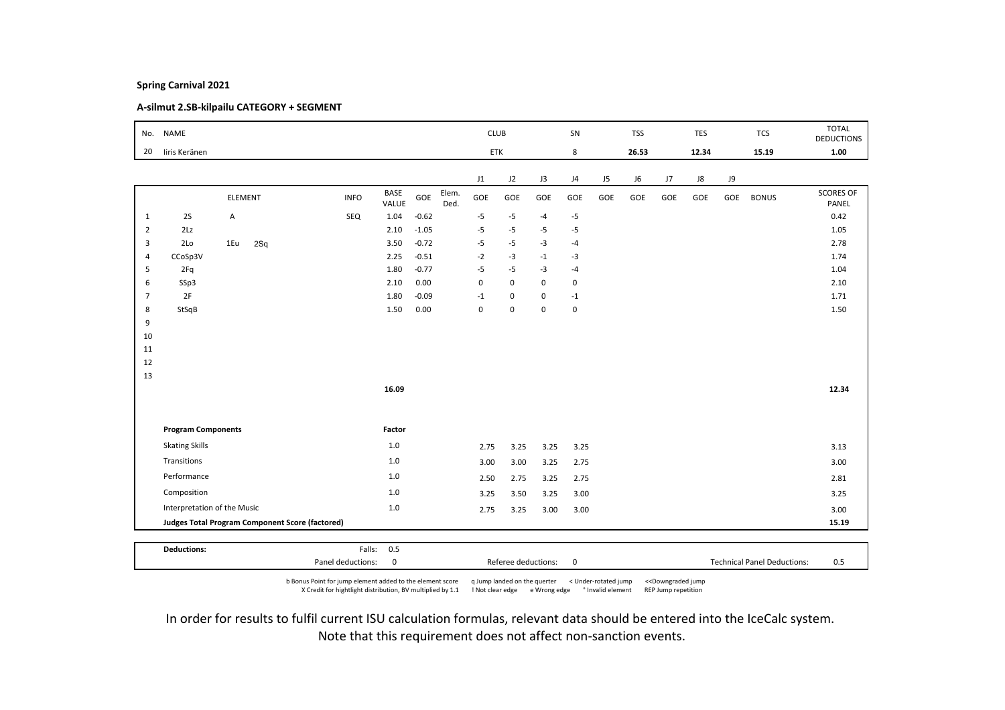# A-silmut 2.SB-kilpailu CATEGORY + SEGMENT

|                | No. NAME                    |         |     |                                                 |             |                      |         |               | <b>CLUB</b> |             |             | SN             |     | <b>TSS</b> |     | <b>TES</b> |     | <b>TCS</b>   | <b>TOTAL</b><br><b>DEDUCTIONS</b> |
|----------------|-----------------------------|---------|-----|-------------------------------------------------|-------------|----------------------|---------|---------------|-------------|-------------|-------------|----------------|-----|------------|-----|------------|-----|--------------|-----------------------------------|
| 20             | liris Keränen               |         |     |                                                 |             |                      |         |               | ETK         |             |             | 8              |     | 26.53      |     | 12.34      |     | 15.19        | 1.00                              |
|                |                             |         |     |                                                 |             |                      |         |               | J1          | J2          | J3          | J <sub>4</sub> | J5  | J6         | J7  | ${\sf J}8$ | J9  |              |                                   |
|                |                             | ELEMENT |     |                                                 | <b>INFO</b> | <b>BASE</b><br>VALUE | GOE     | Elem.<br>Ded. | GOE         | GOE         | GOE         | GOE            | GOE | GOE        | GOE | GOE        | GOE | <b>BONUS</b> | SCORES OF<br>PANEL                |
| $\mathbf{1}$   | 2S                          | А       |     |                                                 | SEQ         | 1.04                 | $-0.62$ |               | $-5$        | $-5$        | $-4$        | $-5$           |     |            |     |            |     |              | 0.42                              |
| $\overline{2}$ | 2Lz                         |         |     |                                                 |             | 2.10                 | $-1.05$ |               | $-5$        | $-5$        | $-5$        | $-5$           |     |            |     |            |     |              | 1.05                              |
| 3              | 2Lo                         | 1Eu     | 2Sq |                                                 |             | 3.50                 | $-0.72$ |               | $-5$        | $-5$        | $-3$        | $-4$           |     |            |     |            |     |              | 2.78                              |
| $\overline{4}$ | CCoSp3V                     |         |     |                                                 |             | 2.25                 | $-0.51$ |               | $-2$        | $-3$        | $-1$        | $-3$           |     |            |     |            |     |              | 1.74                              |
| 5              | 2Fq                         |         |     |                                                 |             | 1.80                 | $-0.77$ |               | $-5$        | $-5$        | $-3$        | $-4$           |     |            |     |            |     |              | 1.04                              |
| 6              | SSp3                        |         |     |                                                 |             | 2.10                 | 0.00    |               | $\mathbf 0$ | $\mathbf 0$ | 0           | $\mathsf 0$    |     |            |     |            |     |              | 2.10                              |
| $\overline{7}$ | 2F                          |         |     |                                                 |             | 1.80                 | $-0.09$ |               | $-1$        | $\mathsf 0$ | $\mathbf 0$ | $-1$           |     |            |     |            |     |              | 1.71                              |
| 8              | StSqB                       |         |     |                                                 |             | 1.50                 | 0.00    |               | $\pmb{0}$   | 0           | $\mathbf 0$ | $\mathbf 0$    |     |            |     |            |     |              | 1.50                              |
| 9              |                             |         |     |                                                 |             |                      |         |               |             |             |             |                |     |            |     |            |     |              |                                   |
| 10             |                             |         |     |                                                 |             |                      |         |               |             |             |             |                |     |            |     |            |     |              |                                   |
| 11             |                             |         |     |                                                 |             |                      |         |               |             |             |             |                |     |            |     |            |     |              |                                   |
| 12             |                             |         |     |                                                 |             |                      |         |               |             |             |             |                |     |            |     |            |     |              |                                   |
| 13             |                             |         |     |                                                 |             | 16.09                |         |               |             |             |             |                |     |            |     |            |     |              | 12.34                             |
|                |                             |         |     |                                                 |             |                      |         |               |             |             |             |                |     |            |     |            |     |              |                                   |
|                | <b>Program Components</b>   |         |     |                                                 |             | Factor               |         |               |             |             |             |                |     |            |     |            |     |              |                                   |
|                | <b>Skating Skills</b>       |         |     |                                                 |             | 1.0                  |         |               | 2.75        | 3.25        | 3.25        | 3.25           |     |            |     |            |     |              | 3.13                              |
|                | Transitions                 |         |     |                                                 |             | $1.0$                |         |               | 3.00        | 3.00        | 3.25        | 2.75           |     |            |     |            |     |              | 3.00                              |
|                | Performance                 |         |     |                                                 |             | 1.0                  |         |               | 2.50        | 2.75        | 3.25        | 2.75           |     |            |     |            |     |              | 2.81                              |
|                | Composition                 |         |     |                                                 |             | 1.0                  |         |               | 3.25        | 3.50        | 3.25        | 3.00           |     |            |     |            |     |              | 3.25                              |
|                | Interpretation of the Music |         |     |                                                 |             | 1.0                  |         |               | 2.75        | 3.25        | 3.00        | 3.00           |     |            |     |            |     |              | 3.00                              |
|                |                             |         |     | Judges Total Program Component Score (factored) |             |                      |         |               |             |             |             |                |     |            |     |            |     |              | 15.19                             |
|                |                             |         |     |                                                 |             |                      |         |               |             |             |             |                |     |            |     |            |     |              |                                   |
|                | <b>Deductions:</b>          |         |     |                                                 |             | Falls: 0.5           |         |               |             |             |             |                |     |            |     |            |     |              |                                   |

b Bonus Point for jump element added to the element score q Jump landed on the querter < Under-rotated jump <<Downgraded jump X Credit for hightlight distribution, BV multiplied by 1.1 ! Not clear edge e Wrong edge ° Invalid element REP Jump repetition

Panel deductions: 0 0 0 0 Referee deductions: 0 0 0 1 Technical Panel Deductions: 0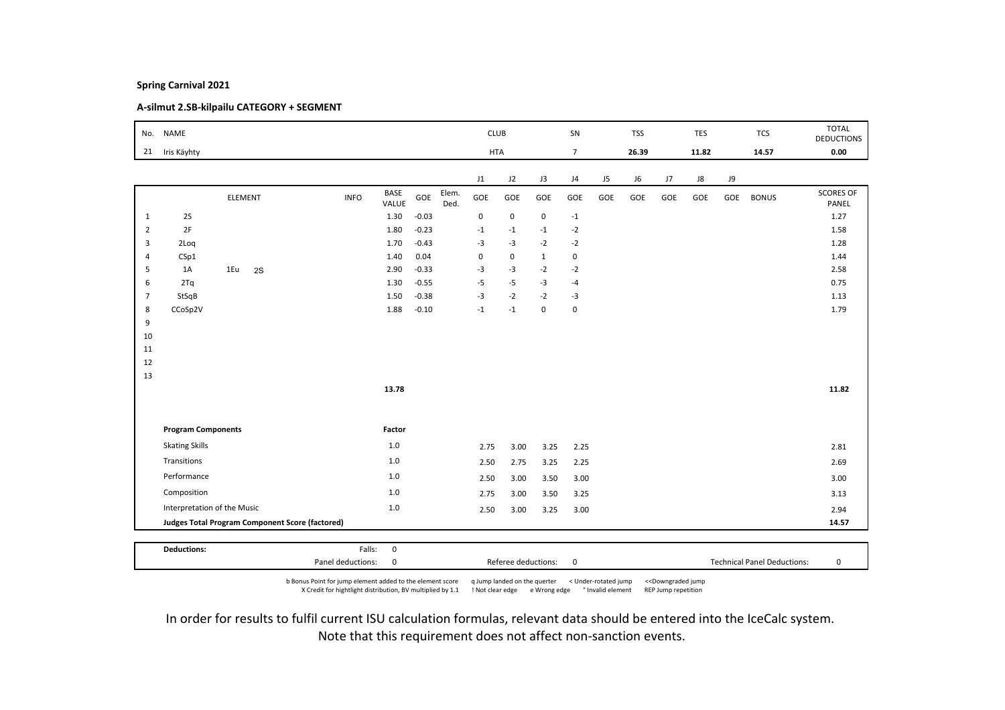# A-silmut 2.SB-kilpailu CATEGORY + SEGMENT

| No.            | <b>NAME</b>                 |                                                 |             |               |         |               | <b>CLUB</b> |             |              | SN             |     | <b>TSS</b> |     | <b>TES</b> |           | <b>TCS</b>   | <b>TOTAL</b><br><b>DEDUCTIONS</b> |
|----------------|-----------------------------|-------------------------------------------------|-------------|---------------|---------|---------------|-------------|-------------|--------------|----------------|-----|------------|-----|------------|-----------|--------------|-----------------------------------|
| 21             | Iris Käyhty                 |                                                 |             |               |         |               | <b>HTA</b>  |             |              | $\overline{7}$ |     | 26.39      |     | 11.82      |           | 14.57        | 0.00                              |
|                |                             |                                                 |             |               |         |               | J1          | J2          | J3           | J4             | J5  | J6         | J7  | J8         | <b>J9</b> |              |                                   |
|                |                             | ELEMENT                                         | <b>INFO</b> | BASE<br>VALUE | GOE     | Elem.<br>Ded. | GOE         | GOE         | GOE          | GOE            | GOE | GOE        | GOE | GOE        | GOE       | <b>BONUS</b> | <b>SCORES OF</b><br>PANEL         |
| $\mathbf{1}$   | 2S                          |                                                 |             | 1.30          | $-0.03$ |               | $\mathbf 0$ | $\mathbf 0$ | $\pmb{0}$    | $^{\circ}1$    |     |            |     |            |           |              | 1.27                              |
| $\overline{2}$ | 2F                          |                                                 |             | 1.80          | $-0.23$ |               | $-1$        | $-1$        | $-1$         | $-2$           |     |            |     |            |           |              | 1.58                              |
| 3              | 2Loq                        |                                                 |             | 1.70          | $-0.43$ |               | $-3$        | $-3$        | $-2$         | $-2$           |     |            |     |            |           |              | 1.28                              |
| $\overline{4}$ | CSp1                        |                                                 |             | 1.40          | 0.04    |               | $\mathbf 0$ | 0           | $\mathbf{1}$ | $\mathbf 0$    |     |            |     |            |           |              | 1.44                              |
| 5              | 1A                          | 1Eu<br>2S                                       |             | 2.90          | $-0.33$ |               | $-3$        | $-3$        | $-2$         | $-2$           |     |            |     |            |           |              | 2.58                              |
| 6              | 2Tq                         |                                                 |             | 1.30          | $-0.55$ |               | $-5$        | $-5$        | $-3$         | $-4$           |     |            |     |            |           |              | 0.75                              |
| $\overline{7}$ | StSqB                       |                                                 |             | 1.50          | $-0.38$ |               | $-3$        | $-2$        | $-2$         | $-3$           |     |            |     |            |           |              | 1.13                              |
| 8              | CCoSp2V                     |                                                 |             | 1.88          | $-0.10$ |               | $-1$        | $-1$        | $\mathbf 0$  | $\mathsf 0$    |     |            |     |            |           |              | 1.79                              |
| 9<br>10        |                             |                                                 |             |               |         |               |             |             |              |                |     |            |     |            |           |              |                                   |
| 11             |                             |                                                 |             |               |         |               |             |             |              |                |     |            |     |            |           |              |                                   |
| 12             |                             |                                                 |             |               |         |               |             |             |              |                |     |            |     |            |           |              |                                   |
| 13             |                             |                                                 |             |               |         |               |             |             |              |                |     |            |     |            |           |              |                                   |
|                |                             |                                                 |             | 13.78         |         |               |             |             |              |                |     |            |     |            |           |              | 11.82                             |
|                |                             |                                                 |             |               |         |               |             |             |              |                |     |            |     |            |           |              |                                   |
|                | <b>Program Components</b>   |                                                 |             | Factor        |         |               |             |             |              |                |     |            |     |            |           |              |                                   |
|                | <b>Skating Skills</b>       |                                                 |             | $1.0\,$       |         |               | 2.75        | 3.00        | 3.25         | 2.25           |     |            |     |            |           |              | 2.81                              |
|                | Transitions                 |                                                 |             | $1.0\,$       |         |               | 2.50        | 2.75        | 3.25         | 2.25           |     |            |     |            |           |              | 2.69                              |
|                | Performance                 |                                                 |             | 1.0           |         |               | 2.50        | 3.00        | 3.50         | 3.00           |     |            |     |            |           |              | 3.00                              |
|                | Composition                 |                                                 |             | 1.0           |         |               | 2.75        | 3.00        | 3.50         | 3.25           |     |            |     |            |           |              | 3.13                              |
|                | Interpretation of the Music |                                                 |             | $1.0\,$       |         |               | 2.50        | 3.00        | 3.25         | 3.00           |     |            |     |            |           |              | 2.94                              |
|                |                             | Judges Total Program Component Score (factored) |             |               |         |               |             |             |              |                |     |            |     |            |           |              | 14.57                             |
|                |                             |                                                 |             |               |         |               |             |             |              |                |     |            |     |            |           |              |                                   |
|                | <b>Deductions:</b>          |                                                 | Falls:      | $\mathbf 0$   |         |               |             |             |              |                |     |            |     |            |           |              |                                   |

b Bonus Point for jump element added to the element score q Jump landed on the querter < Under-rotated jump <<Downgraded jump X Credit for hightlight distribution, BV multiplied by 1.1 ! Not clear edge e Wrong edge ° Invalid element REP Jump repetition

Panel deductions: 0 Referee deductions: 0 Technical Panel Deductions: 0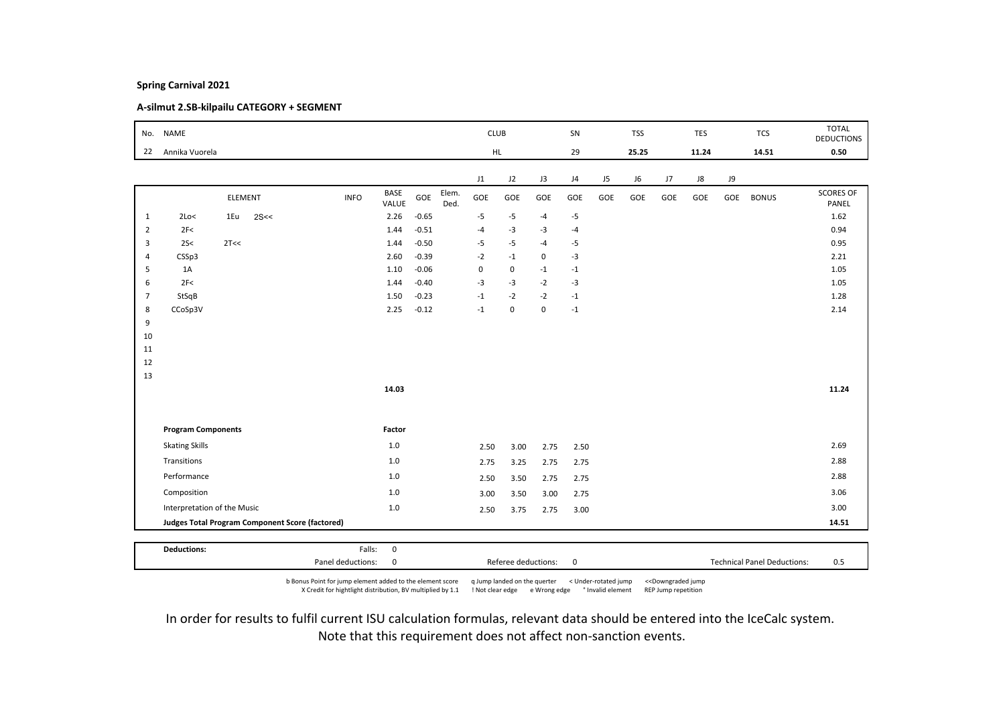# A-silmut 2.SB-kilpailu CATEGORY + SEGMENT

| No.            | <b>NAME</b>                 |         |      |                                                 |                      |         |               | <b>CLUB</b>             |             |                     | SN          |     | <b>TSS</b> |     | <b>TES</b> |     | <b>TCS</b>                         | <b>TOTAL</b><br><b>DEDUCTIONS</b> |
|----------------|-----------------------------|---------|------|-------------------------------------------------|----------------------|---------|---------------|-------------------------|-------------|---------------------|-------------|-----|------------|-----|------------|-----|------------------------------------|-----------------------------------|
| 22             | Annika Vuorela              |         |      |                                                 |                      |         |               | HL.                     |             |                     | 29          |     | 25.25      |     | 11.24      |     | 14.51                              | 0.50                              |
|                |                             |         |      |                                                 |                      |         |               |                         |             |                     |             |     |            |     |            |     |                                    |                                   |
|                |                             |         |      |                                                 |                      |         |               | J1                      | J2          | J3                  | J4          | J5  | J6         | J7  | J8         | J9  |                                    |                                   |
|                |                             | ELEMENT |      | <b>INFO</b>                                     | <b>BASE</b><br>VALUE | GOE     | Elem.<br>Ded. | GOE                     | GOE         | GOE                 | GOE         | GOE | GOE        | GOE | GOE        | GOE | <b>BONUS</b>                       | <b>SCORES OF</b><br>PANEL         |
| $\mathbf{1}$   | 2Lo<                        | 1Eu     | 2S<< |                                                 | 2.26                 | $-0.65$ |               | $-5$                    | $-5$        | $-4$                | $-5$        |     |            |     |            |     |                                    | 1.62                              |
| $\overline{2}$ | 2F<                         |         |      |                                                 | 1.44                 | $-0.51$ |               | $-4$                    | $-3$        | $-3$                | $-4$        |     |            |     |            |     |                                    | 0.94                              |
| 3              | 25<                         | 2T<<    |      |                                                 | 1.44                 | $-0.50$ |               | $-5$                    | $-5$        | $-4$                | $-5$        |     |            |     |            |     |                                    | 0.95                              |
| $\overline{4}$ | CSSp3                       |         |      |                                                 | 2.60                 | $-0.39$ |               | $-2$                    | $-1$        | $\mathsf 0$         | $-3$        |     |            |     |            |     |                                    | 2.21                              |
| 5              | 1A                          |         |      |                                                 | 1.10                 | $-0.06$ |               | $\mathbf 0$             | 0           | $-1$                | $-1$        |     |            |     |            |     |                                    | 1.05                              |
| 6              | 2F<                         |         |      |                                                 | 1.44                 | $-0.40$ |               | $-3$                    | $-3$        | $-2$                | $-3$        |     |            |     |            |     |                                    | 1.05                              |
| 7              | StSqB                       |         |      |                                                 | 1.50                 | $-0.23$ |               | $^{\text{{\small -1}}}$ | $-2$        | $-2$                | $-1$        |     |            |     |            |     |                                    | 1.28                              |
| 8              | CCoSp3V                     |         |      |                                                 | 2.25                 | $-0.12$ |               | $^{\text{{\small -1}}}$ | $\mathsf 0$ | $\mathbf 0$         | $-1$        |     |            |     |            |     |                                    | 2.14                              |
| 9              |                             |         |      |                                                 |                      |         |               |                         |             |                     |             |     |            |     |            |     |                                    |                                   |
| 10             |                             |         |      |                                                 |                      |         |               |                         |             |                     |             |     |            |     |            |     |                                    |                                   |
| 11             |                             |         |      |                                                 |                      |         |               |                         |             |                     |             |     |            |     |            |     |                                    |                                   |
| 12             |                             |         |      |                                                 |                      |         |               |                         |             |                     |             |     |            |     |            |     |                                    |                                   |
| 13             |                             |         |      |                                                 |                      |         |               |                         |             |                     |             |     |            |     |            |     |                                    |                                   |
|                |                             |         |      |                                                 | 14.03                |         |               |                         |             |                     |             |     |            |     |            |     |                                    | 11.24                             |
|                |                             |         |      |                                                 |                      |         |               |                         |             |                     |             |     |            |     |            |     |                                    |                                   |
|                | <b>Program Components</b>   |         |      |                                                 | Factor               |         |               |                         |             |                     |             |     |            |     |            |     |                                    |                                   |
|                | <b>Skating Skills</b>       |         |      |                                                 | $1.0$                |         |               | 2.50                    | 3.00        | 2.75                | 2.50        |     |            |     |            |     |                                    | 2.69                              |
|                | Transitions                 |         |      |                                                 | 1.0                  |         |               | 2.75                    | 3.25        | 2.75                | 2.75        |     |            |     |            |     |                                    | 2.88                              |
|                | Performance                 |         |      |                                                 | 1.0                  |         |               | 2.50                    | 3.50        | 2.75                | 2.75        |     |            |     |            |     |                                    | 2.88                              |
|                | Composition                 |         |      |                                                 | $1.0$                |         |               |                         |             |                     |             |     |            |     |            |     |                                    | 3.06                              |
|                |                             |         |      |                                                 |                      |         |               | 3.00                    | 3.50        | 3.00                | 2.75        |     |            |     |            |     |                                    |                                   |
|                | Interpretation of the Music |         |      |                                                 | $1.0$                |         |               | 2.50                    | 3.75        | 2.75                | 3.00        |     |            |     |            |     |                                    | 3.00                              |
|                |                             |         |      | Judges Total Program Component Score (factored) |                      |         |               |                         |             |                     |             |     |            |     |            |     |                                    | 14.51                             |
|                | <b>Deductions:</b>          |         |      | Falls:                                          |                      |         |               |                         |             |                     |             |     |            |     |            |     |                                    |                                   |
|                |                             |         |      | Panel deductions:                               | $\mathbf 0$<br>0     |         |               |                         |             | Referee deductions: | $\mathbf 0$ |     |            |     |            |     | <b>Technical Panel Deductions:</b> | 0.5                               |
|                |                             |         |      |                                                 |                      |         |               |                         |             |                     |             |     |            |     |            |     |                                    |                                   |

b Bonus Point for jump element added to the element score q Jump landed on the querter < Under-rotated jump <<Downgraded jump X Credit for hightlight distribution, BV multiplied by 1.1 ! Not clear edge e Wrong edge ° Invalid element REP Jump repetition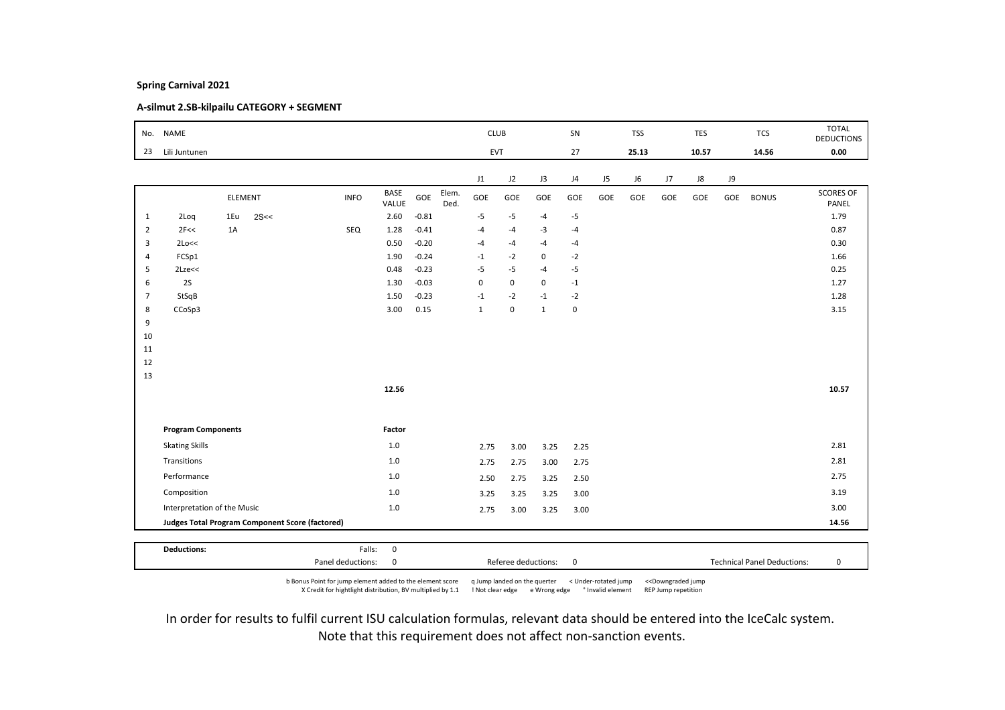# A-silmut 2.SB-kilpailu CATEGORY + SEGMENT

|                | No. NAME                    |         |      |                                                 |                      |         |               | <b>CLUB</b>  |             |                     | SN          |     | <b>TSS</b> |     | <b>TES</b> |     | <b>TCS</b>                         | <b>TOTAL</b><br><b>DEDUCTIONS</b> |
|----------------|-----------------------------|---------|------|-------------------------------------------------|----------------------|---------|---------------|--------------|-------------|---------------------|-------------|-----|------------|-----|------------|-----|------------------------------------|-----------------------------------|
| 23             | Lili Juntunen               |         |      |                                                 |                      |         |               |              | EVT         |                     | 27          |     | 25.13      |     | 10.57      |     | 14.56                              | 0.00                              |
|                |                             |         |      |                                                 |                      |         |               | J1           | J2          | J3                  | J4          | J5  | J6         | J7  | J8         | J9  |                                    |                                   |
|                |                             | ELEMENT |      | <b>INFO</b>                                     | <b>BASE</b><br>VALUE | GOE     | Elem.<br>Ded. | GOE          | GOE         | GOE                 | GOE         | GOE | GOE        | GOE | GOE        | GOE | <b>BONUS</b>                       | <b>SCORES OF</b><br>PANEL         |
| 1              | 2Loq                        | 1Eu     | 2S<< |                                                 | 2.60                 | $-0.81$ |               | $-5$         | $-5$        | $-4$                | $-5$        |     |            |     |            |     |                                    | 1.79                              |
| $\overline{2}$ | 2F<<                        | 1A      |      | SEQ                                             | 1.28                 | $-0.41$ |               | $-4$         | $-4$        | $-3$                | $-4$        |     |            |     |            |     |                                    | 0.87                              |
| 3              | 2Lo<<                       |         |      |                                                 | 0.50                 | $-0.20$ |               | $-4$         | $-4$        | $-4$                | $-4$        |     |            |     |            |     |                                    | 0.30                              |
| $\overline{4}$ | FCSp1                       |         |      |                                                 | 1.90                 | $-0.24$ |               | $-1$         | $-2$        | 0                   | $-2$        |     |            |     |            |     |                                    | 1.66                              |
| 5              | $2$ Lze $<<$                |         |      |                                                 | 0.48                 | $-0.23$ |               | $-5$         | $-5$        | $-4$                | $-5$        |     |            |     |            |     |                                    | 0.25                              |
| 6              | 2S                          |         |      |                                                 | 1.30                 | $-0.03$ |               | $\pmb{0}$    | $\mathsf 0$ | 0                   | $-1$        |     |            |     |            |     |                                    | 1.27                              |
| $\overline{7}$ | StSqB                       |         |      |                                                 | 1.50                 | $-0.23$ |               | $-1$         | $-2$        | $-1$                | $-2$        |     |            |     |            |     |                                    | 1.28                              |
| 8              | CCoSp3                      |         |      |                                                 | 3.00                 | 0.15    |               | $\mathbf{1}$ | $\mathsf 0$ | $\mathbf{1}$        | $\mathbf 0$ |     |            |     |            |     |                                    | 3.15                              |
| 9              |                             |         |      |                                                 |                      |         |               |              |             |                     |             |     |            |     |            |     |                                    |                                   |
| 10             |                             |         |      |                                                 |                      |         |               |              |             |                     |             |     |            |     |            |     |                                    |                                   |
| 11             |                             |         |      |                                                 |                      |         |               |              |             |                     |             |     |            |     |            |     |                                    |                                   |
| 12             |                             |         |      |                                                 |                      |         |               |              |             |                     |             |     |            |     |            |     |                                    |                                   |
| 13             |                             |         |      |                                                 | 12.56                |         |               |              |             |                     |             |     |            |     |            |     |                                    | 10.57                             |
|                |                             |         |      |                                                 |                      |         |               |              |             |                     |             |     |            |     |            |     |                                    |                                   |
|                | <b>Program Components</b>   |         |      |                                                 | Factor               |         |               |              |             |                     |             |     |            |     |            |     |                                    |                                   |
|                | <b>Skating Skills</b>       |         |      |                                                 | 1.0                  |         |               | 2.75         | 3.00        | 3.25                | 2.25        |     |            |     |            |     |                                    | 2.81                              |
|                | Transitions                 |         |      |                                                 | 1.0                  |         |               | 2.75         | 2.75        | 3.00                | 2.75        |     |            |     |            |     |                                    | 2.81                              |
|                | Performance                 |         |      |                                                 | 1.0                  |         |               | 2.50         | 2.75        | 3.25                | 2.50        |     |            |     |            |     |                                    | 2.75                              |
|                | Composition                 |         |      |                                                 | $1.0$                |         |               |              |             |                     |             |     |            |     |            |     |                                    | 3.19                              |
|                |                             |         |      |                                                 |                      |         |               | 3.25         | 3.25        | 3.25                | 3.00        |     |            |     |            |     |                                    |                                   |
|                | Interpretation of the Music |         |      |                                                 | $1.0$                |         |               | 2.75         | 3.00        | 3.25                | 3.00        |     |            |     |            |     |                                    | 3.00                              |
|                |                             |         |      | Judges Total Program Component Score (factored) |                      |         |               |              |             |                     |             |     |            |     |            |     |                                    | 14.56                             |
|                | <b>Deductions:</b>          |         |      | Falls:                                          | $\mathbf 0$          |         |               |              |             |                     |             |     |            |     |            |     |                                    |                                   |
|                |                             |         |      | Panel deductions:                               | 0                    |         |               |              |             | Referee deductions: | $\mathbf 0$ |     |            |     |            |     | <b>Technical Panel Deductions:</b> | 0                                 |

b Bonus Point for jump element added to the element score q Jump landed on the querter < Under-rotated jump <<Downgraded jump X Credit for hightlight distribution, BV multiplied by 1.1 ! Not clear edge e Wrong edge ° Invalid element REP Jump repetition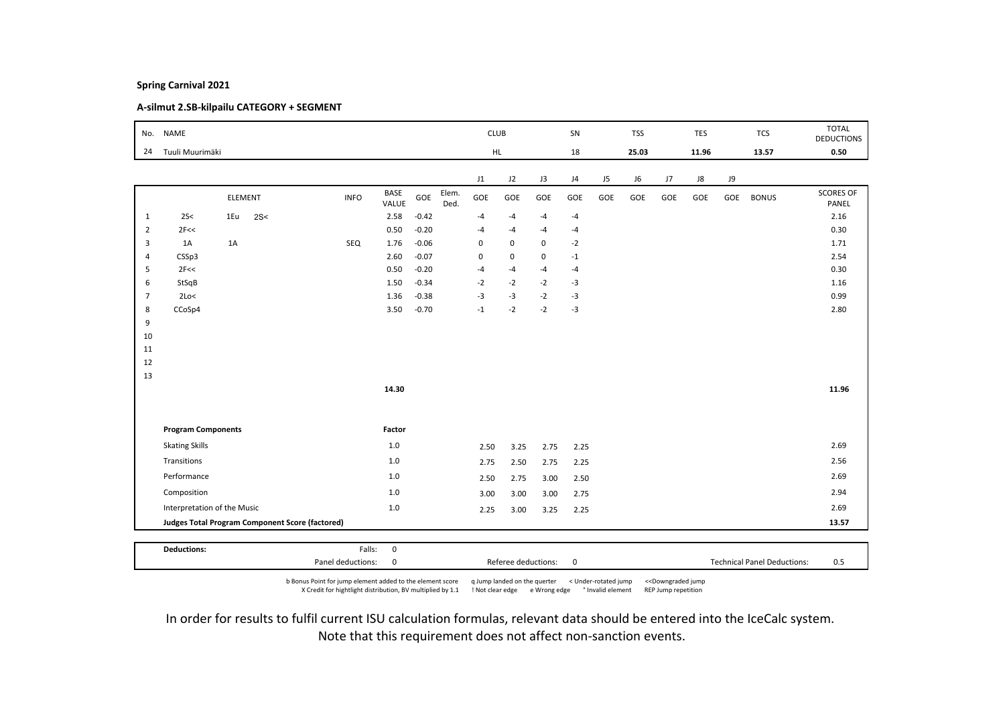# A-silmut 2.SB-kilpailu CATEGORY + SEGMENT

| No.            | <b>NAME</b>               |                                                 |                   |                      |         |               | <b>CLUB</b>             |             |                     | SN          |     | <b>TSS</b> |     | <b>TES</b> |     | <b>TCS</b>                         | <b>TOTAL</b><br><b>DEDUCTIONS</b> |
|----------------|---------------------------|-------------------------------------------------|-------------------|----------------------|---------|---------------|-------------------------|-------------|---------------------|-------------|-----|------------|-----|------------|-----|------------------------------------|-----------------------------------|
| 24             | Tuuli Muurimäki           |                                                 |                   |                      |         |               | HL.                     |             |                     | 18          |     | 25.03      |     | 11.96      |     | 13.57                              | 0.50                              |
|                |                           |                                                 |                   |                      |         |               |                         |             |                     |             |     |            |     |            |     |                                    |                                   |
|                |                           |                                                 |                   |                      |         |               | J1                      | J2          | J3                  | J4          | J5  | J6         | J7  | J8         | J9  |                                    |                                   |
|                |                           | <b>ELEMENT</b>                                  | <b>INFO</b>       | <b>BASE</b><br>VALUE | GOE     | Elem.<br>Ded. | GOE                     | GOE         | GOE                 | GOE         | GOE | GOE        | GOE | GOE        | GOE | <b>BONUS</b>                       | <b>SCORES OF</b><br>PANEL         |
| 1              | 2S<                       | 1Eu<br>2S<                                      |                   | 2.58                 | $-0.42$ |               | $-4$                    | $-4$        | $-4$                | $-4$        |     |            |     |            |     |                                    | 2.16                              |
| $\overline{2}$ | 2F<<                      |                                                 |                   | 0.50                 | $-0.20$ |               | $-4$                    | $-4$        | $-4$                | $-4$        |     |            |     |            |     |                                    | 0.30                              |
| 3              | 1A                        | 1A                                              | SEQ               | 1.76                 | $-0.06$ |               | $\mathbf 0$             | $\mathbf 0$ | 0                   | $-2$        |     |            |     |            |     |                                    | 1.71                              |
| $\overline{4}$ | CSSp3                     |                                                 |                   | 2.60                 | $-0.07$ |               | $\Omega$                | $\mathbf 0$ | $\mathsf 0$         | $-1$        |     |            |     |            |     |                                    | 2.54                              |
| 5              | 2F<<                      |                                                 |                   | 0.50                 | $-0.20$ |               | $-4$                    | $-4$        | $-4$                | $-4$        |     |            |     |            |     |                                    | 0.30                              |
| 6              | StSqB                     |                                                 |                   | 1.50                 | $-0.34$ |               | $-2$                    | $-2$        | $-2$                | $-3$        |     |            |     |            |     |                                    | 1.16                              |
| $\overline{7}$ | 2Lo<                      |                                                 |                   | 1.36                 | $-0.38$ |               | $-3$                    | $-3$        | $-2$                | $-3$        |     |            |     |            |     |                                    | 0.99                              |
| 8              | CCoSp4                    |                                                 |                   | 3.50                 | $-0.70$ |               | $^{\text{{\small -1}}}$ | $-2$        | $-2$                | $-3$        |     |            |     |            |     |                                    | 2.80                              |
| 9              |                           |                                                 |                   |                      |         |               |                         |             |                     |             |     |            |     |            |     |                                    |                                   |
| 10             |                           |                                                 |                   |                      |         |               |                         |             |                     |             |     |            |     |            |     |                                    |                                   |
| 11             |                           |                                                 |                   |                      |         |               |                         |             |                     |             |     |            |     |            |     |                                    |                                   |
| 12             |                           |                                                 |                   |                      |         |               |                         |             |                     |             |     |            |     |            |     |                                    |                                   |
| 13             |                           |                                                 |                   | 14.30                |         |               |                         |             |                     |             |     |            |     |            |     |                                    | 11.96                             |
|                |                           |                                                 |                   |                      |         |               |                         |             |                     |             |     |            |     |            |     |                                    |                                   |
|                |                           |                                                 |                   |                      |         |               |                         |             |                     |             |     |            |     |            |     |                                    |                                   |
|                | <b>Program Components</b> |                                                 |                   | Factor               |         |               |                         |             |                     |             |     |            |     |            |     |                                    |                                   |
|                | <b>Skating Skills</b>     |                                                 |                   | $1.0$                |         |               | 2.50                    | 3.25        | 2.75                | 2.25        |     |            |     |            |     |                                    | 2.69                              |
|                | Transitions               |                                                 |                   | 1.0                  |         |               | 2.75                    | 2.50        | 2.75                | 2.25        |     |            |     |            |     |                                    | 2.56                              |
|                | Performance               |                                                 |                   | 1.0                  |         |               | 2.50                    | 2.75        | 3.00                | 2.50        |     |            |     |            |     |                                    | 2.69                              |
|                | Composition               |                                                 |                   | $1.0$                |         |               |                         |             |                     |             |     |            |     |            |     |                                    | 2.94                              |
|                |                           |                                                 |                   |                      |         |               | 3.00                    | 3.00        | 3.00                | 2.75        |     |            |     |            |     |                                    |                                   |
|                |                           | Interpretation of the Music                     |                   | $1.0$                |         |               | 2.25                    | 3.00        | 3.25                | 2.25        |     |            |     |            |     |                                    | 2.69                              |
|                |                           | Judges Total Program Component Score (factored) |                   |                      |         |               |                         |             |                     |             |     |            |     |            |     |                                    | 13.57                             |
|                | <b>Deductions:</b>        |                                                 | Falls:            | $\mathbf 0$          |         |               |                         |             |                     |             |     |            |     |            |     |                                    |                                   |
|                |                           |                                                 | Panel deductions: | 0                    |         |               |                         |             | Referee deductions: | $\mathbf 0$ |     |            |     |            |     | <b>Technical Panel Deductions:</b> | 0.5                               |
|                |                           |                                                 |                   |                      |         |               |                         |             |                     |             |     |            |     |            |     |                                    |                                   |

b Bonus Point for jump element added to the element score q Jump landed on the querter < Under-rotated jump <<Downgraded jump X Credit for hightlight distribution, BV multiplied by 1.1 ! Not clear edge e Wrong edge ° Invalid element REP Jump repetition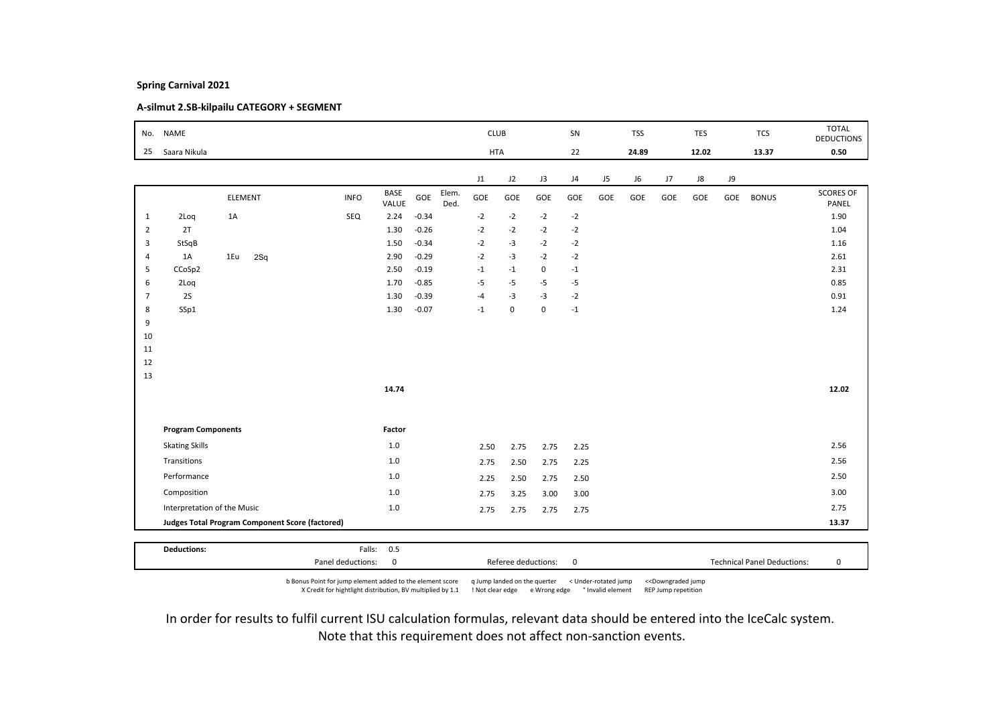# A-silmut 2.SB-kilpailu CATEGORY + SEGMENT

|                | No. NAME                    |         |                                                        |             |               |         |               | <b>CLUB</b> |             |             | SN   |     | <b>TSS</b> |     | <b>TES</b> |     | <b>TCS</b>   | <b>TOTAL</b><br><b>DEDUCTIONS</b> |
|----------------|-----------------------------|---------|--------------------------------------------------------|-------------|---------------|---------|---------------|-------------|-------------|-------------|------|-----|------------|-----|------------|-----|--------------|-----------------------------------|
| 25             | Saara Nikula                |         |                                                        |             |               |         |               | <b>HTA</b>  |             |             | 22   |     | 24.89      |     | 12.02      |     | 13.37        | 0.50                              |
|                |                             |         |                                                        |             |               |         |               | J1          | J2          | J3          | J4   | J5  | J6         | J7  | ${\sf J}8$ | J9  |              |                                   |
|                |                             | ELEMENT |                                                        | <b>INFO</b> | BASE<br>VALUE | GOE     | Elem.<br>Ded. | GOE         | GOE         | GOE         | GOE  | GOE | GOE        | GOE | GOE        | GOE | <b>BONUS</b> | <b>SCORES OF</b><br>PANEL         |
| $\mathbf{1}$   | 2Loq                        | 1A      |                                                        | SEQ         | 2.24          | $-0.34$ |               | $-2$        | $-2$        | $-2$        | $-2$ |     |            |     |            |     |              | 1.90                              |
| $\overline{2}$ | 2T                          |         |                                                        |             | 1.30          | $-0.26$ |               | $-2$        | $-2$        | $-2$        | $-2$ |     |            |     |            |     |              | 1.04                              |
| 3              | StSqB                       |         |                                                        |             | 1.50          | $-0.34$ |               | $-2$        | $-3$        | $-2$        | $-2$ |     |            |     |            |     |              | 1.16                              |
| $\overline{4}$ | 1A                          | 1Eu     | 2Sq                                                    |             | 2.90          | $-0.29$ |               | $-2$        | $-3$        | $-2$        | $-2$ |     |            |     |            |     |              | 2.61                              |
| 5              | CCoSp2                      |         |                                                        |             | 2.50          | $-0.19$ |               | $-1$        | $-1$        | 0           | $-1$ |     |            |     |            |     |              | 2.31                              |
| 6              | 2Loq                        |         |                                                        |             | 1.70          | $-0.85$ |               | $-5$        | $-5$        | $-5$        | -5   |     |            |     |            |     |              | 0.85                              |
| $\overline{7}$ | 2S                          |         |                                                        |             | 1.30          | $-0.39$ |               | $-4$        | $-3$        | $-3$        | $-2$ |     |            |     |            |     |              | 0.91                              |
| 8              | SSp1                        |         |                                                        |             | 1.30          | $-0.07$ |               | $-1$        | $\mathbf 0$ | $\mathbf 0$ | $-1$ |     |            |     |            |     |              | 1.24                              |
| 9              |                             |         |                                                        |             |               |         |               |             |             |             |      |     |            |     |            |     |              |                                   |
| 10             |                             |         |                                                        |             |               |         |               |             |             |             |      |     |            |     |            |     |              |                                   |
| 11<br>12       |                             |         |                                                        |             |               |         |               |             |             |             |      |     |            |     |            |     |              |                                   |
| 13             |                             |         |                                                        |             |               |         |               |             |             |             |      |     |            |     |            |     |              |                                   |
|                |                             |         |                                                        |             | 14.74         |         |               |             |             |             |      |     |            |     |            |     |              | 12.02                             |
|                |                             |         |                                                        |             |               |         |               |             |             |             |      |     |            |     |            |     |              |                                   |
|                | <b>Program Components</b>   |         |                                                        |             | Factor        |         |               |             |             |             |      |     |            |     |            |     |              |                                   |
|                | <b>Skating Skills</b>       |         |                                                        |             | 1.0           |         |               | 2.50        | 2.75        | 2.75        | 2.25 |     |            |     |            |     |              | 2.56                              |
|                | Transitions                 |         |                                                        |             | $1.0$         |         |               | 2.75        | 2.50        | 2.75        | 2.25 |     |            |     |            |     |              | 2.56                              |
|                | Performance                 |         |                                                        |             | 1.0           |         |               | 2.25        | 2.50        | 2.75        | 2.50 |     |            |     |            |     |              | 2.50                              |
|                | Composition                 |         |                                                        |             | 1.0           |         |               | 2.75        | 3.25        | 3.00        | 3.00 |     |            |     |            |     |              | 3.00                              |
|                | Interpretation of the Music |         |                                                        |             | $1.0\,$       |         |               | 2.75        | 2.75        | 2.75        | 2.75 |     |            |     |            |     |              | 2.75                              |
|                |                             |         | <b>Judges Total Program Component Score (factored)</b> |             |               |         |               |             |             |             |      |     |            |     |            |     |              | 13.37                             |
|                |                             |         |                                                        |             |               |         |               |             |             |             |      |     |            |     |            |     |              |                                   |
|                | <b>Deductions:</b>          |         |                                                        | Falls:      | 0.5           |         |               |             |             |             |      |     |            |     |            |     |              |                                   |

b Bonus Point for jump element added to the element score q Jump landed on the querter < Under-rotated jump <<Downgraded jump X Credit for hightlight distribution, BV multiplied by 1.1 ! Not clear edge e Wrong edge ° Invalid element REP Jump repetition

Panel deductions: 0 Referee deductions: 0 Technical Panel Deductions: 0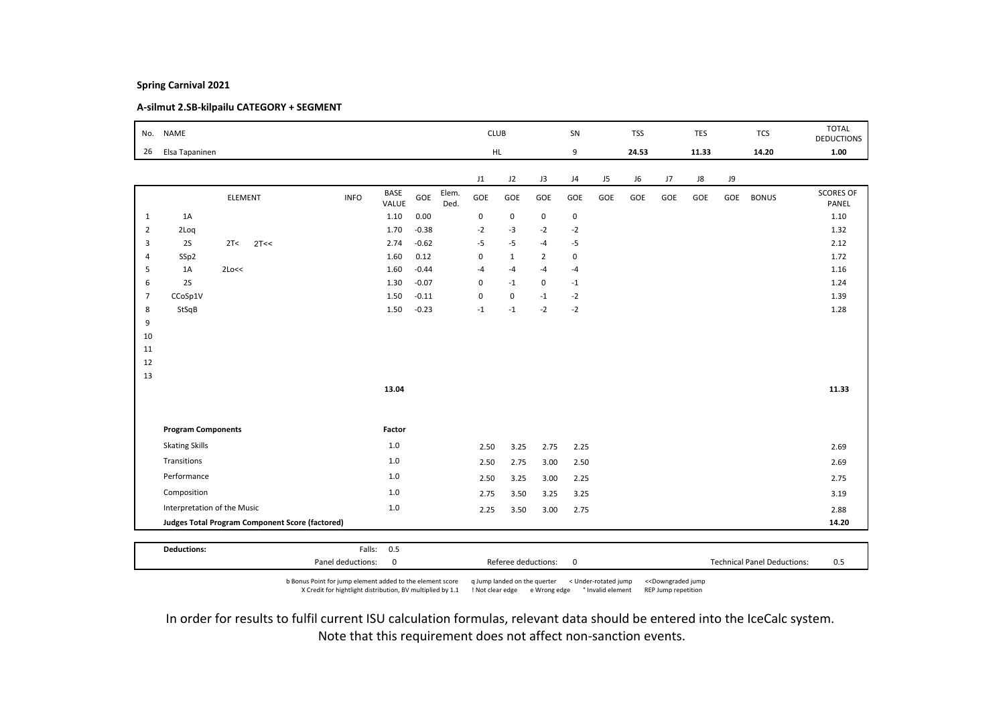# A-silmut 2.SB-kilpailu CATEGORY + SEGMENT

|                |                           |                                                        |             |                      |         |               |             |              |                |                |     |            |     |            |     |              | <b>TOTAL</b>              |
|----------------|---------------------------|--------------------------------------------------------|-------------|----------------------|---------|---------------|-------------|--------------|----------------|----------------|-----|------------|-----|------------|-----|--------------|---------------------------|
| No.            | <b>NAME</b>               |                                                        |             |                      |         |               | <b>CLUB</b> |              |                | SN             |     | <b>TSS</b> |     | <b>TES</b> |     | <b>TCS</b>   | <b>DEDUCTIONS</b>         |
| 26             | Elsa Tapaninen            |                                                        |             |                      |         |               | HL.         |              |                | 9              |     | 24.53      |     | 11.33      |     | 14.20        | 1.00                      |
|                |                           |                                                        |             |                      |         |               |             |              |                |                |     |            |     |            |     |              |                           |
|                |                           |                                                        |             |                      |         |               | J1          | J2           | J3             | J <sub>4</sub> | J5  | J6         | J7  | J8         | J9  |              |                           |
|                |                           | ELEMENT                                                | <b>INFO</b> | <b>BASE</b><br>VALUE | GOE     | Elem.<br>Ded. | GOE         | GOE          | GOE            | GOE            | GOE | GOE        | GOE | GOE        | GOE | <b>BONUS</b> | <b>SCORES OF</b><br>PANEL |
| 1              | 1A                        |                                                        |             | 1.10                 | 0.00    |               | 0           | $\mathsf 0$  | $\mathbf 0$    | $\mathbf 0$    |     |            |     |            |     |              | 1.10                      |
| $\overline{2}$ | 2Loq                      |                                                        |             | 1.70                 | $-0.38$ |               | $-2$        | $-3$         | $-2$           | $-2$           |     |            |     |            |     |              | 1.32                      |
| 3              | 2S                        | 2T<<br>2T<<                                            |             | 2.74                 | $-0.62$ |               | $-5$        | $-5$         | $-4$           | -5             |     |            |     |            |     |              | 2.12                      |
| $\overline{4}$ | SSp2                      |                                                        |             | 1.60                 | 0.12    |               | $\mathbf 0$ | $\mathbf{1}$ | $\overline{2}$ | $\mathsf 0$    |     |            |     |            |     |              | 1.72                      |
| 5              | 1A                        | 2Lo<<                                                  |             | 1.60                 | $-0.44$ |               | $-4$        | $-4$         | $-4$           | $-4$           |     |            |     |            |     |              | 1.16                      |
| 6              | 2S                        |                                                        |             | 1.30                 | $-0.07$ |               | $\mathbf 0$ | $-1$         | $\mathsf 0$    | $-1$           |     |            |     |            |     |              | 1.24                      |
| $\overline{7}$ | CCoSp1V                   |                                                        |             | 1.50                 | $-0.11$ |               | $\mathbf 0$ | $\mathbf 0$  | $-1$           | $-2$           |     |            |     |            |     |              | 1.39                      |
| 8              | StSqB                     |                                                        |             | 1.50                 | $-0.23$ |               | $-1$        | $-1$         | $-2$           | $-2$           |     |            |     |            |     |              | 1.28                      |
| 9              |                           |                                                        |             |                      |         |               |             |              |                |                |     |            |     |            |     |              |                           |
| 10             |                           |                                                        |             |                      |         |               |             |              |                |                |     |            |     |            |     |              |                           |
| 11             |                           |                                                        |             |                      |         |               |             |              |                |                |     |            |     |            |     |              |                           |
| 12<br>13       |                           |                                                        |             |                      |         |               |             |              |                |                |     |            |     |            |     |              |                           |
|                |                           |                                                        |             | 13.04                |         |               |             |              |                |                |     |            |     |            |     |              | 11.33                     |
|                |                           |                                                        |             |                      |         |               |             |              |                |                |     |            |     |            |     |              |                           |
|                |                           |                                                        |             |                      |         |               |             |              |                |                |     |            |     |            |     |              |                           |
|                | <b>Program Components</b> |                                                        |             | Factor               |         |               |             |              |                |                |     |            |     |            |     |              |                           |
|                | <b>Skating Skills</b>     |                                                        |             | $1.0$                |         |               | 2.50        | 3.25         | 2.75           | 2.25           |     |            |     |            |     |              | 2.69                      |
|                | Transitions               |                                                        |             | $1.0$                |         |               | 2.50        | 2.75         | 3.00           | 2.50           |     |            |     |            |     |              | 2.69                      |
|                | Performance               |                                                        |             | 1.0                  |         |               | 2.50        | 3.25         | 3.00           | 2.25           |     |            |     |            |     |              | 2.75                      |
|                | Composition               |                                                        |             | 1.0                  |         |               | 2.75        | 3.50         | 3.25           | 3.25           |     |            |     |            |     |              | 3.19                      |
|                |                           | Interpretation of the Music                            |             | $1.0\,$              |         |               | 2.25        | 3.50         | 3.00           | 2.75           |     |            |     |            |     |              | 2.88                      |
|                |                           | <b>Judges Total Program Component Score (factored)</b> |             |                      |         |               |             |              |                |                |     |            |     |            |     |              | 14.20                     |
|                |                           |                                                        |             |                      |         |               |             |              |                |                |     |            |     |            |     |              |                           |
|                | <b>Deductions:</b>        |                                                        | Falls: 0.5  |                      |         |               |             |              |                |                |     |            |     |            |     |              |                           |

Panel deductions: 0 0 0 0 Referee deductions: 0 0 0 1 Technical Panel Deductions: 0 b Bonus Point for jump element added to the element score q Jump landed on the querter < Under-rotated jump <<Downgraded jump

X Credit for hightlight distribution, BV multiplied by 1.1 ! Not clear edge e Wrong edge ° Invalid element REP Jump repetition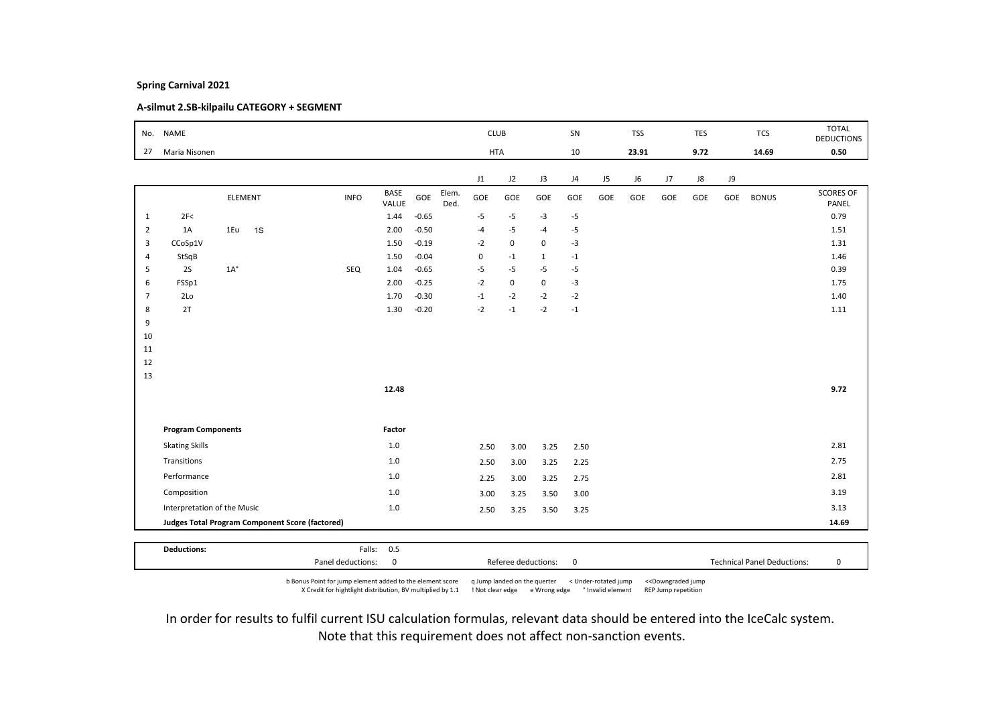# A-silmut 2.SB-kilpailu CATEGORY + SEGMENT

| No.            | <b>NAME</b>                 |              |                                                        |             |                      |         |               | <b>CLUB</b>    |             |              | SN             |     | <b>TSS</b> |             | TES  |      | <b>TCS</b>   | <b>TOTAL</b><br><b>DEDUCTIONS</b> |
|----------------|-----------------------------|--------------|--------------------------------------------------------|-------------|----------------------|---------|---------------|----------------|-------------|--------------|----------------|-----|------------|-------------|------|------|--------------|-----------------------------------|
| 27             | Maria Nisonen               |              |                                                        |             |                      |         |               | <b>HTA</b>     |             |              | 10             |     | 23.91      |             | 9.72 |      | 14.69        | 0.50                              |
|                |                             |              |                                                        |             |                      |         |               |                |             |              |                |     |            |             |      |      |              |                                   |
|                |                             |              |                                                        |             |                      |         |               | J1             | J2          | J3           | J <sub>4</sub> | J5  | J6         | $_{\rm J7}$ | J8   | J9   |              |                                   |
|                |                             |              | <b>ELEMENT</b>                                         | <b>INFO</b> | <b>BASE</b><br>VALUE | GOE     | Elem.<br>Ded. | GOE            | GOE         | GOE          | GOE            | GOE | GOE        | GOE         | GOE  | GOE  | <b>BONUS</b> | <b>SCORES OF</b><br>PANEL         |
| $\mathbf{1}$   | 2F<                         |              |                                                        |             | 1.44                 | $-0.65$ |               | -5             | $-5$        | $-3$         | $-5$           |     |            |             |      |      |              | 0.79                              |
| $\overline{2}$ | 1A                          | 1Eu          | 1S                                                     |             | 2.00                 | $-0.50$ |               | -4             | $-5$        | $-4$         | $-5$           |     |            |             |      |      |              | 1.51                              |
| 3              | CCoSp1V                     |              |                                                        |             | 1.50                 | $-0.19$ |               | $-2$           | $\mathsf 0$ | 0            | $-3$           |     |            |             |      |      |              | 1.31                              |
| $\overline{4}$ | StSqB                       |              |                                                        |             | 1.50                 | $-0.04$ |               | $\pmb{0}$      | $-1$        | $\mathbf{1}$ | $^{\mbox{-}}1$ |     |            |             |      |      |              | 1.46                              |
| 5              | 2S                          | $1A^{\circ}$ |                                                        | SEQ         | 1.04                 | $-0.65$ |               | $-5$           | $-5$        | $-5$         | $-5$           |     |            |             |      |      |              | 0.39                              |
| 6              | FSSp1                       |              |                                                        |             | 2.00                 | $-0.25$ |               | $-2$           | $\mathsf 0$ | $\mathbf 0$  | $-3$           |     |            |             |      |      |              | 1.75                              |
| $\overline{7}$ | 2Lo                         |              |                                                        |             | 1.70                 | $-0.30$ |               | $^{\mbox{-}1}$ | $-2$        | $-2$         | $-2$           |     |            |             |      |      |              | 1.40                              |
| 8              | 2T                          |              |                                                        |             | 1.30                 | $-0.20$ |               | $-2$           | $-1$        | $-2$         | $-1$           |     |            |             |      |      |              | 1.11                              |
| 9              |                             |              |                                                        |             |                      |         |               |                |             |              |                |     |            |             |      |      |              |                                   |
| 10             |                             |              |                                                        |             |                      |         |               |                |             |              |                |     |            |             |      |      |              |                                   |
| 11             |                             |              |                                                        |             |                      |         |               |                |             |              |                |     |            |             |      |      |              |                                   |
| 12             |                             |              |                                                        |             |                      |         |               |                |             |              |                |     |            |             |      |      |              |                                   |
| 13             |                             |              |                                                        |             | 12.48                |         |               |                |             |              |                |     |            |             |      |      |              | 9.72                              |
|                |                             |              |                                                        |             |                      |         |               |                |             |              |                |     |            |             |      |      |              |                                   |
|                |                             |              |                                                        |             |                      |         |               |                |             |              |                |     |            |             |      |      |              |                                   |
|                | <b>Program Components</b>   |              |                                                        |             | Factor               |         |               |                |             |              |                |     |            |             |      |      |              |                                   |
|                | <b>Skating Skills</b>       |              |                                                        |             | 1.0                  |         |               | 2.50           | 3.00        | 3.25         | 2.50           |     |            |             |      |      |              | 2.81                              |
|                | Transitions                 |              |                                                        |             | $1.0$                |         |               | 2.50           | 3.00        | 3.25         | 2.25           |     |            |             |      |      |              | 2.75                              |
|                | Performance                 |              |                                                        |             | 1.0                  |         |               | 2.25           | 3.00        | 3.25         | 2.75           |     |            |             |      |      |              | 2.81                              |
|                | Composition                 |              |                                                        |             | 1.0                  |         |               | 3.00           | 3.25        | 3.50         | 3.00           |     |            |             |      |      |              | 3.19                              |
|                | Interpretation of the Music |              | $1.0\,$                                                |             |                      | 2.50    | 3.25          | 3.50           | 3.25        |              |                |     |            |             |      | 3.13 |              |                                   |
|                |                             |              | <b>Judges Total Program Component Score (factored)</b> |             |                      |         |               |                |             |              |                |     |            |             |      |      |              | 14.69                             |
|                |                             |              |                                                        |             |                      |         |               |                |             |              |                |     |            |             |      |      |              |                                   |
|                | <b>Deductions:</b>          |              |                                                        |             | Falls: 0.5           |         |               |                |             |              |                |     |            |             |      |      |              |                                   |

b Bonus Point for jump element added to the element score q Jump landed on the querter < Under-rotated jump <<Downgraded jump X Credit for hightlight distribution, BV multiplied by 1.1 ! Not clear edge e Wrong edge ° Invalid element REP Jump repetition

Panel deductions: 0 Referee deductions: 0 Technical Panel Deductions: 0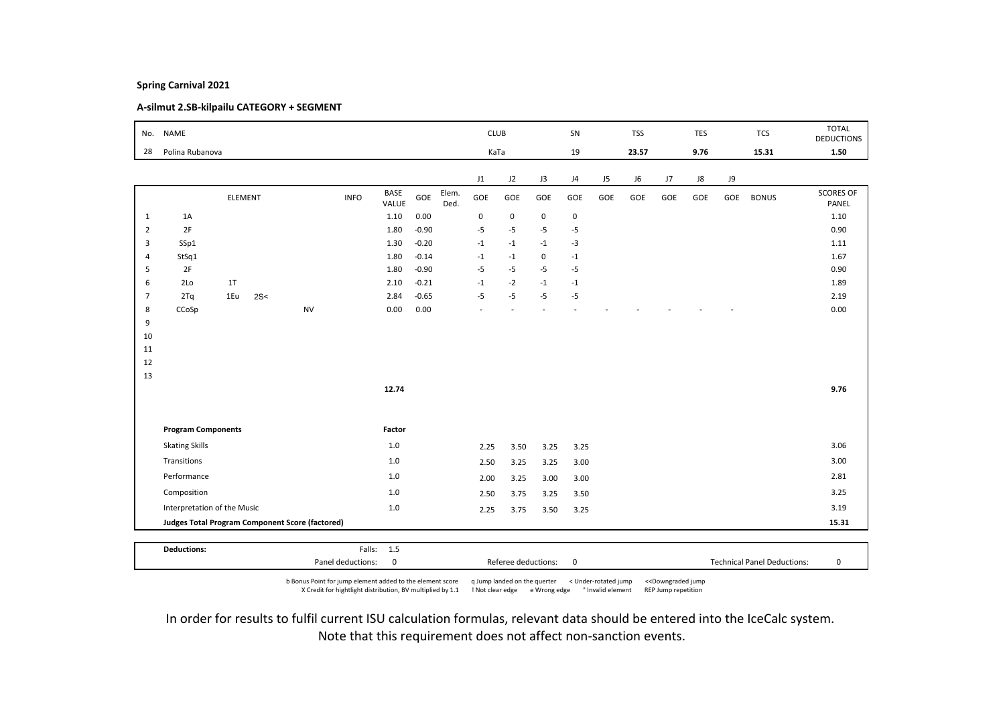# A-silmut 2.SB-kilpailu CATEGORY + SEGMENT

| No.            | <b>NAME</b>                 |     |         |                                                        |             | <b>CLUB</b>          |         |               |           |                          | SN          |             | <b>TSS</b> |       | <b>TES</b> |            | <b>TCS</b> | <b>TOTAL</b><br><b>DEDUCTIONS</b> |                           |
|----------------|-----------------------------|-----|---------|--------------------------------------------------------|-------------|----------------------|---------|---------------|-----------|--------------------------|-------------|-------------|------------|-------|------------|------------|------------|-----------------------------------|---------------------------|
| 28             | Polina Rubanova             |     |         |                                                        |             |                      |         |               | KaTa      |                          |             | 19          |            | 23.57 |            | 9.76       |            | 15.31                             | 1.50                      |
|                |                             |     |         |                                                        |             |                      |         |               | J1        | J2                       | J3          | J4          | J5         | J6    | J7         | ${\sf J}8$ | J9         |                                   |                           |
|                |                             |     | ELEMENT |                                                        | <b>INFO</b> | <b>BASE</b><br>VALUE | GOE     | Elem.<br>Ded. | GOE       | GOE                      | GOE         | GOE         | GOE        | GOE   | GOE        | GOE        | GOE        | <b>BONUS</b>                      | <b>SCORES OF</b><br>PANEL |
| $\mathbf{1}$   | 1A                          |     |         |                                                        |             | 1.10                 | 0.00    |               | $\pmb{0}$ | $\mathsf 0$              | $\mathbf 0$ | $\mathbf 0$ |            |       |            |            |            |                                   | 1.10                      |
| $\overline{2}$ | 2F                          |     |         |                                                        |             | 1.80                 | $-0.90$ |               | $-5$      | $-5$                     | $-5$        | $-5$        |            |       |            |            |            |                                   | 0.90                      |
| 3              | SSp1                        |     |         |                                                        |             | 1.30                 | $-0.20$ |               | $-1$      | $-1$                     | $-1$        | $-3$        |            |       |            |            |            |                                   | 1.11                      |
| $\overline{4}$ | StSq1                       |     |         |                                                        |             | 1.80                 | $-0.14$ |               | $-1$      | $-1$                     | $\mathbf 0$ | $-1$        |            |       |            |            |            |                                   | 1.67                      |
| 5              | 2F                          |     |         |                                                        |             | 1.80                 | $-0.90$ |               | $-5$      | $-5$                     | $-5$        | $-5$        |            |       |            |            |            |                                   | 0.90                      |
| 6              | 2Lo                         | 1T  |         |                                                        |             | 2.10                 | $-0.21$ |               | $-1$      | $-2$                     | $-1$        | $-1$        |            |       |            |            |            |                                   | 1.89                      |
| $\overline{7}$ | 2Tq                         | 1Eu | 2S<     |                                                        |             | 2.84                 | $-0.65$ |               | $-5$      | $-5$                     | $-5$        | $-5$        |            |       |            |            |            |                                   | 2.19                      |
| 8              | CCoSp                       |     |         | <b>NV</b>                                              |             | 0.00                 | 0.00    |               |           | $\overline{\phantom{a}}$ | ٠           |             |            |       |            |            |            |                                   | 0.00                      |
| 9<br>10        |                             |     |         |                                                        |             |                      |         |               |           |                          |             |             |            |       |            |            |            |                                   |                           |
| 11             |                             |     |         |                                                        |             |                      |         |               |           |                          |             |             |            |       |            |            |            |                                   |                           |
| 12             |                             |     |         |                                                        |             |                      |         |               |           |                          |             |             |            |       |            |            |            |                                   |                           |
| 13             |                             |     |         |                                                        |             |                      |         |               |           |                          |             |             |            |       |            |            |            |                                   |                           |
|                |                             |     |         |                                                        |             | 12.74                |         |               |           |                          |             |             |            |       |            |            |            |                                   | 9.76                      |
|                |                             |     |         |                                                        |             |                      |         |               |           |                          |             |             |            |       |            |            |            |                                   |                           |
|                | <b>Program Components</b>   |     |         |                                                        |             | Factor               |         |               |           |                          |             |             |            |       |            |            |            |                                   |                           |
|                | <b>Skating Skills</b>       |     |         |                                                        |             | 1.0                  |         |               | 2.25      | 3.50                     | 3.25        | 3.25        |            |       |            |            |            |                                   | 3.06                      |
|                | Transitions                 |     |         |                                                        |             | 1.0                  |         |               | 2.50      | 3.25                     | 3.25        | 3.00        |            |       |            |            |            |                                   | 3.00                      |
|                | Performance                 |     |         |                                                        |             | 1.0                  |         |               | 2.00      | 3.25                     | 3.00        | 3.00        |            |       |            |            |            |                                   | 2.81                      |
|                | Composition                 |     |         |                                                        |             | $1.0$                |         |               | 2.50      | 3.75                     | 3.25        | 3.50        |            |       |            |            |            |                                   | 3.25                      |
|                | Interpretation of the Music |     | $1.0$   |                                                        |             | 2.25                 | 3.75    | 3.50          | 3.25      |                          |             |             |            |       |            | 3.19       |            |                                   |                           |
|                |                             |     |         | <b>Judges Total Program Component Score (factored)</b> |             |                      |         |               |           |                          |             |             |            |       |            |            |            |                                   | 15.31                     |
|                |                             |     |         |                                                        |             |                      |         |               |           |                          |             |             |            |       |            |            |            |                                   |                           |
|                | <b>Deductions:</b>          |     |         |                                                        |             | Falls: 1.5           |         |               |           |                          |             |             |            |       |            |            |            |                                   |                           |

b Bonus Point for jump element added to the element score q Jump landed on the querter < Under-rotated jump <<Downgraded jump X Credit for hightlight distribution, BV multiplied by 1.1 ! Not clear edge e Wrong edge ° Invalid element REP Jump repetition

Panel deductions: 0 Referee deductions: 0 Technical Panel Deductions: 0